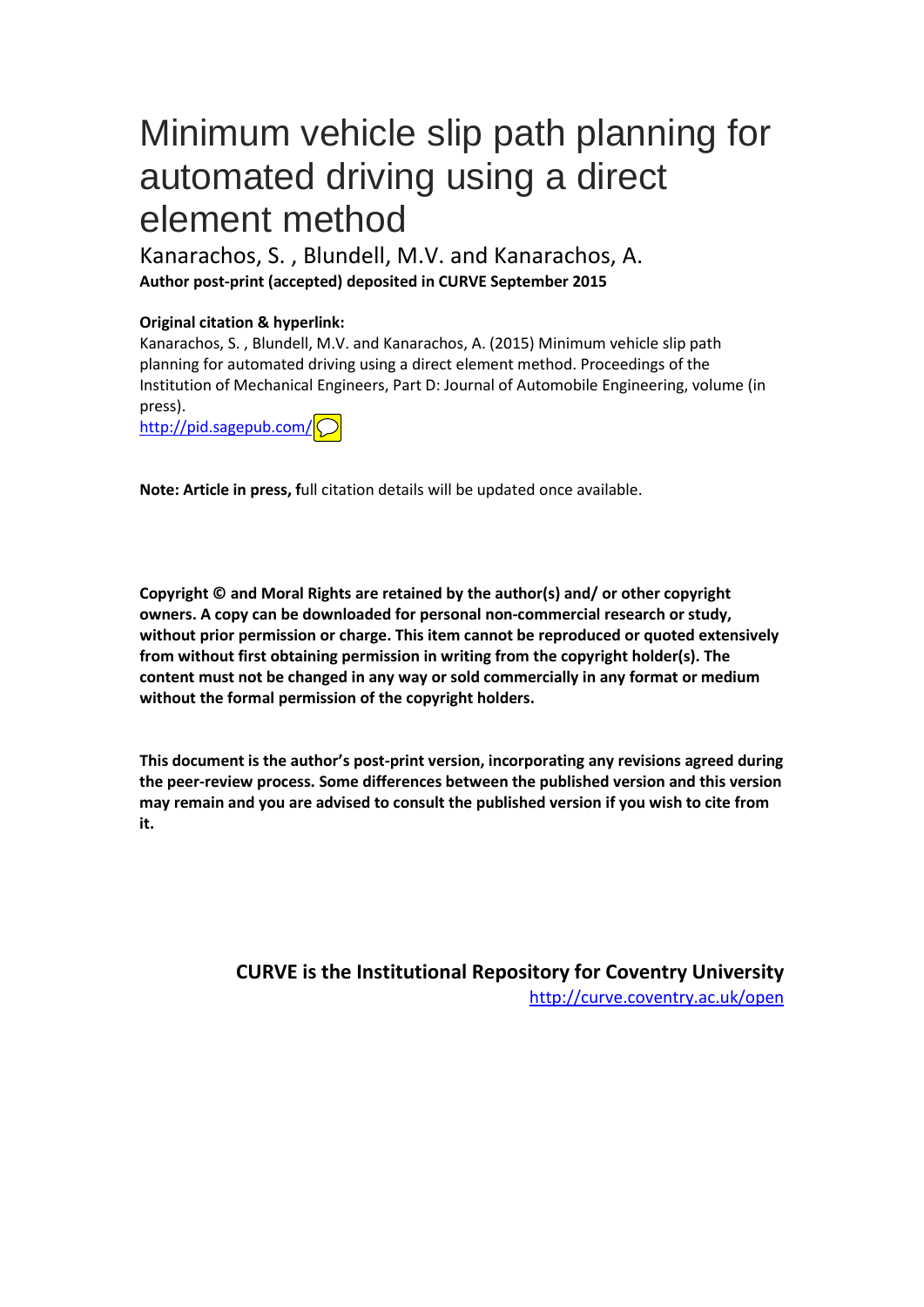# Minimum vehicle slip path planning for automated driving using a direct element method

Kanarachos, S. , Blundell, M.V. and Kanarachos, A. **Author post-print (accepted) deposited in CURVE September 2015**

#### **Original citation & hyperlink:**

Kanarachos, S. , Blundell, M.V. and Kanarachos, A. (2015) Minimum vehicle slip path planning for automated driving using a direct element method. Proceedings of the Institution of Mechanical Engineers, Part D: Journal of Automobile Engineering, volume (in press).

<http://pid.sagepub.com/>

**Note: Article in press, f**ull citation details will be updated once available.

**Copyright © and Moral Rights are retained by the author(s) and/ or other copyright owners. A copy can be downloaded for personal non-commercial research or study, without prior permission or charge. This item cannot be reproduced or quoted extensively from without first obtaining permission in writing from the copyright holder(s). The content must not be changed in any way or sold commercially in any format or medium without the formal permission of the copyright holders.** 

**This document is the author's post-print version, incorporating any revisions agreed during the peer-review process. Some differences between the published version and this version may remain and you are advised to consult the published version if you wish to cite from it.** 

> **CURVE is the Institutional Repository for Coventry University** <http://curve.coventry.ac.uk/open>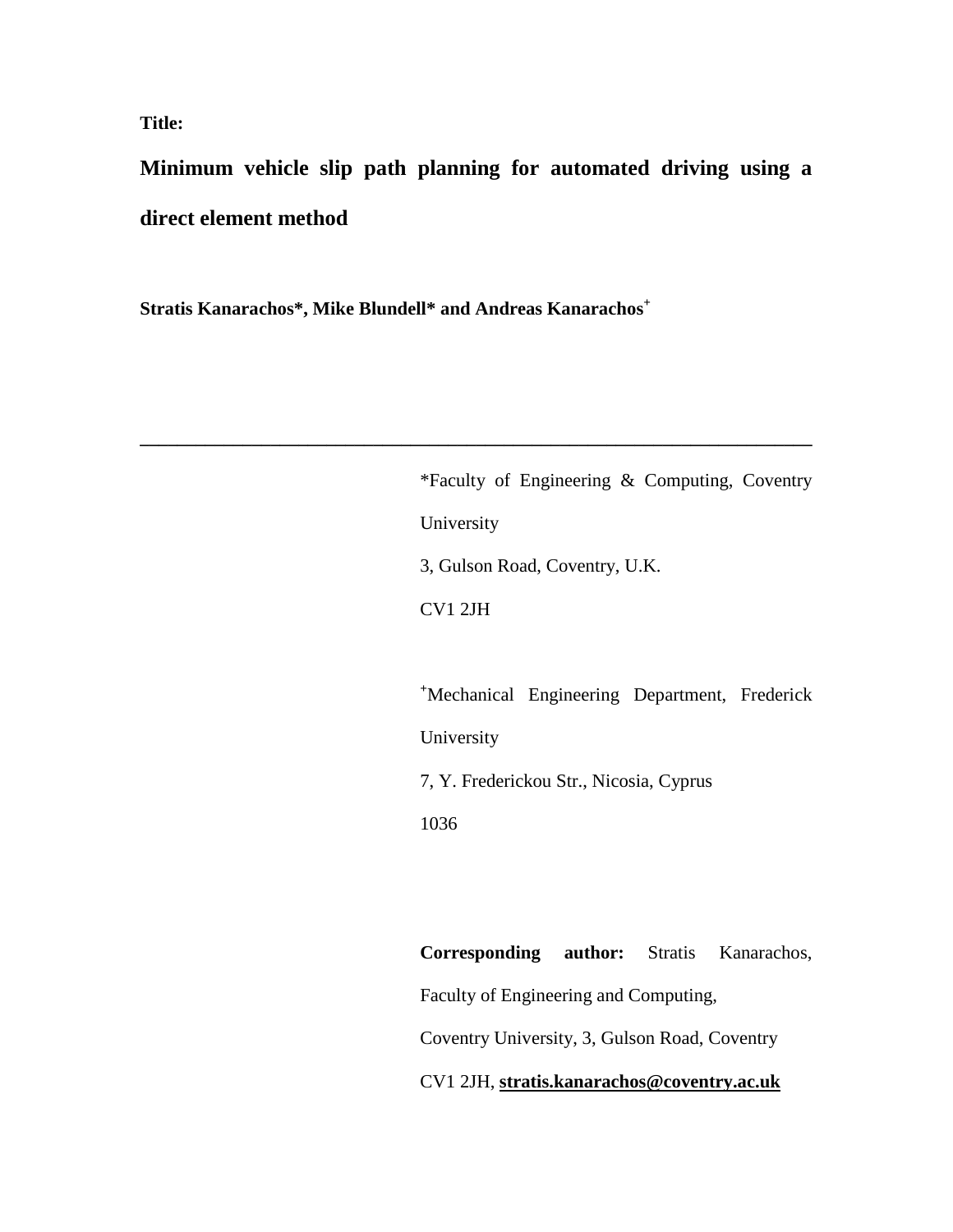**Title:**

**Minimum vehicle slip path planning for automated driving using a direct element method** 

**\_\_\_\_\_\_\_\_\_\_\_\_\_\_\_\_\_\_\_\_\_\_\_\_\_\_\_\_\_\_\_\_\_\_\_\_\_\_\_\_\_\_\_\_\_\_\_\_\_\_\_\_\_\_\_\_\_\_\_\_\_\_\_\_\_\_\_\_\_\_\_\_** 

**Stratis Kanarachos\*, Mike Blundell\* and Andreas Kanarachos<sup>+</sup>**

\*Faculty of Engineering & Computing, Coventry University 3, Gulson Road, Coventry, U.K. CV1 2JH **+** Mechanical Engineering Department, Frederick University 7, Y. Frederickou Str., Nicosia, Cyprus 1036 **Corresponding author:** Stratis Kanarachos, Faculty of Engineering and Computing,

Coventry University, 3, Gulson Road, Coventry CV1 2JH, **[stratis.kanarachos@coventry.ac.uk](mailto:stratis.kanarachos@coventry.ac.uk)**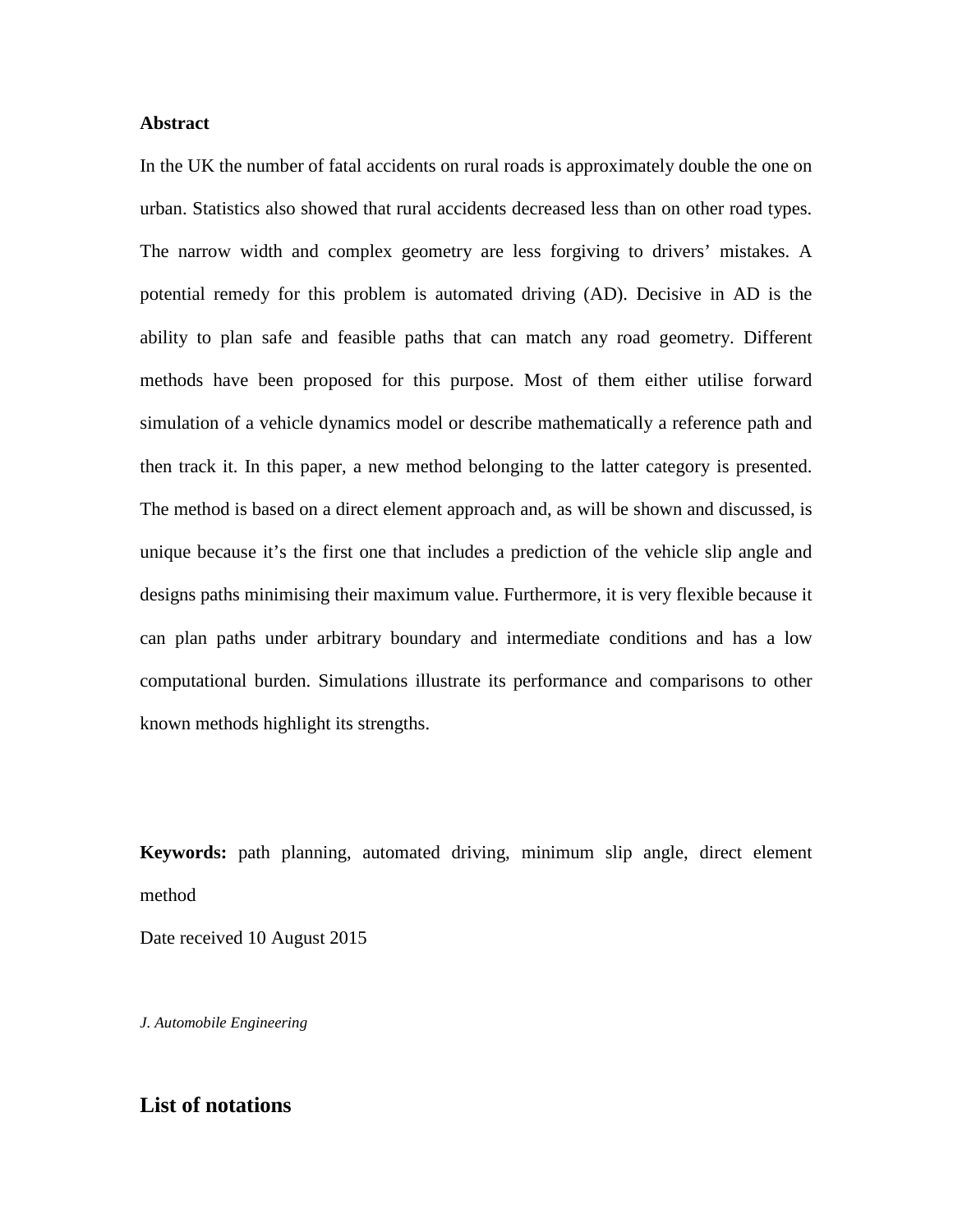#### **Abstract**

In the UK the number of fatal accidents on rural roads is approximately double the one on urban. Statistics also showed that rural accidents decreased less than on other road types. The narrow width and complex geometry are less forgiving to drivers' mistakes. A potential remedy for this problem is automated driving (AD). Decisive in AD is the ability to plan safe and feasible paths that can match any road geometry. Different methods have been proposed for this purpose. Most of them either utilise forward simulation of a vehicle dynamics model or describe mathematically a reference path and then track it. In this paper, a new method belonging to the latter category is presented. The method is based on a direct element approach and, as will be shown and discussed, is unique because it's the first one that includes a prediction of the vehicle slip angle and designs paths minimising their maximum value. Furthermore, it is very flexible because it can plan paths under arbitrary boundary and intermediate conditions and has a low computational burden. Simulations illustrate its performance and comparisons to other known methods highlight its strengths.

**Keywords:** path planning, automated driving, minimum slip angle, direct element method

Date received 10 August 2015

*J. Automobile Engineering*

#### **List of notations**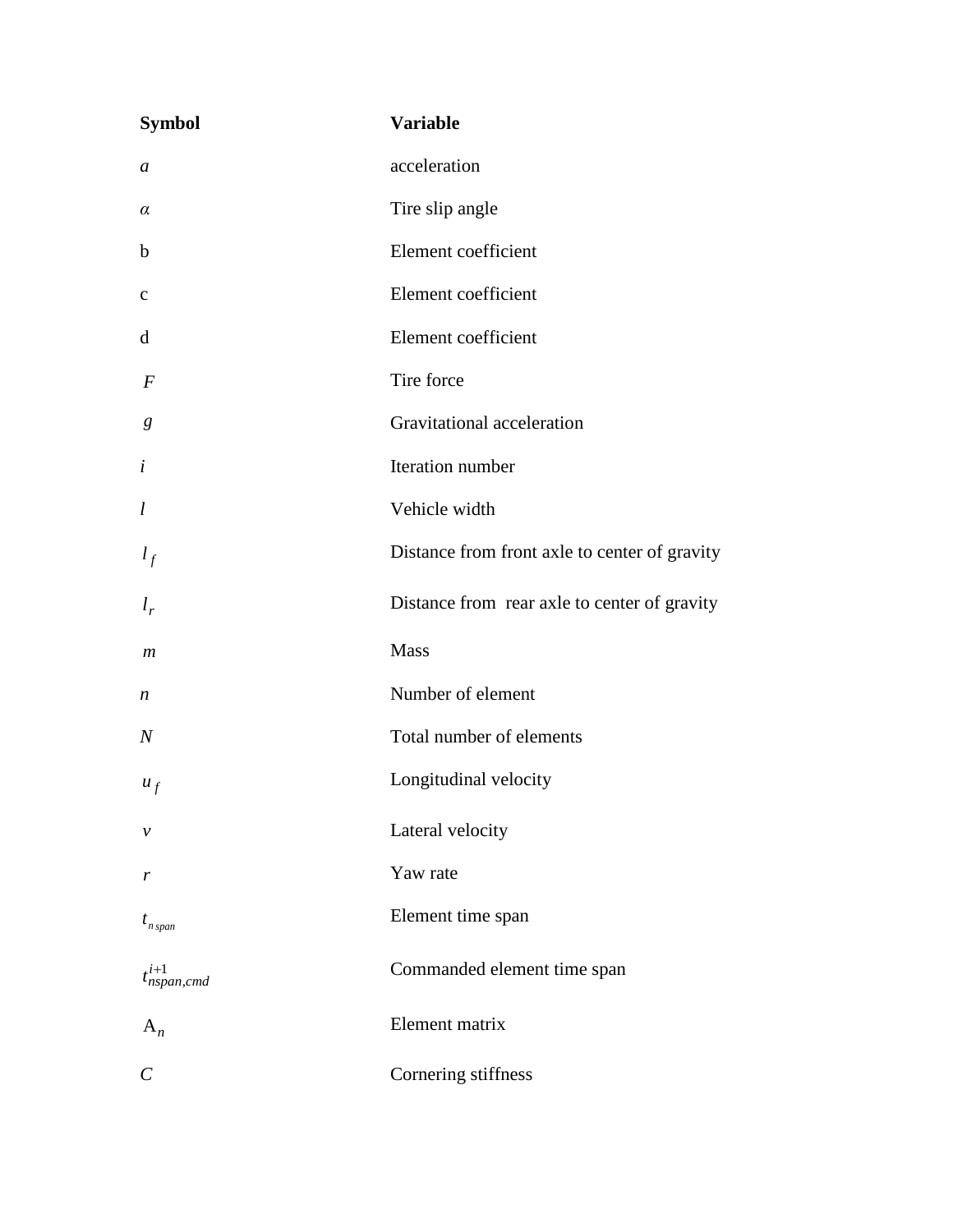| <b>Symbol</b>         | <b>Variable</b>                               |
|-----------------------|-----------------------------------------------|
| a                     | acceleration                                  |
| α                     | Tire slip angle                               |
| $\mathbf b$           | Element coefficient                           |
| $\mathbf c$           | Element coefficient                           |
| d                     | Element coefficient                           |
| $\boldsymbol{F}$      | Tire force                                    |
| $\boldsymbol{g}$      | Gravitational acceleration                    |
| $\dot{i}$             | Iteration number                              |
| $\iota$               | Vehicle width                                 |
| $l_f$                 | Distance from front axle to center of gravity |
| $l_r$                 | Distance from rear axle to center of gravity  |
| $\boldsymbol{m}$      | Mass                                          |
| n                     | Number of element                             |
| $\boldsymbol{N}$      | Total number of elements                      |
| $u_f$                 | Longitudinal velocity                         |
| ν                     | Lateral velocity                              |
| r                     | Yaw rate                                      |
| $t_{n \, span}$       | Element time span                             |
| $t^{i+1}_{nspan,cmd}$ | Commanded element time span                   |
| $A_n$                 | Element matrix                                |
| $\mathcal{C}_{0}^{0}$ | Cornering stiffness                           |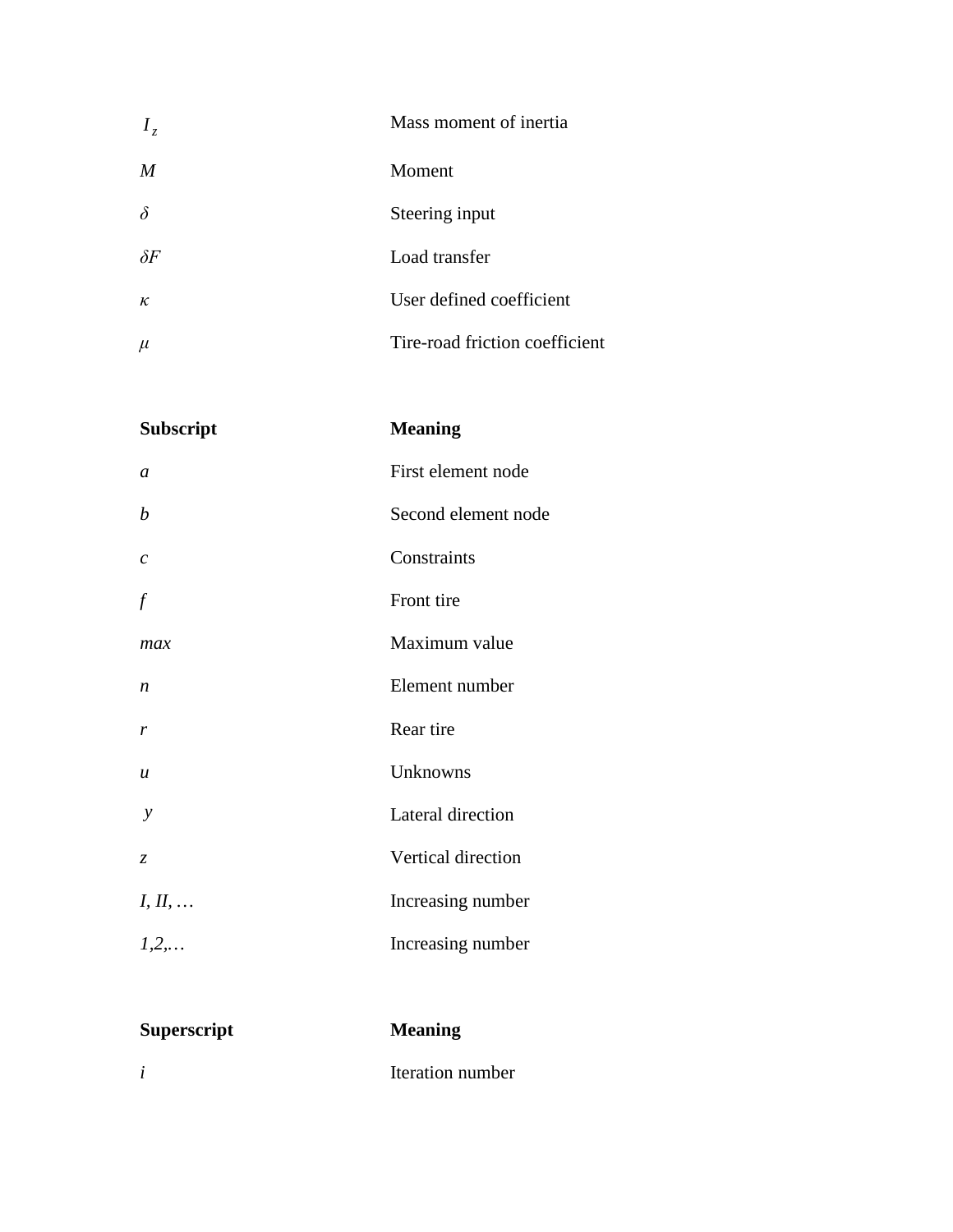| $I_z$            | Mass moment of inertia         |
|------------------|--------------------------------|
| $\boldsymbol{M}$ | Moment                         |
| $\delta$         | Steering input                 |
| $\delta F$       | Load transfer                  |
| к                | User defined coefficient       |
| $\mu$            | Tire-road friction coefficient |

| Subscript        | <b>Meaning</b>      |
|------------------|---------------------|
| $\mathfrak a$    | First element node  |
| b                | Second element node |
| $\mathcal{C}$    | Constraints         |
| $\int f$         | Front tire          |
| max              | Maximum value       |
| $\boldsymbol{n}$ | Element number      |
| r                | Rear tire           |
| $\boldsymbol{u}$ | Unknowns            |
| у                | Lateral direction   |
| $\zeta$          | Vertical direction  |
| $I, II, \ldots$  | Increasing number   |
| 1, 2,            | Increasing number   |
|                  |                     |

## **Superscript Meaning**

*i* Iteration number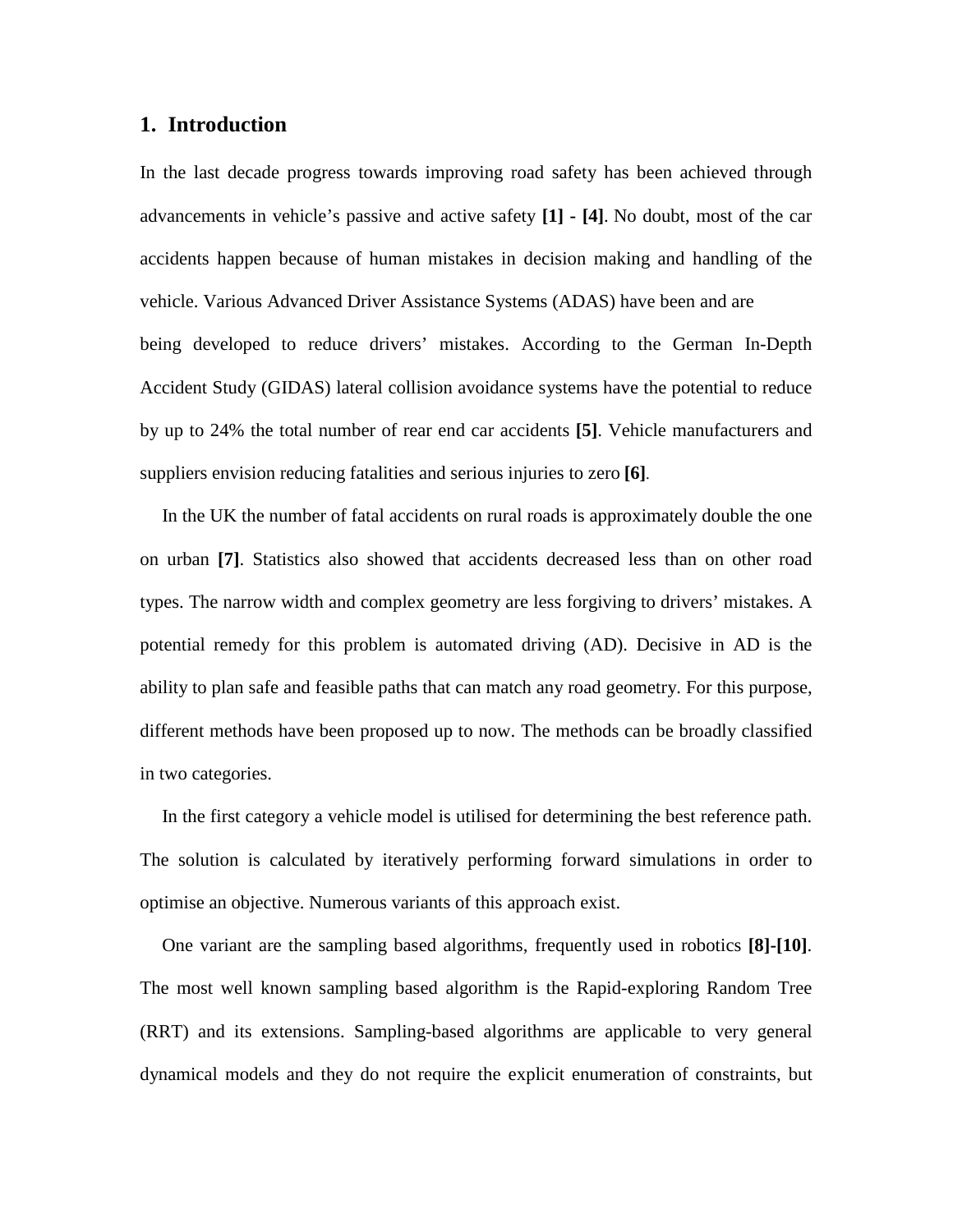#### **1. Introduction**

In the last decade progress towards improving road safety has been achieved through advancements in vehicle's passive and active safety **[1] - [4]**. No doubt, most of the car accidents happen because of human mistakes in decision making and handling of the vehicle. Various Advanced Driver Assistance Systems (ADAS) have been and are being developed to reduce drivers' mistakes. According to the German In-Depth Accident Study (GIDAS) lateral collision avoidance systems have the potential to reduce by up to 24% the total number of rear end car accidents **[5]**. Vehicle manufacturers and suppliers envision reducing fatalities and serious injuries to zero **[6]**.

In the UK the number of fatal accidents on rural roads is approximately double the one on urban **[7]**. Statistics also showed that accidents decreased less than on other road types. The narrow width and complex geometry are less forgiving to drivers' mistakes. A potential remedy for this problem is automated driving (AD). Decisive in AD is the ability to plan safe and feasible paths that can match any road geometry. For this purpose, different methods have been proposed up to now. The methods can be broadly classified in two categories.

In the first category a vehicle model is utilised for determining the best reference path. The solution is calculated by iteratively performing forward simulations in order to optimise an objective. Numerous variants of this approach exist.

One variant are the sampling based algorithms, frequently used in robotics **[8]-[10]**. The most well known sampling based algorithm is the Rapid-exploring Random Tree (RRT) and its extensions. Sampling-based algorithms are applicable to very general dynamical models and they do not require the explicit enumeration of constraints, but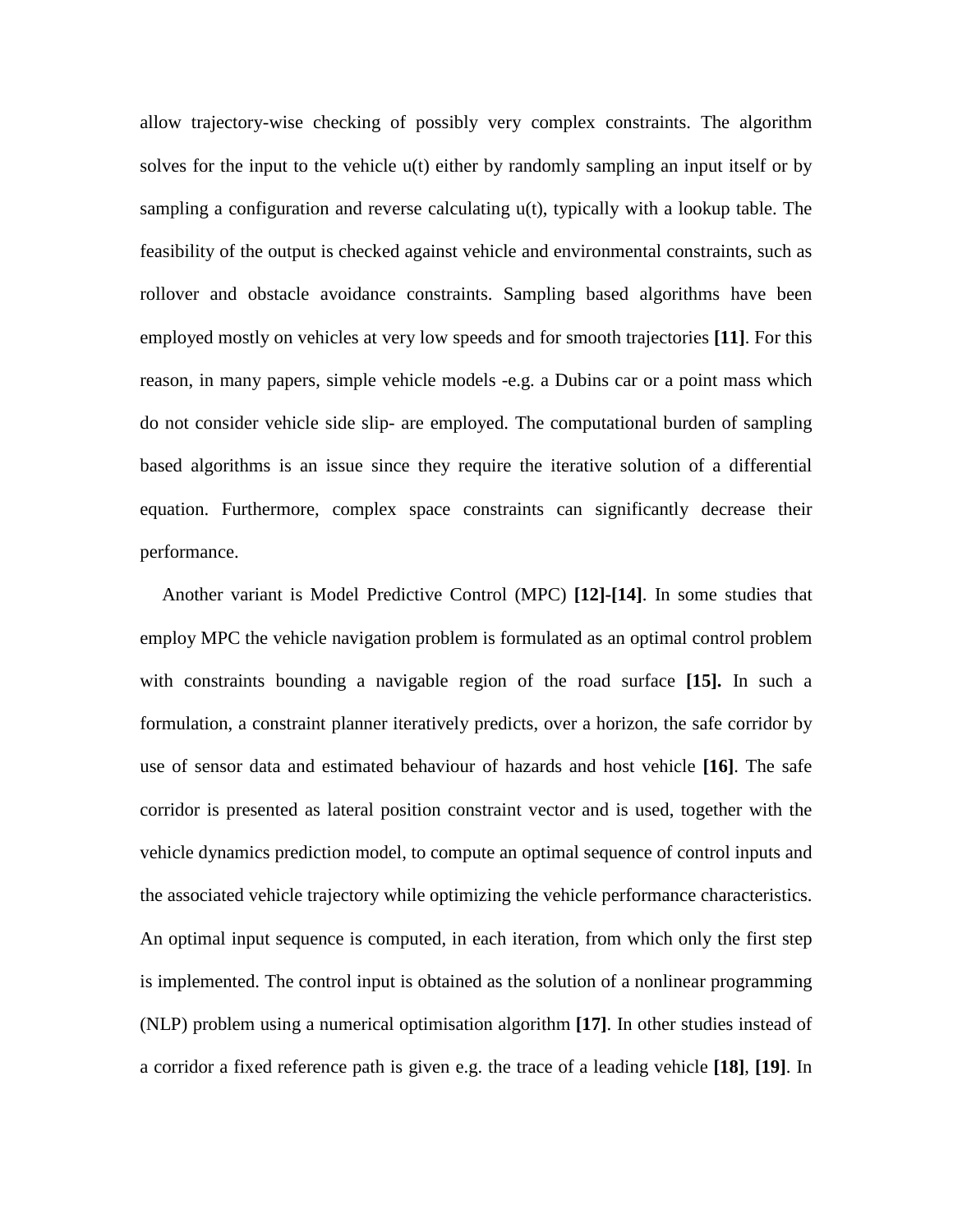allow trajectory-wise checking of possibly very complex constraints. The algorithm solves for the input to the vehicle u(t) either by randomly sampling an input itself or by sampling a configuration and reverse calculating u(t), typically with a lookup table. The feasibility of the output is checked against vehicle and environmental constraints, such as rollover and obstacle avoidance constraints. Sampling based algorithms have been employed mostly on vehicles at very low speeds and for smooth trajectories **[11]**. For this reason, in many papers, simple vehicle models -e.g. a Dubins car or a point mass which do not consider vehicle side slip- are employed. The computational burden of sampling based algorithms is an issue since they require the iterative solution of a differential equation. Furthermore, complex space constraints can significantly decrease their performance.

Another variant is Model Predictive Control (MPC) **[12]-[14]**. In some studies that employ MPC the vehicle navigation problem is formulated as an optimal control problem with constraints bounding a navigable region of the road surface **[15].** In such a formulation, a constraint planner iteratively predicts, over a horizon, the safe corridor by use of sensor data and estimated behaviour of hazards and host vehicle **[16]**. The safe corridor is presented as lateral position constraint vector and is used, together with the vehicle dynamics prediction model, to compute an optimal sequence of control inputs and the associated vehicle trajectory while optimizing the vehicle performance characteristics. An optimal input sequence is computed, in each iteration, from which only the first step is implemented. The control input is obtained as the solution of a nonlinear programming (NLP) problem using a numerical optimisation algorithm **[17]**. In other studies instead of a corridor a fixed reference path is given e.g. the trace of a leading vehicle **[18]**, **[19]**. In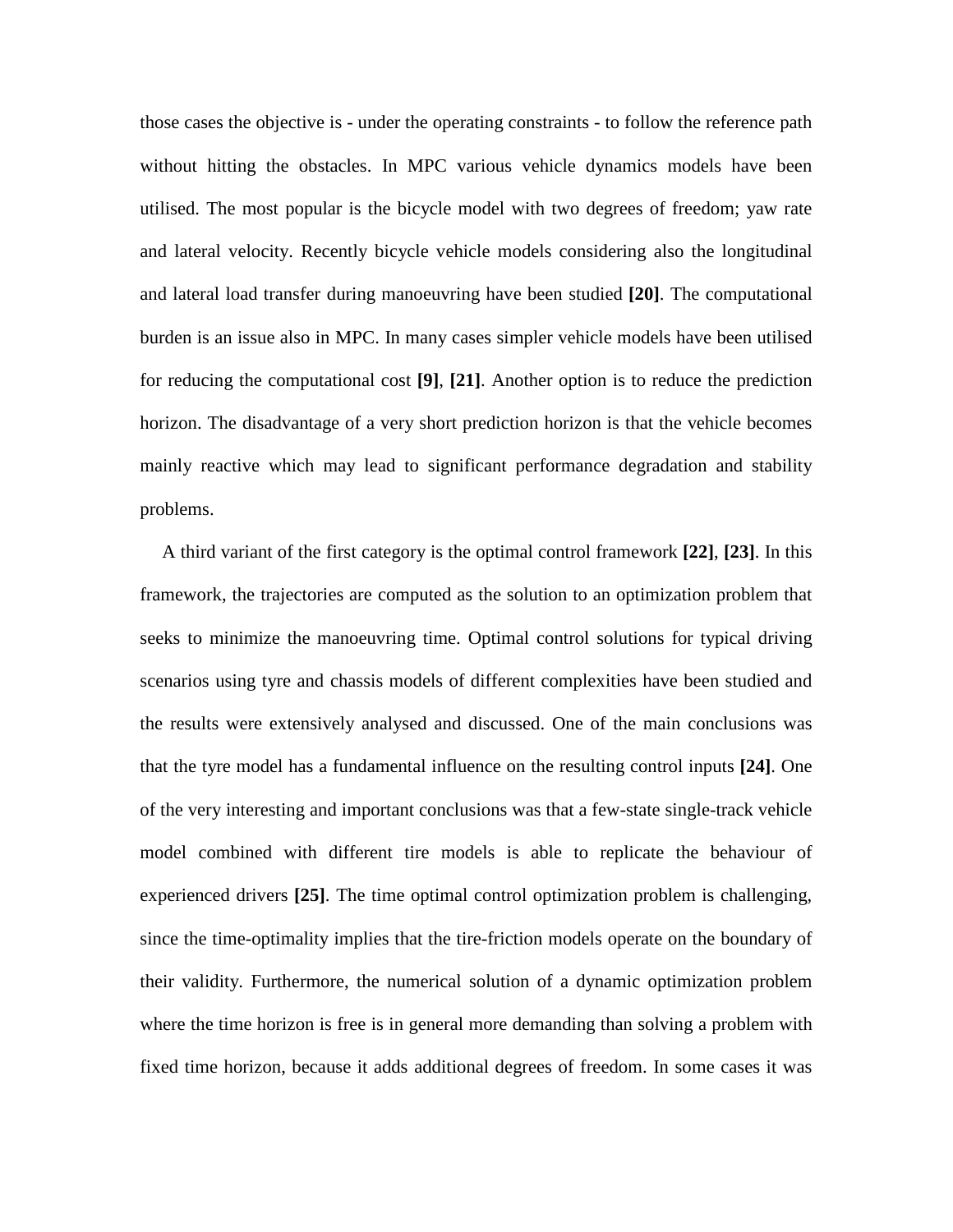those cases the objective is - under the operating constraints - to follow the reference path without hitting the obstacles. In MPC various vehicle dynamics models have been utilised. The most popular is the bicycle model with two degrees of freedom; yaw rate and lateral velocity. Recently bicycle vehicle models considering also the longitudinal and lateral load transfer during manoeuvring have been studied **[20]**. The computational burden is an issue also in MPC. In many cases simpler vehicle models have been utilised for reducing the computational cost **[9]**, **[21]**. Another option is to reduce the prediction horizon. The disadvantage of a very short prediction horizon is that the vehicle becomes mainly reactive which may lead to significant performance degradation and stability problems.

A third variant of the first category is the optimal control framework **[22]**, **[23]**. In this framework, the trajectories are computed as the solution to an optimization problem that seeks to minimize the manoeuvring time. Optimal control solutions for typical driving scenarios using tyre and chassis models of different complexities have been studied and the results were extensively analysed and discussed. One of the main conclusions was that the tyre model has a fundamental influence on the resulting control inputs **[24]**. One of the very interesting and important conclusions was that a few-state single-track vehicle model combined with different tire models is able to replicate the behaviour of experienced drivers **[25]**. The time optimal control optimization problem is challenging, since the time-optimality implies that the tire-friction models operate on the boundary of their validity. Furthermore, the numerical solution of a dynamic optimization problem where the time horizon is free is in general more demanding than solving a problem with fixed time horizon, because it adds additional degrees of freedom. In some cases it was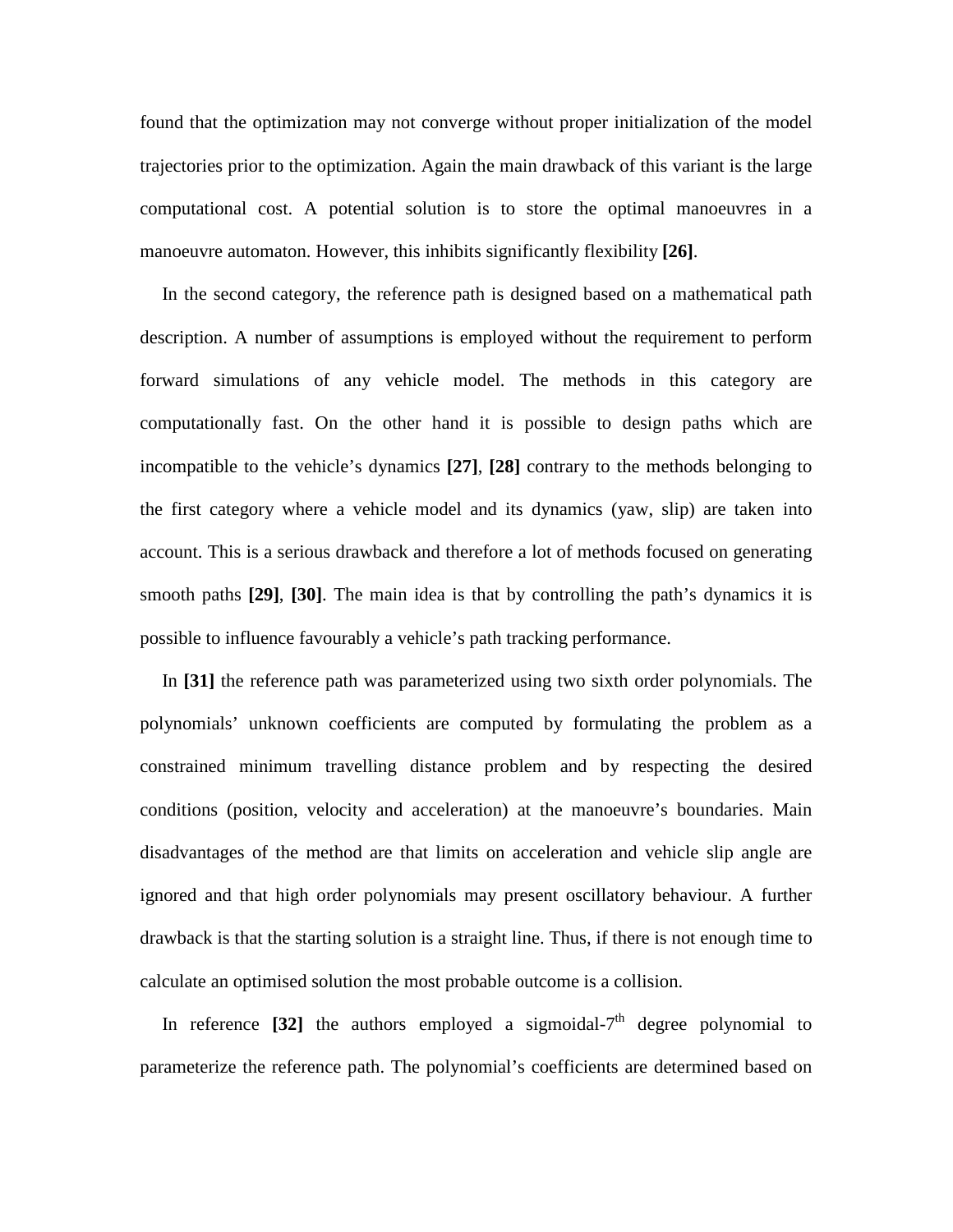found that the optimization may not converge without proper initialization of the model trajectories prior to the optimization. Again the main drawback of this variant is the large computational cost. A potential solution is to store the optimal manoeuvres in a manoeuvre automaton. However, this inhibits significantly flexibility **[26]**.

In the second category, the reference path is designed based on a mathematical path description. A number of assumptions is employed without the requirement to perform forward simulations of any vehicle model. The methods in this category are computationally fast. On the other hand it is possible to design paths which are incompatible to the vehicle's dynamics **[27]**, **[28]** contrary to the methods belonging to the first category where a vehicle model and its dynamics (yaw, slip) are taken into account. This is a serious drawback and therefore a lot of methods focused on generating smooth paths **[29]**, **[30]**. The main idea is that by controlling the path's dynamics it is possible to influence favourably a vehicle's path tracking performance.

In **[31]** the reference path was parameterized using two sixth order polynomials. The polynomials' unknown coefficients are computed by formulating the problem as a constrained minimum travelling distance problem and by respecting the desired conditions (position, velocity and acceleration) at the manoeuvre's boundaries. Main disadvantages of the method are that limits on acceleration and vehicle slip angle are ignored and that high order polynomials may present oscillatory behaviour. A further drawback is that the starting solution is a straight line. Thus, if there is not enough time to calculate an optimised solution the most probable outcome is a collision.

In reference  $[32]$  the authors employed a sigmoidal-7<sup>th</sup> degree polynomial to parameterize the reference path. The polynomial's coefficients are determined based on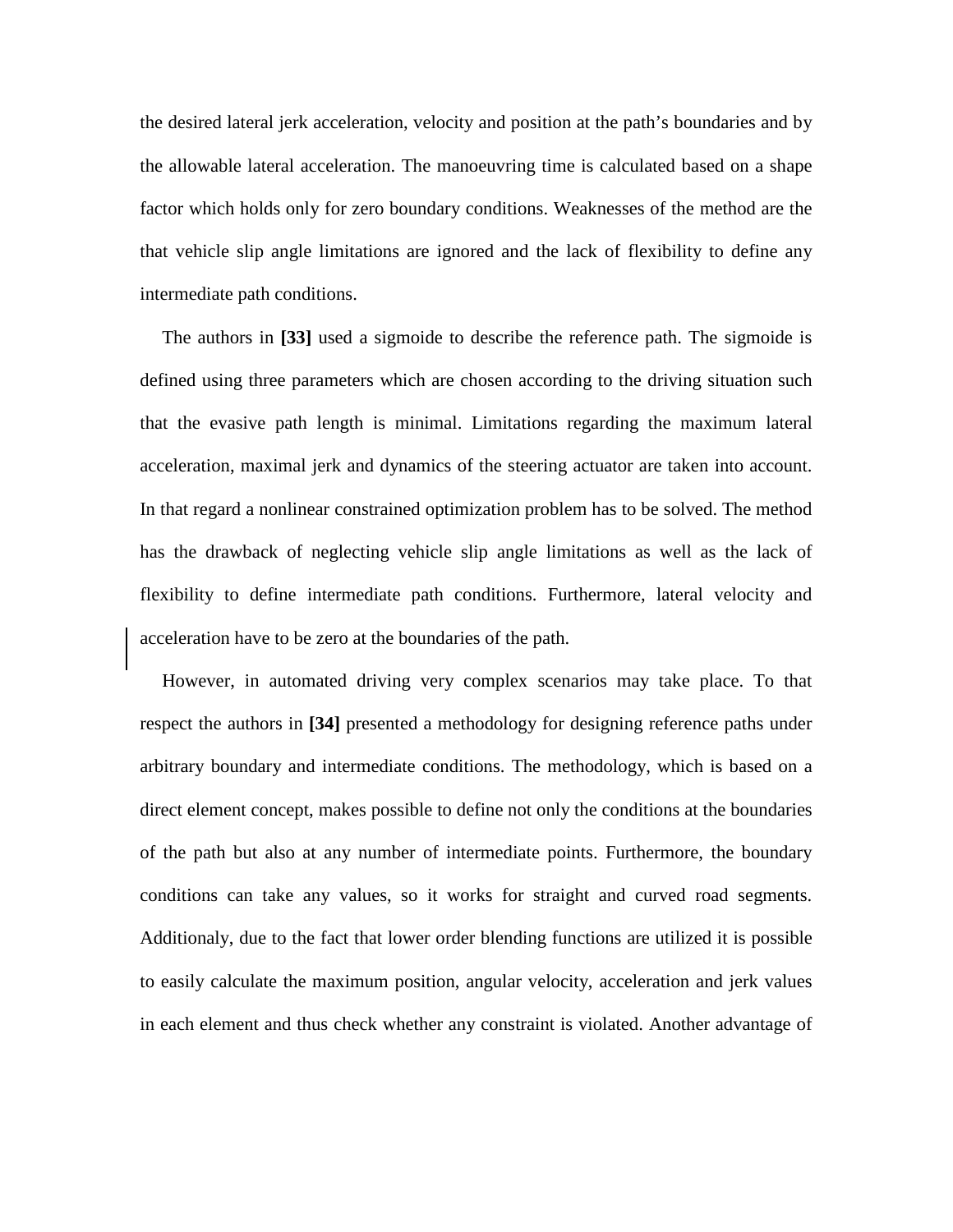the desired lateral jerk acceleration, velocity and position at the path's boundaries and by the allowable lateral acceleration. The manoeuvring time is calculated based on a shape factor which holds only for zero boundary conditions. Weaknesses of the method are the that vehicle slip angle limitations are ignored and the lack of flexibility to define any intermediate path conditions.

The authors in **[33]** used a sigmoide to describe the reference path. The sigmoide is defined using three parameters which are chosen according to the driving situation such that the evasive path length is minimal. Limitations regarding the maximum lateral acceleration, maximal jerk and dynamics of the steering actuator are taken into account. In that regard a nonlinear constrained optimization problem has to be solved. The method has the drawback of neglecting vehicle slip angle limitations as well as the lack of flexibility to define intermediate path conditions. Furthermore, lateral velocity and acceleration have to be zero at the boundaries of the path.

However, in automated driving very complex scenarios may take place. To that respect the authors in **[34]** presented a methodology for designing reference paths under arbitrary boundary and intermediate conditions. The methodology, which is based on a direct element concept, makes possible to define not only the conditions at the boundaries of the path but also at any number of intermediate points. Furthermore, the boundary conditions can take any values, so it works for straight and curved road segments. Additionaly, due to the fact that lower order blending functions are utilized it is possible to easily calculate the maximum position, angular velocity, acceleration and jerk values in each element and thus check whether any constraint is violated. Another advantage of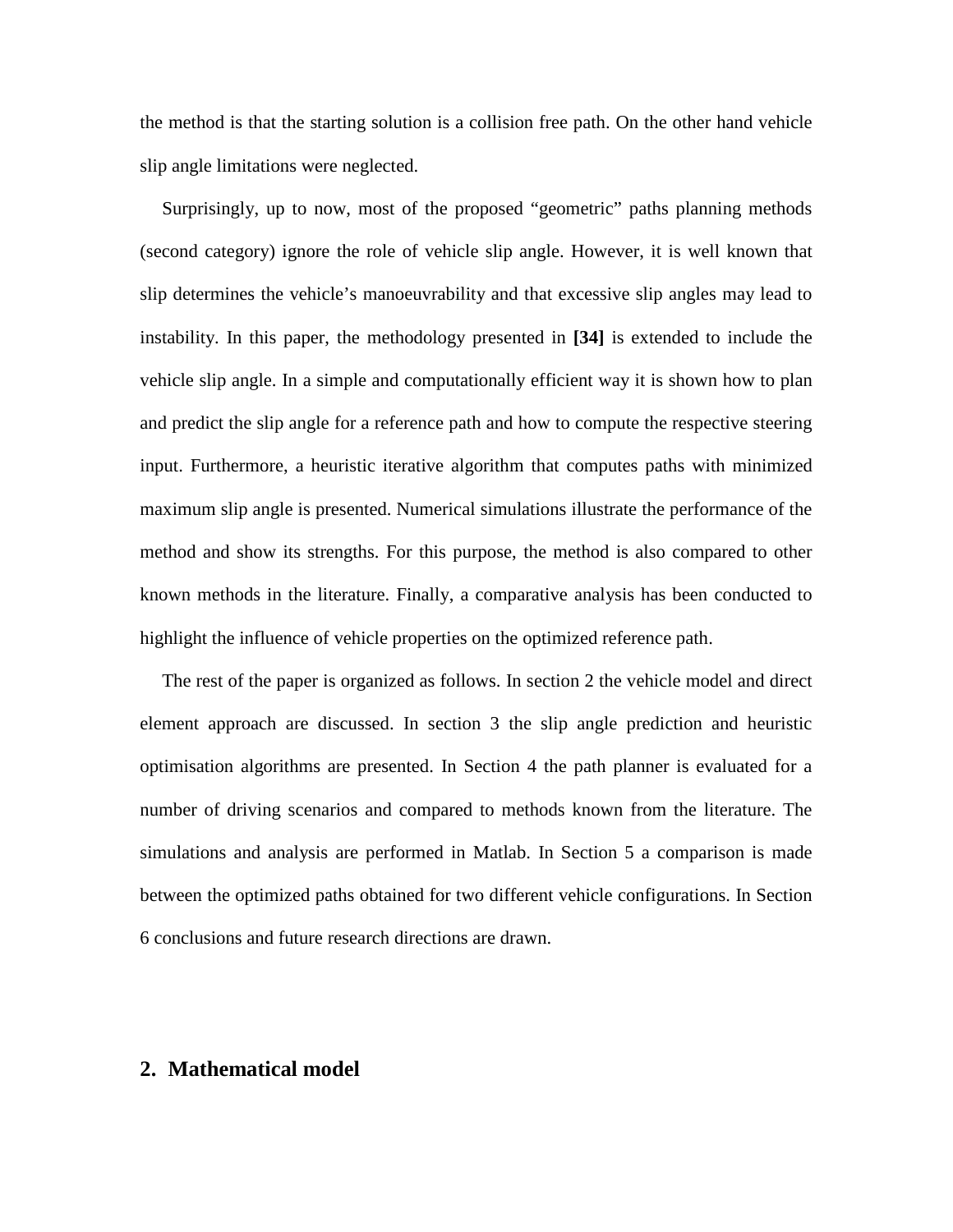the method is that the starting solution is a collision free path. On the other hand vehicle slip angle limitations were neglected.

Surprisingly, up to now, most of the proposed "geometric" paths planning methods (second category) ignore the role of vehicle slip angle. However, it is well known that slip determines the vehicle's manoeuvrability and that excessive slip angles may lead to instability. In this paper, the methodology presented in **[34]** is extended to include the vehicle slip angle. In a simple and computationally efficient way it is shown how to plan and predict the slip angle for a reference path and how to compute the respective steering input. Furthermore, a heuristic iterative algorithm that computes paths with minimized maximum slip angle is presented. Numerical simulations illustrate the performance of the method and show its strengths. For this purpose, the method is also compared to other known methods in the literature. Finally, a comparative analysis has been conducted to highlight the influence of vehicle properties on the optimized reference path.

The rest of the paper is organized as follows. In section 2 the vehicle model and direct element approach are discussed. In section 3 the slip angle prediction and heuristic optimisation algorithms are presented. In Section 4 the path planner is evaluated for a number of driving scenarios and compared to methods known from the literature. The simulations and analysis are performed in Matlab. In Section 5 a comparison is made between the optimized paths obtained for two different vehicle configurations. In Section 6 conclusions and future research directions are drawn.

#### **2. Mathematical model**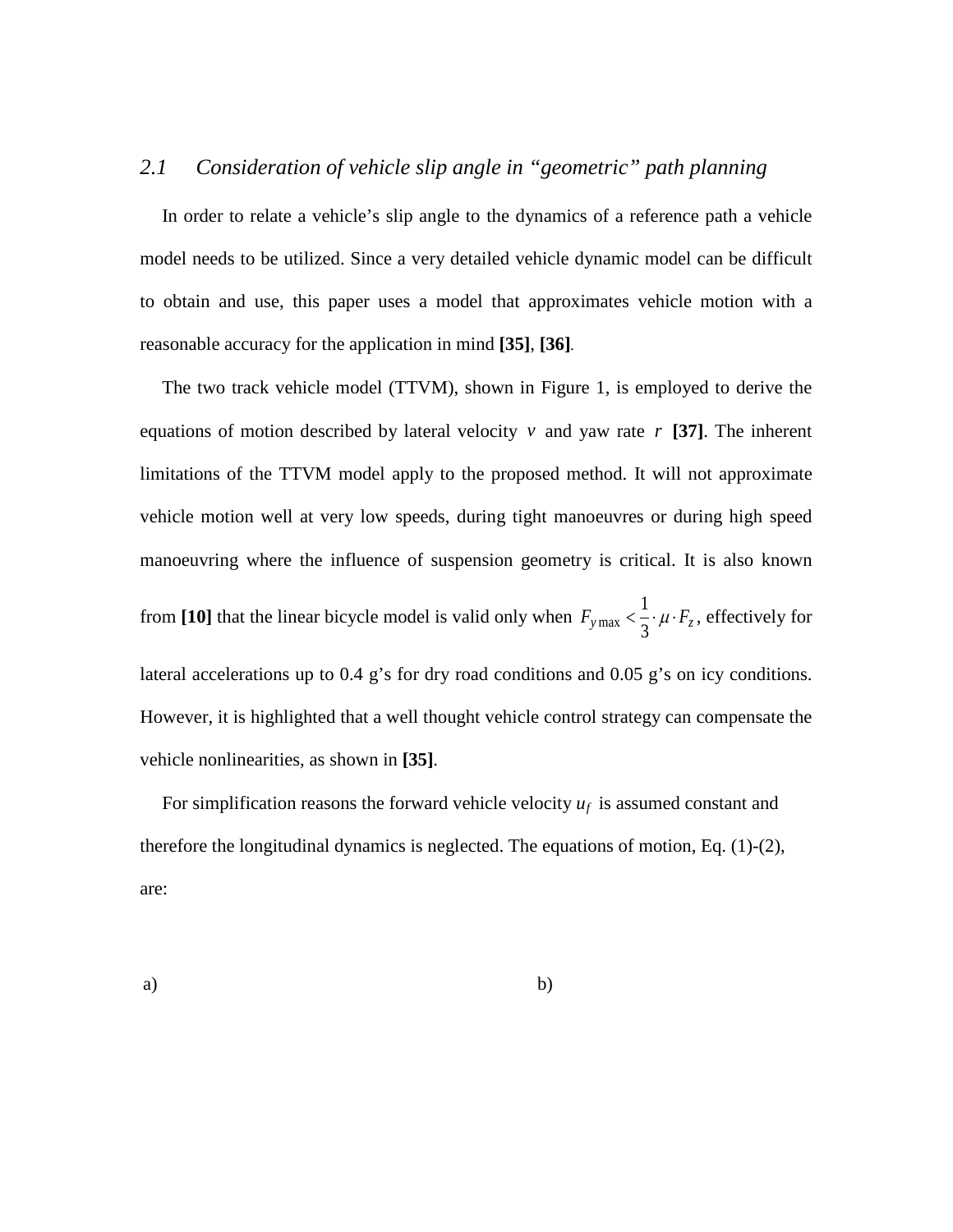#### *2.1 Consideration of vehicle slip angle in "geometric" path planning*

In order to relate a vehicle's slip angle to the dynamics of a reference path a vehicle model needs to be utilized. Since a very detailed vehicle dynamic model can be difficult to obtain and use, this paper uses a model that approximates vehicle motion with a reasonable accuracy for the application in mind **[35]**, **[36]***.* 

The two track vehicle model (TTVM), shown in Figure 1, is employed to derive the equations of motion described by lateral velocity  $\nu$  and yaw rate  $r$  **[37]**. The inherent limitations of the TTVM model apply to the proposed method. It will not approximate vehicle motion well at very low speeds, during tight manoeuvres or during high speed manoeuvring where the influence of suspension geometry is critical. It is also known from [10] that the linear bicycle model is valid only when  $F_{\text{ymax}} < \frac{1}{3} \cdot \mu \cdot F_z$  $\frac{1}{2} \times \frac{1}{2} \cdot \mu \cdot F_z$ , effectively for lateral accelerations up to 0.4 g's for dry road conditions and 0.05 g's on icy conditions. However, it is highlighted that a well thought vehicle control strategy can compensate the vehicle nonlinearities, as shown in **[35]**.

For simplification reasons the forward vehicle velocity  $u_f$  is assumed constant and therefore the longitudinal dynamics is neglected. The equations of motion, Eq. (1)-(2), are:

a) b)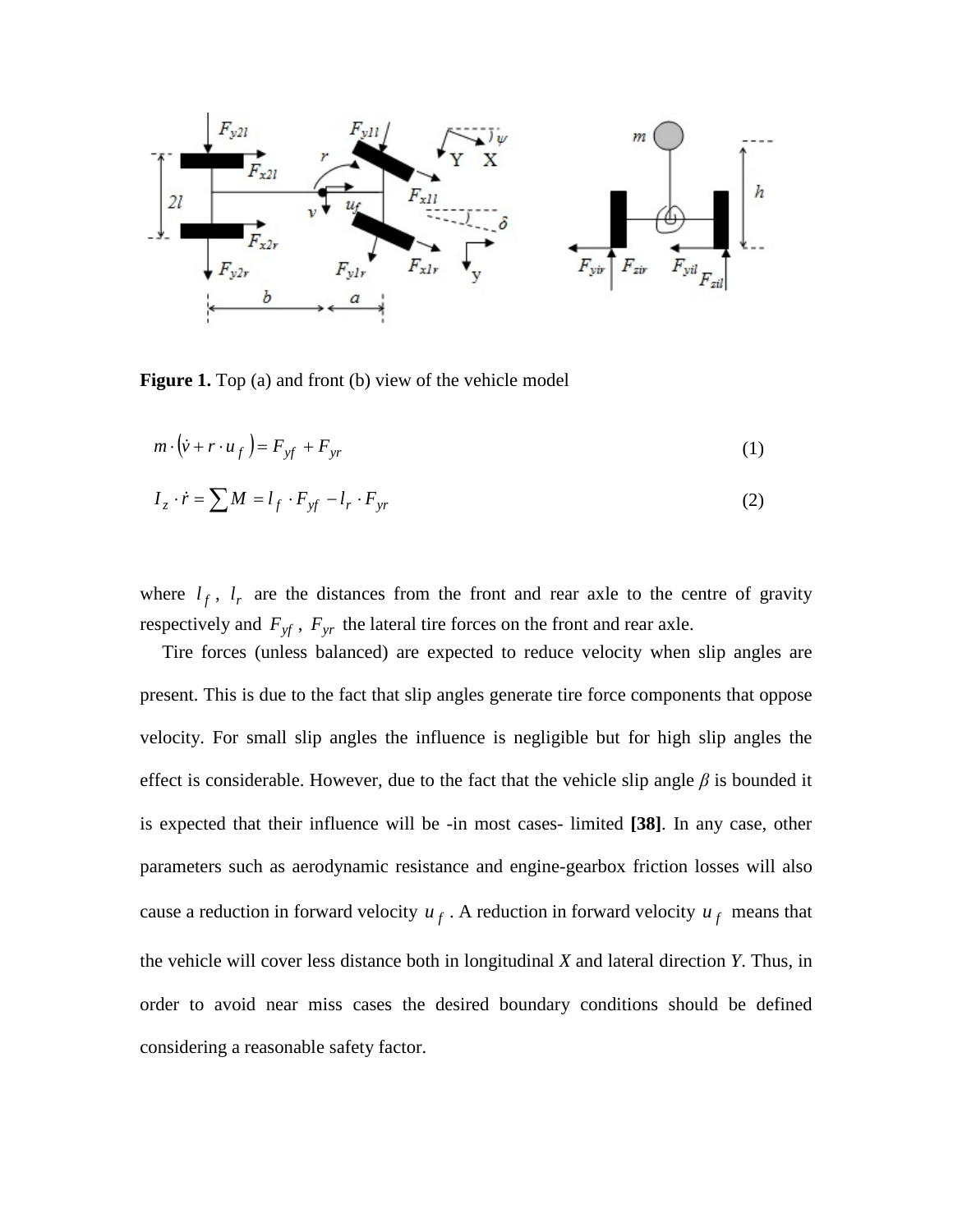

**Figure 1.** Top (a) and front (b) view of the vehicle model

$$
m \cdot (\dot{v} + r \cdot u_f) = F_{xf} + F_{yr} \tag{1}
$$

$$
I_z \cdot \dot{r} = \sum M = l_f \cdot F_{xf} - l_r \cdot F_{yr} \tag{2}
$$

where  $l_f$ ,  $l_r$  are the distances from the front and rear axle to the centre of gravity respectively and  $F_{\gamma f}$ ,  $F_{\gamma r}$  the lateral tire forces on the front and rear axle.

Tire forces (unless balanced) are expected to reduce velocity when slip angles are present. This is due to the fact that slip angles generate tire force components that oppose velocity. For small slip angles the influence is negligible but for high slip angles the effect is considerable. However, due to the fact that the vehicle slip angle *β* is bounded it is expected that their influence will be -in most cases- limited **[38]**. In any case, other parameters such as aerodynamic resistance and engine-gearbox friction losses will also cause a reduction in forward velocity  $u_f$ . A reduction in forward velocity  $u_f$  means that the vehicle will cover less distance both in longitudinal *X* and lateral direction *Y*. Thus, in order to avoid near miss cases the desired boundary conditions should be defined considering a reasonable safety factor.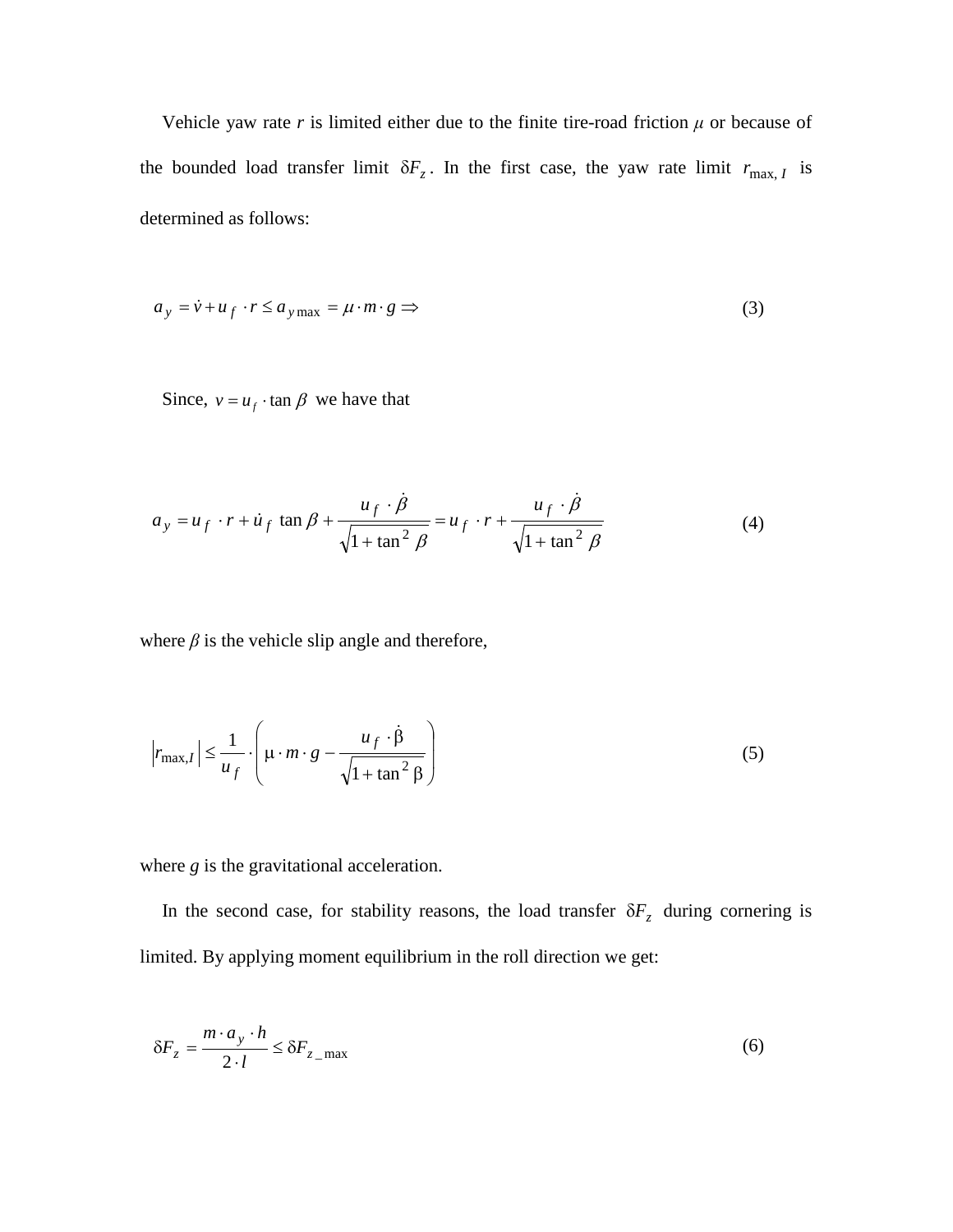Vehicle yaw rate  $r$  is limited either due to the finite tire-road friction  $\mu$  or because of the bounded load transfer limit  $\delta F_z$ . In the first case, the yaw rate limit  $r_{\text{max}, I}$  is determined as follows:

$$
a_y = \dot{v} + u_f \cdot r \le a_{y \max} = \mu \cdot m \cdot g \implies \tag{3}
$$

Since,  $v = u_f \cdot \tan \beta$  we have that

$$
a_y = u_f \cdot r + \dot{u}_f \tan \beta + \frac{u_f \cdot \dot{\beta}}{\sqrt{1 + \tan^2 \beta}} = u_f \cdot r + \frac{u_f \cdot \dot{\beta}}{\sqrt{1 + \tan^2 \beta}}
$$
(4)

where  $\beta$  is the vehicle slip angle and therefore,

$$
\left| r_{\max,I} \right| \le \frac{1}{u_f} \cdot \left( \mu \cdot m \cdot g - \frac{u_f \cdot \dot{\beta}}{\sqrt{1 + \tan^2 \beta}} \right) \tag{5}
$$

where *g* is the gravitational acceleration.

In the second case, for stability reasons, the load transfer  $\delta F_z$  during cornering is limited. By applying moment equilibrium in the roll direction we get:

$$
\delta F_z = \frac{m \cdot a_y \cdot h}{2 \cdot l} \le \delta F_{z_{\text{max}}} \tag{6}
$$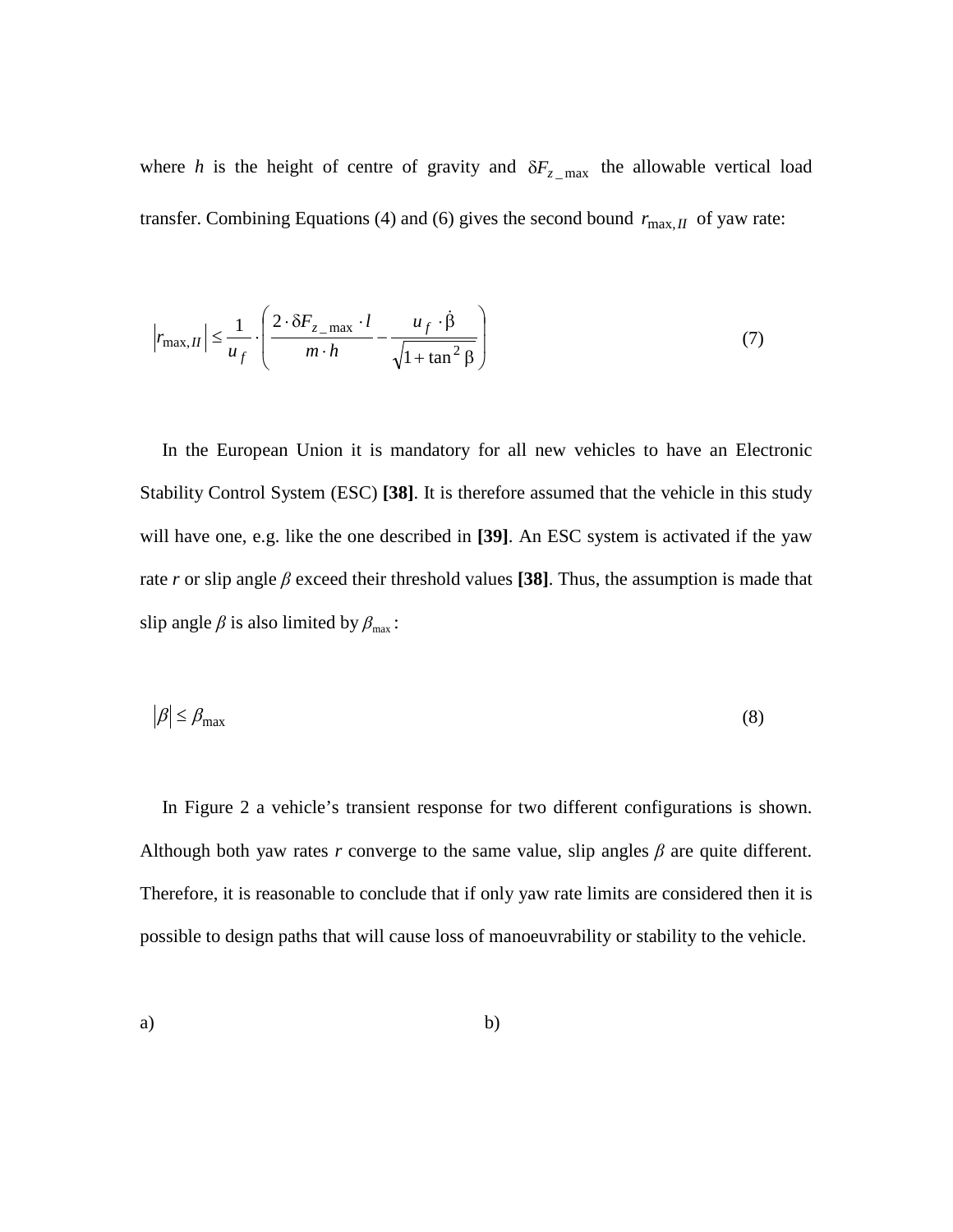where *h* is the height of centre of gravity and  $\delta F_{z_{\text{max}}}$  the allowable vertical load transfer. Combining Equations (4) and (6) gives the second bound  $r_{\text{max},II}$  of yaw rate:

$$
\left| r_{\max,H} \right| \le \frac{1}{u_f} \cdot \left( \frac{2 \cdot \delta F_{z_{\max}} \cdot l}{m \cdot h} - \frac{u_f \cdot \dot{\beta}}{\sqrt{1 + \tan^2 \beta}} \right) \tag{7}
$$

In the European Union it is mandatory for all new vehicles to have an Electronic Stability Control System (ESC) **[38]**. It is therefore assumed that the vehicle in this study will have one, e.g. like the one described in **[39]**. An ESC system is activated if the yaw rate *r* or slip angle *β* exceed their threshold values **[38]**. Thus, the assumption is made that slip angle  $\beta$  is also limited by  $\beta_{\text{max}}$ :

$$
|\beta| \le \beta_{\text{max}} \tag{8}
$$

In Figure 2 a vehicle's transient response for two different configurations is shown. Although both yaw rates *r* converge to the same value, slip angles *β* are quite different. Therefore, it is reasonable to conclude that if only yaw rate limits are considered then it is possible to design paths that will cause loss of manoeuvrability or stability to the vehicle.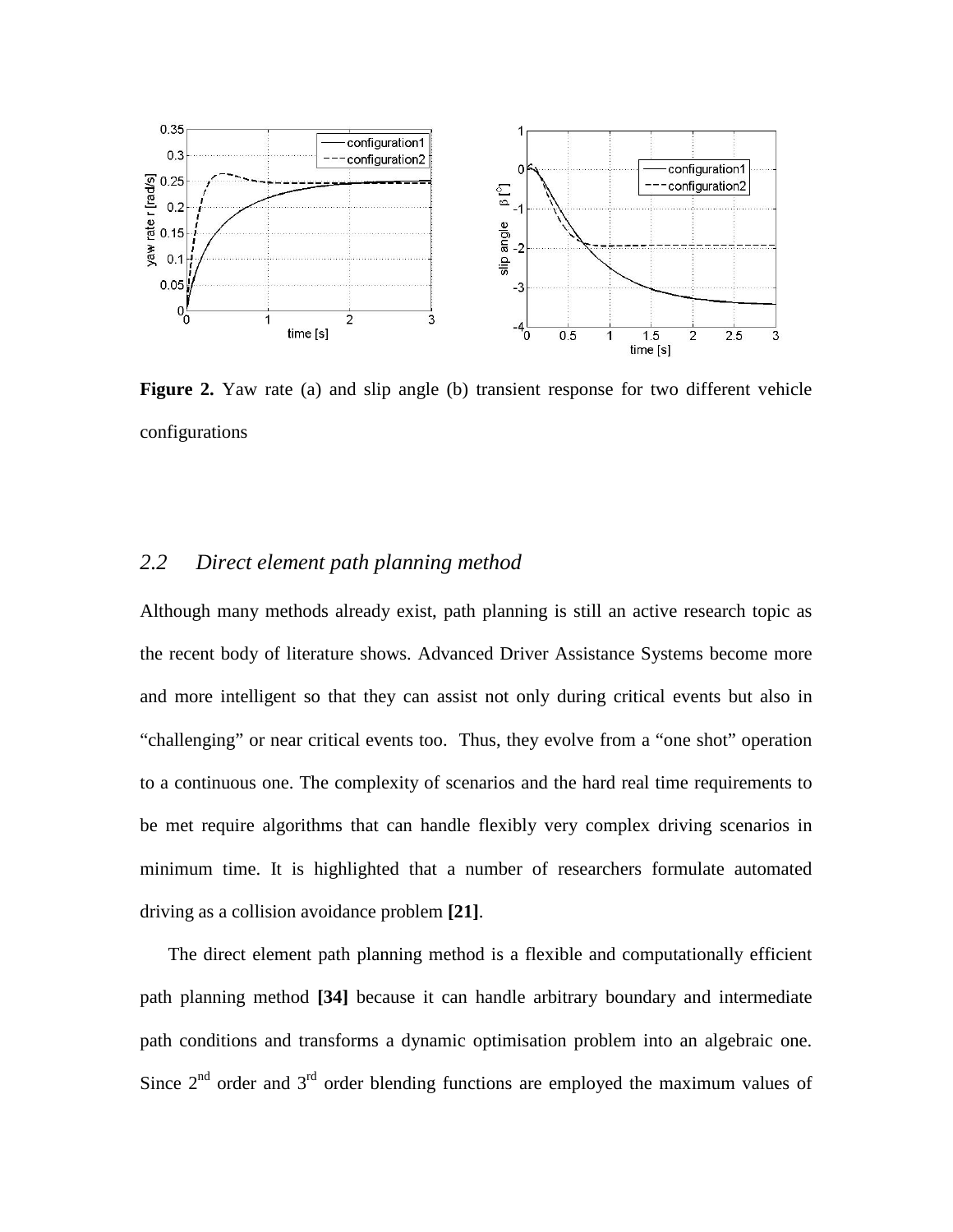

Figure 2. Yaw rate (a) and slip angle (b) transient response for two different vehicle configurations

#### *2.2 Direct element path planning method*

Although many methods already exist, path planning is still an active research topic as the recent body of literature shows. Advanced Driver Assistance Systems become more and more intelligent so that they can assist not only during critical events but also in "challenging" or near critical events too. Thus, they evolve from a "one shot" operation to a continuous one. The complexity of scenarios and the hard real time requirements to be met require algorithms that can handle flexibly very complex driving scenarios in minimum time. It is highlighted that a number of researchers formulate automated driving as a collision avoidance problem **[21]**.

The direct element path planning method is a flexible and computationally efficient path planning method **[34]** because it can handle arbitrary boundary and intermediate path conditions and transforms a dynamic optimisation problem into an algebraic one. Since  $2<sup>nd</sup>$  order and  $3<sup>rd</sup>$  order blending functions are employed the maximum values of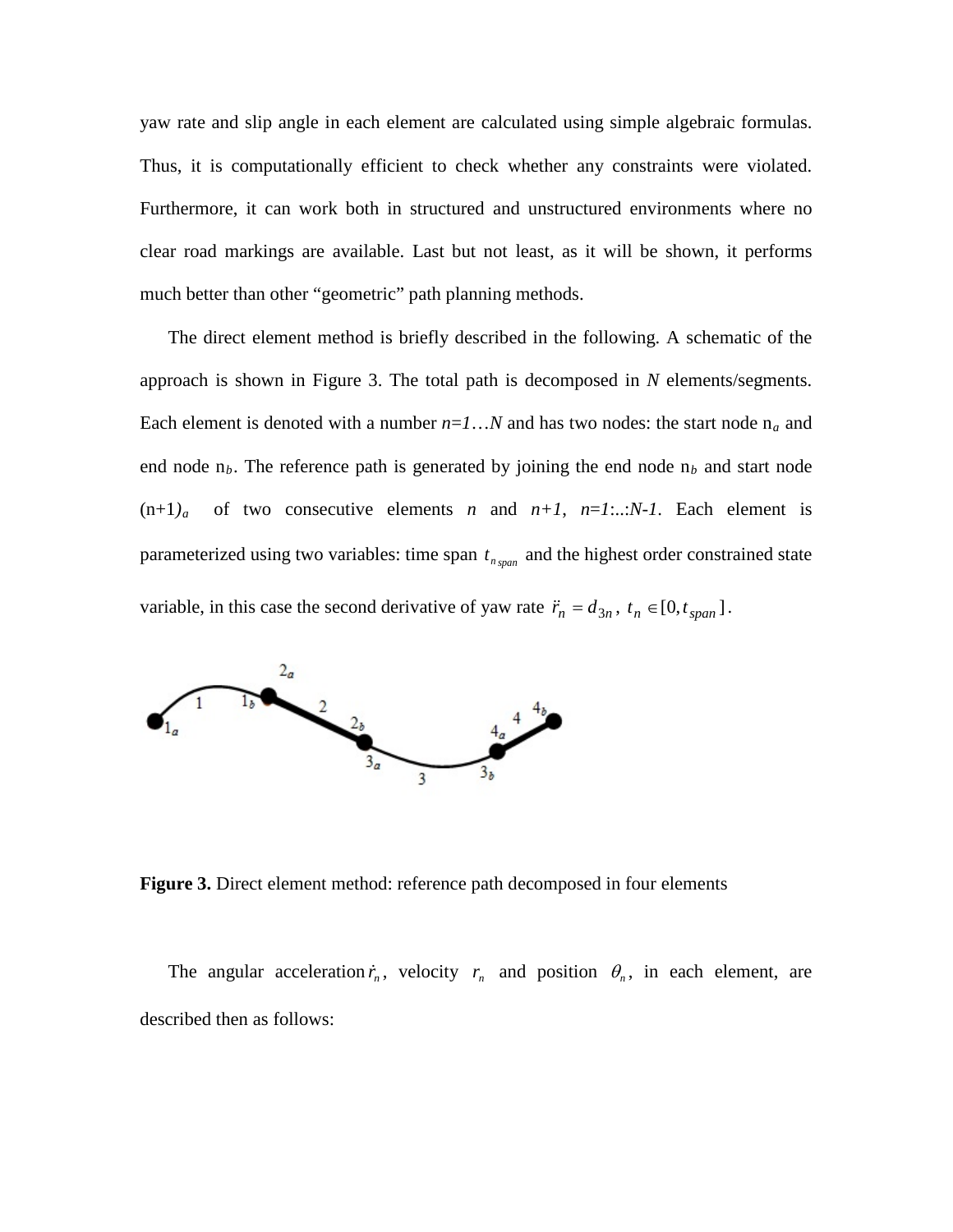yaw rate and slip angle in each element are calculated using simple algebraic formulas. Thus, it is computationally efficient to check whether any constraints were violated. Furthermore, it can work both in structured and unstructured environments where no clear road markings are available. Last but not least, as it will be shown, it performs much better than other "geometric" path planning methods.

The direct element method is briefly described in the following. A schematic of the approach is shown in Figure 3. The total path is decomposed in *N* elements/segments. Each element is denoted with a number  $n=1...N$  and has two nodes: the start node  $n_a$  and end node  $n_b$ . The reference path is generated by joining the end node  $n_b$  and start node  $(n+1)<sub>a</sub>$  of two consecutive elements *n* and  $n+1$ ,  $n=1$ :..:*N*-1. Each element is parameterized using two variables: time span  $t_{n<sub>span</sub>}$  and the highest order constrained state variable, in this case the second derivative of yaw rate  $\ddot{r}_n = d_{3n}$ ,  $t_n \in [0, t_{span}]$ .



**Figure 3.** Direct element method: reference path decomposed in four elements

The angular acceleration  $\dot{r}_n$ , velocity  $r_n$  and position  $\theta_n$ , in each element, are described then as follows: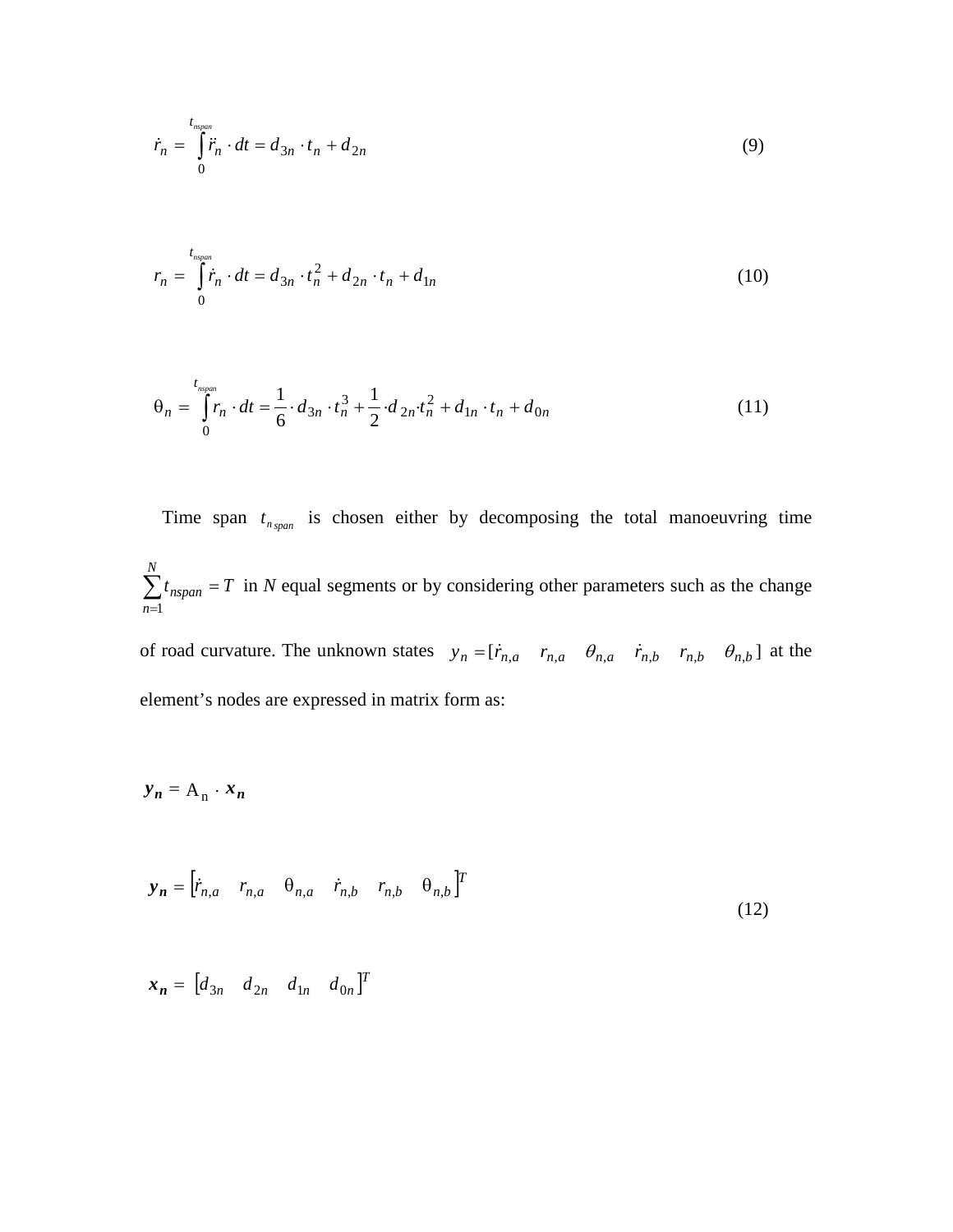$$
\dot{r}_n = \int_0^{t_{nspan}} \ddot{r}_n \cdot dt = d_{3n} \cdot t_n + d_{2n} \tag{9}
$$

$$
r_n = \int_0^{t_{nspan}} \dot{r}_n \cdot dt = d_{3n} \cdot t_n^2 + d_{2n} \cdot t_n + d_{1n} \tag{10}
$$

$$
\theta_n = \int_0^{t_{nspan}} r_n \cdot dt = \frac{1}{6} \cdot d_{3n} \cdot t_n^3 + \frac{1}{2} \cdot d_{2n} \cdot t_n^2 + d_{1n} \cdot t_n + d_{0n} \tag{11}
$$

Time span  $t_{n<sub>spam</sub>}$  is chosen either by decomposing the total manoeuvring time ∑ = = *N n*  $t_{nspan} = T$ 1 in *N* equal segments or by considering other parameters such as the change of road curvature. The unknown states  $y_n = [\dot{r}_{n,a} \quad r_{n,a} \quad \theta_{n,a} \quad \dot{r}_{n,b} \quad r_{n,b} \quad \theta_{n,b}]$  at the

element's nodes are expressed in matrix form as:

$$
y_n = A_n \cdot x_n
$$

$$
\mathbf{y}_n = \begin{bmatrix} \dot{r}_{n,a} & r_{n,a} & \theta_{n,a} & \dot{r}_{n,b} & r_{n,b} & \theta_{n,b} \end{bmatrix}^T
$$
 (12)

$$
\boldsymbol{x}_n = \begin{bmatrix} d_{3n} & d_{2n} & d_{1n} & d_{0n} \end{bmatrix}^T
$$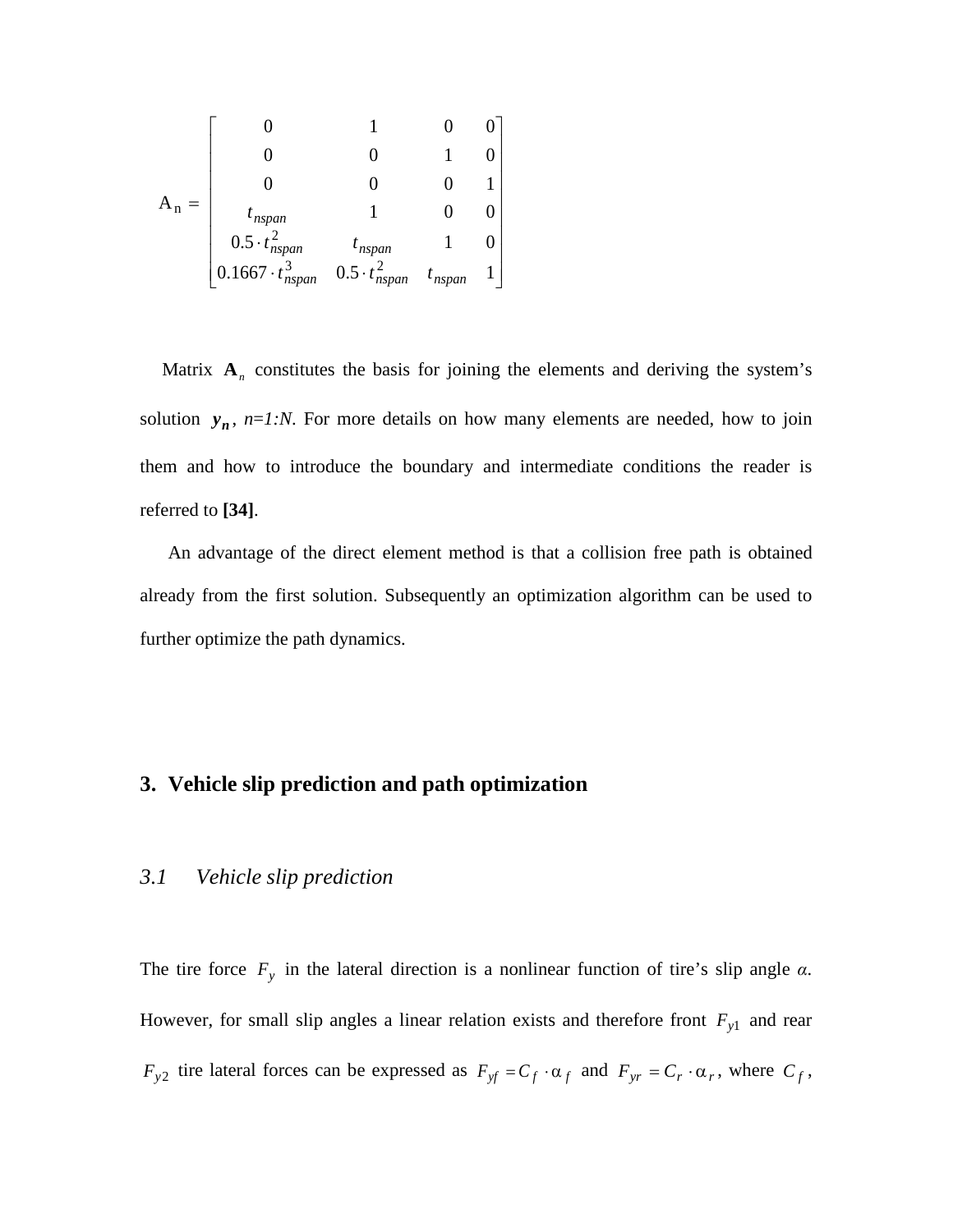$$
A_n = \begin{bmatrix} 0 & 1 & 0 & 0 \\ 0 & 0 & 1 & 0 \\ 0 & 0 & 0 & 1 \\ t_{nspan} & 1 & 0 & 0 \\ 0.5 \cdot t_{nspan}^2 & t_{nspan} & 1 & 0 \\ 0.1667 \cdot t_{nspan}^3 & 0.5 \cdot t_{nspan}^2 & t_{nspan} & 1 \end{bmatrix}
$$

Matrix  $\mathbf{A}_n$  constitutes the basis for joining the elements and deriving the system's solution  $y_n$ ,  $n=1:N$ . For more details on how many elements are needed, how to join them and how to introduce the boundary and intermediate conditions the reader is referred to **[34]**.

An advantage of the direct element method is that a collision free path is obtained already from the first solution. Subsequently an optimization algorithm can be used to further optimize the path dynamics.

#### **3. Vehicle slip prediction and path optimization**

#### *3.1 Vehicle slip prediction*

The tire force  $F_y$  in the lateral direction is a nonlinear function of tire's slip angle  $\alpha$ . However, for small slip angles a linear relation exists and therefore front  $F_{y1}$  and rear *F<sub>y2</sub>* tire lateral forces can be expressed as  $F_yf = C_f \cdot \alpha_f$  and  $F_{yr} = C_r \cdot \alpha_r$ , where  $C_f$ ,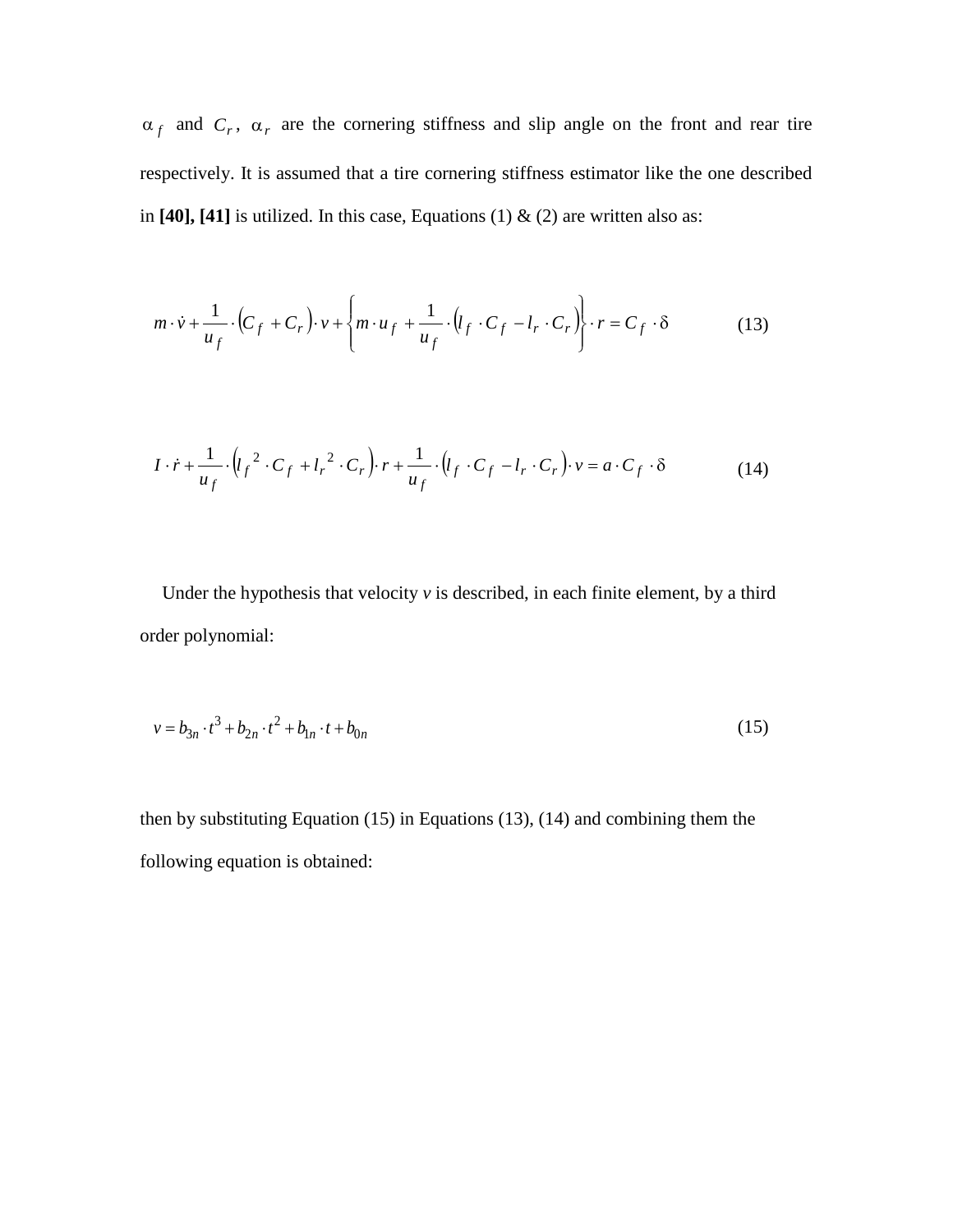$\alpha_f$  and  $C_r$ ,  $\alpha_r$  are the cornering stiffness and slip angle on the front and rear tire respectively. It is assumed that a tire cornering stiffness estimator like the one described in  $[40]$ ,  $[41]$  is utilized. In this case, Equations (1) & (2) are written also as:

$$
m \cdot \dot{v} + \frac{1}{u_f} \cdot (C_f + C_r) \cdot v + \left\{ m \cdot u_f + \frac{1}{u_f} \cdot (l_f \cdot C_f - l_r \cdot C_r) \right\} \cdot r = C_f \cdot \delta \tag{13}
$$

$$
I \cdot \dot{r} + \frac{1}{u_f} \cdot (l_f^2 \cdot C_f + l_r^2 \cdot C_r) \cdot r + \frac{1}{u_f} \cdot (l_f \cdot C_f - l_r \cdot C_r) \cdot v = a \cdot C_f \cdot \delta
$$
 (14)

Under the hypothesis that velocity  $\nu$  is described, in each finite element, by a third order polynomial:

$$
v = b_{3n} \cdot t^3 + b_{2n} \cdot t^2 + b_{1n} \cdot t + b_{0n}
$$
 (15)

then by substituting Equation (15) in Equations (13), (14) and combining them the following equation is obtained: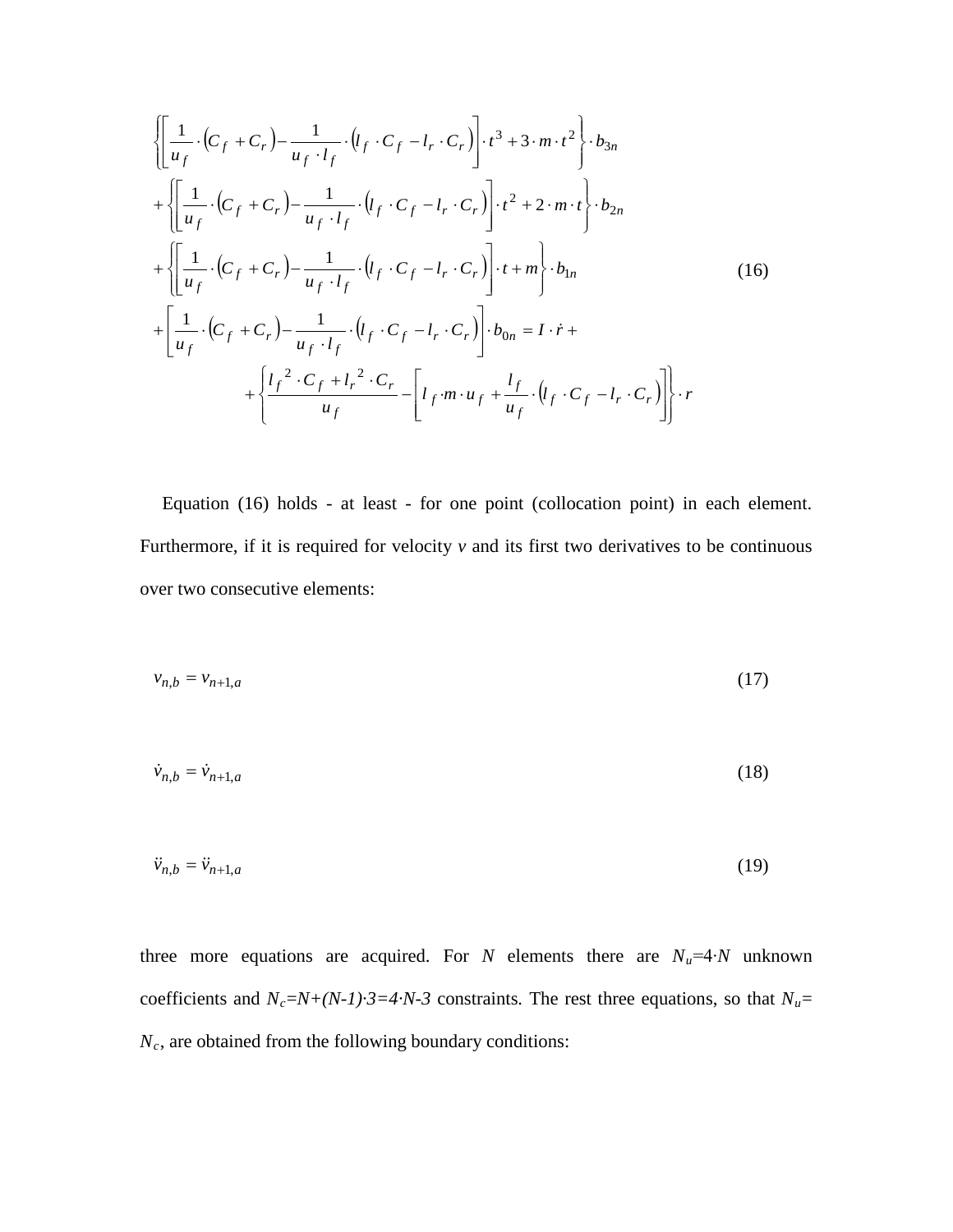$$
\left\{\left[\frac{1}{u_f} \cdot (C_f + C_r) - \frac{1}{u_f \cdot l_f} \cdot (l_f \cdot C_f - l_r \cdot C_r)\right] \cdot t^3 + 3 \cdot m \cdot t^2\right\} \cdot b_{3n} \n+ \left\{\left[\frac{1}{u_f} \cdot (C_f + C_r) - \frac{1}{u_f \cdot l_f} \cdot (l_f \cdot C_f - l_r \cdot C_r)\right] \cdot t^2 + 2 \cdot m \cdot t\right\} \cdot b_{2n} \n+ \left\{\left[\frac{1}{u_f} \cdot (C_f + C_r) - \frac{1}{u_f \cdot l_f} \cdot (l_f \cdot C_f - l_r \cdot C_r)\right] \cdot t + m\right\} \cdot b_{1n} \n+ \left[\frac{1}{u_f} \cdot (C_f + C_r) - \frac{1}{u_f \cdot l_f} \cdot (l_f \cdot C_f - l_r \cdot C_r)\right] \cdot b_{0n} = I \cdot \dot{r} + \n+ \left\{\frac{l_f^2 \cdot C_f + l_r^2 \cdot C_r}{u_f} - \left[l_f \cdot m \cdot u_f + \frac{l_f}{u_f} \cdot (l_f \cdot C_f - l_r \cdot C_r)\right]\right\} \cdot r
$$
\n(16)

Equation (16) holds - at least - for one point (collocation point) in each element. Furthermore, if it is required for velocity  $v$  and its first two derivatives to be continuous over two consecutive elements:

$$
v_{n,b} = v_{n+1,a} \tag{17}
$$

$$
\dot{v}_{n,b} = \dot{v}_{n+1,a} \tag{18}
$$

$$
\ddot{v}_{n,b} = \ddot{v}_{n+1,a} \tag{19}
$$

three more equations are acquired. For *N* elements there are  $N_u=4$ <sup>*N*</sup> unknown coefficients and  $N_c=N+(N-1)\cdot 3=4\cdot N-3$  constraints. The rest three equations, so that  $N_u=$ *Nc*, are obtained from the following boundary conditions: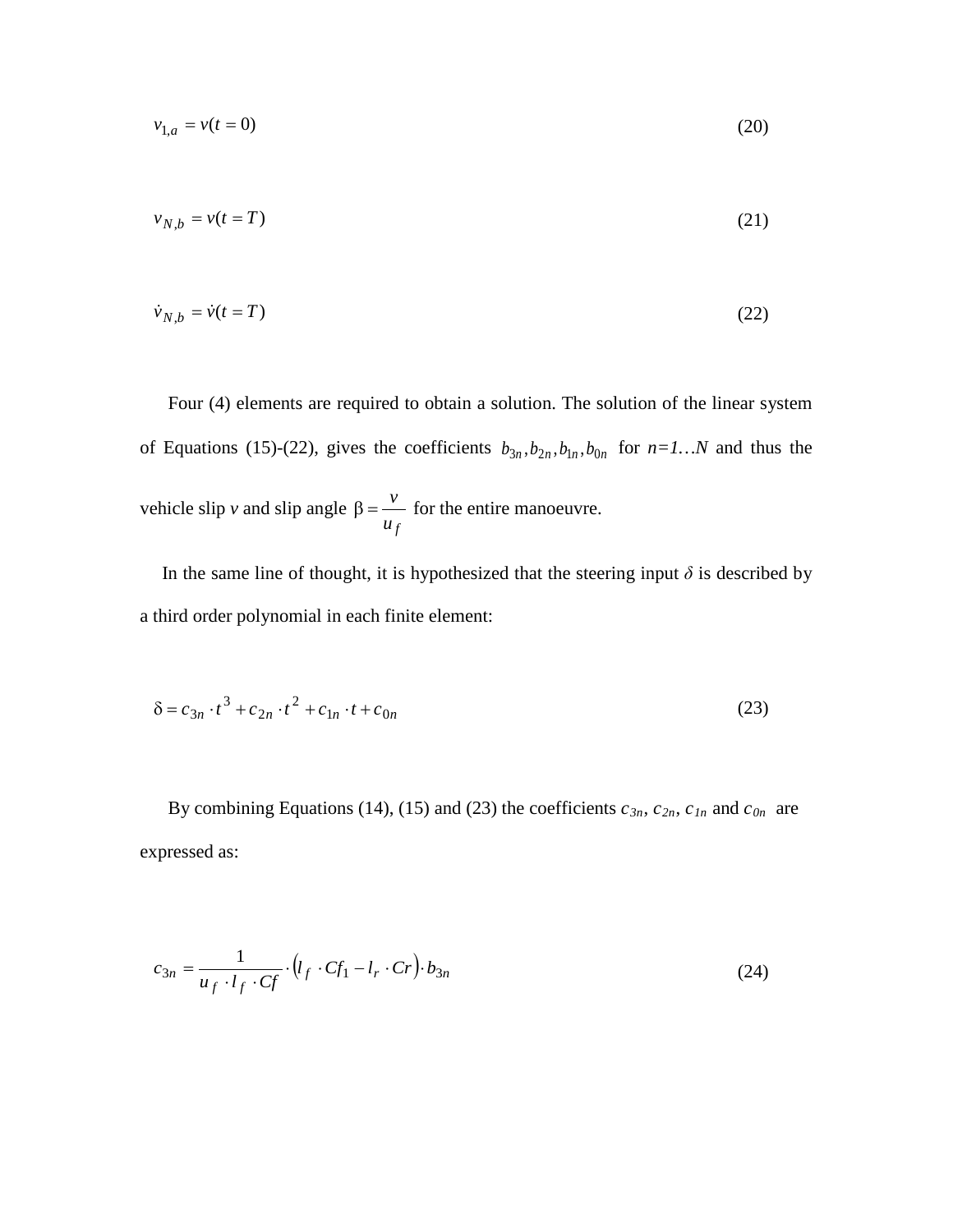$$
v_{1,a} = v(t = 0) \tag{20}
$$

$$
v_{N,b} = v(t = T) \tag{21}
$$

$$
\dot{v}_{N,b} = \dot{v}(t = T) \tag{22}
$$

Four (4) elements are required to obtain a solution. The solution of the linear system of Equations (15)-(22), gives the coefficients  $b_{3n}$ ,  $b_{2n}$ ,  $b_{1n}$ ,  $b_{0n}$  for  $n=1...N$  and thus the vehicle slip *v* and slip angle  $u_f$  $\beta = \frac{v}{r}$  for the entire manoeuvre.

In the same line of thought, it is hypothesized that the steering input  $\delta$  is described by a third order polynomial in each finite element:

$$
\delta = c_{3n} \cdot t^3 + c_{2n} \cdot t^2 + c_{1n} \cdot t + c_{0n} \tag{23}
$$

By combining Equations (14), (15) and (23) the coefficients  $c_{3n}$ ,  $c_{2n}$ ,  $c_{1n}$  and  $c_{0n}$  are expressed as:

$$
c_{3n} = \frac{1}{u_f \cdot l_f \cdot Cf} \cdot (l_f \cdot Cf_1 - l_r \cdot Cr) \cdot b_{3n}
$$
 (24)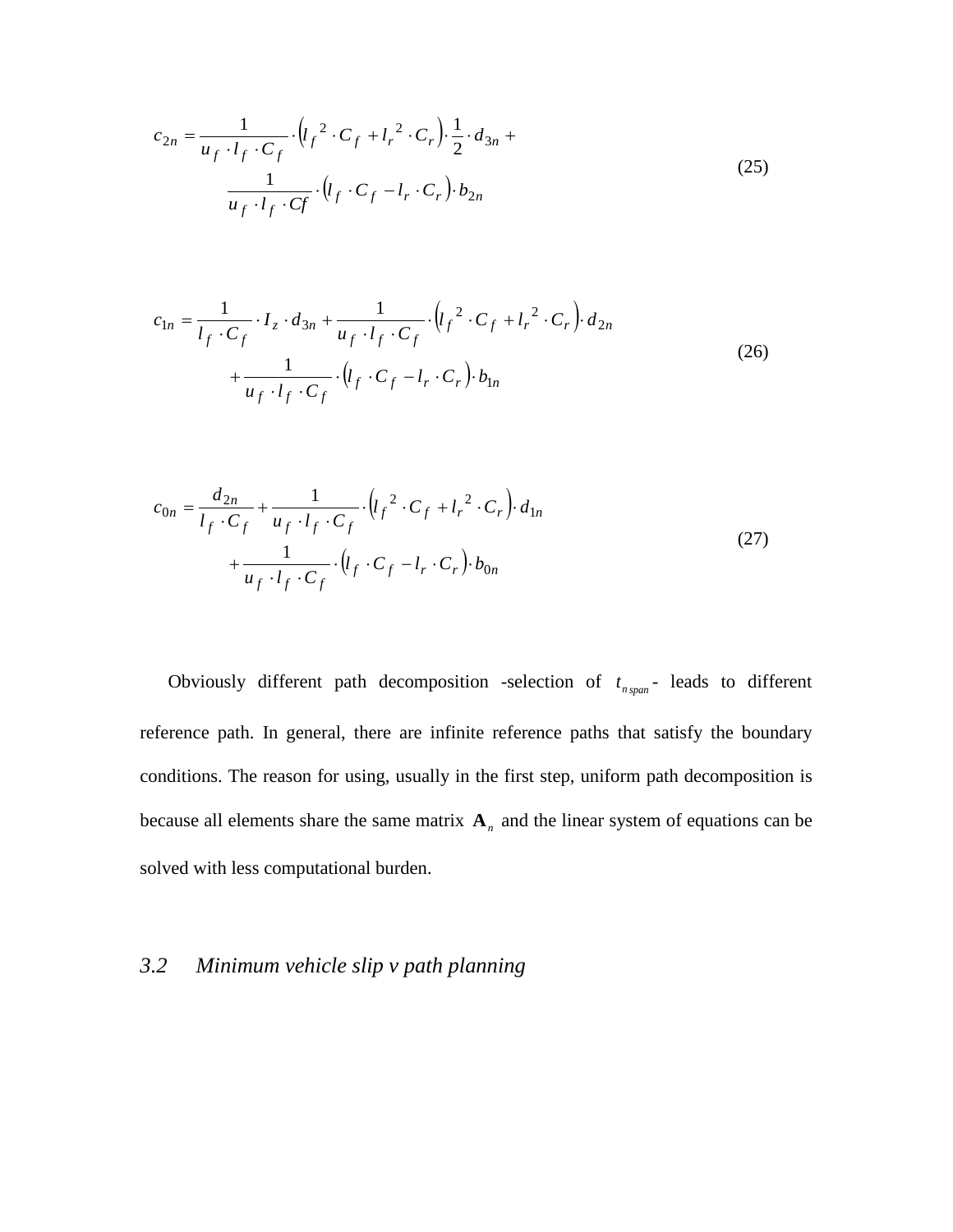$$
c_{2n} = \frac{1}{u_f \cdot l_f \cdot C_f} \cdot (l_f^2 \cdot C_f + l_r^2 \cdot C_r) \cdot \frac{1}{2} \cdot d_{3n} + \frac{1}{u_f \cdot l_f \cdot C_f} \cdot (l_f \cdot C_f - l_r \cdot C_r) \cdot b_{2n}
$$
\n(25)

$$
c_{1n} = \frac{1}{l_f \cdot C_f} \cdot I_z \cdot d_{3n} + \frac{1}{u_f \cdot l_f \cdot C_f} \cdot (l_f^2 \cdot C_f + l_r^2 \cdot C_r) \cdot d_{2n} + \frac{1}{u_f \cdot l_f \cdot C_f} \cdot (l_f \cdot C_f - l_r \cdot C_r) \cdot b_{1n}
$$
\n(26)

$$
c_{0n} = \frac{d_{2n}}{l_f \cdot C_f} + \frac{1}{u_f \cdot l_f \cdot C_f} \cdot (l_f^2 \cdot C_f + l_r^2 \cdot C_r) \cdot d_{1n} + \frac{1}{u_f \cdot l_f \cdot C_f} \cdot (l_f \cdot C_f - l_r \cdot C_r) \cdot b_{0n}
$$
\n(27)

Obviously different path decomposition -selection of  $t_{n\text{span}}$  leads to different reference path. In general, there are infinite reference paths that satisfy the boundary conditions. The reason for using, usually in the first step, uniform path decomposition is because all elements share the same matrix  $A_n$  and the linear system of equations can be solved with less computational burden.

### *3.2 Minimum vehicle slip v path planning*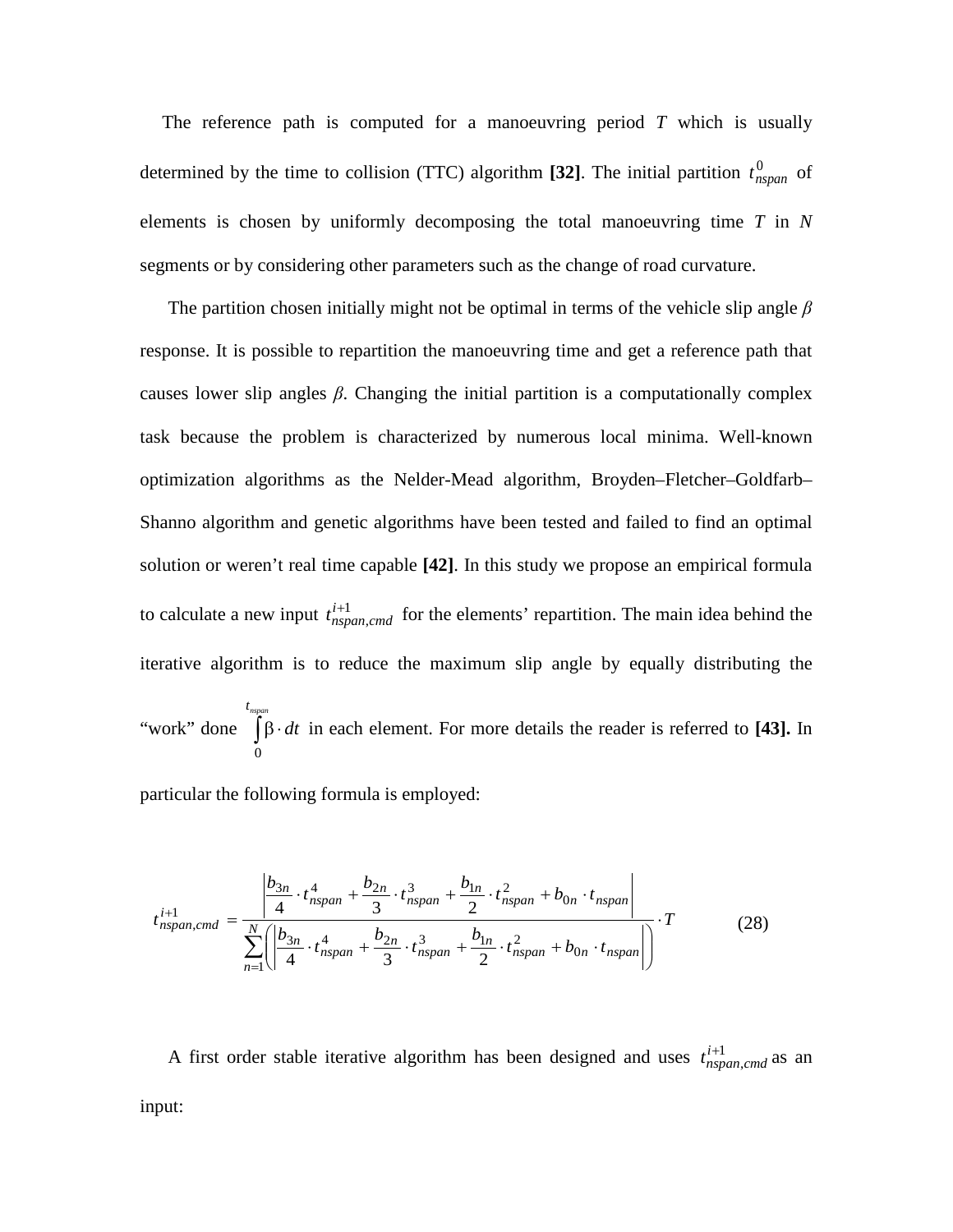The reference path is computed for a manoeuvring period  $T$  which is usually determined by the time to collision (TTC) algorithm [32]. The initial partition  $t_{nspan}^0$  of elements is chosen by uniformly decomposing the total manoeuvring time *T* in *N*  segments or by considering other parameters such as the change of road curvature.

The partition chosen initially might not be optimal in terms of the vehicle slip angle *β* response. It is possible to repartition the manoeuvring time and get a reference path that causes lower slip angles  $\beta$ . Changing the initial partition is a computationally complex task because the problem is characterized by numerous local minima. Well-known optimization algorithms as the Nelder-Mead algorithm, Broyden–Fletcher–Goldfarb– Shanno algorithm and genetic algorithms have been tested and failed to find an optimal solution or weren't real time capable **[42]**. In this study we propose an empirical formula to calculate a new input  $t_{nspan,cmd}^{i+1}$  for the elements' repartition. The main idea behind the iterative algorithm is to reduce the maximum slip angle by equally distributing the

"work" done  $\int \beta$ . *nspan t dt* 0 in each element. For more details the reader is referred to **[43].** In

particular the following formula is employed:

$$
t_{nspan,cmd}^{i+1} = \frac{\left| \frac{b_{3n}}{4} \cdot t_{nspan}^4 + \frac{b_{2n}}{3} \cdot t_{nspan}^3 + \frac{b_{1n}}{2} \cdot t_{nspan}^2 + b_{0n} \cdot t_{nspan} \right|}{\sum_{n=1}^N \left( \left| \frac{b_{3n}}{4} \cdot t_{nspan}^4 + \frac{b_{2n}}{3} \cdot t_{nspan}^3 + \frac{b_{1n}}{2} \cdot t_{nspan}^2 + b_{0n} \cdot t_{nspan} \right| \right)} \cdot T
$$
(28)

A first order stable iterative algorithm has been designed and uses  $t_{nspan,cmd}^{i+1}$  as an input: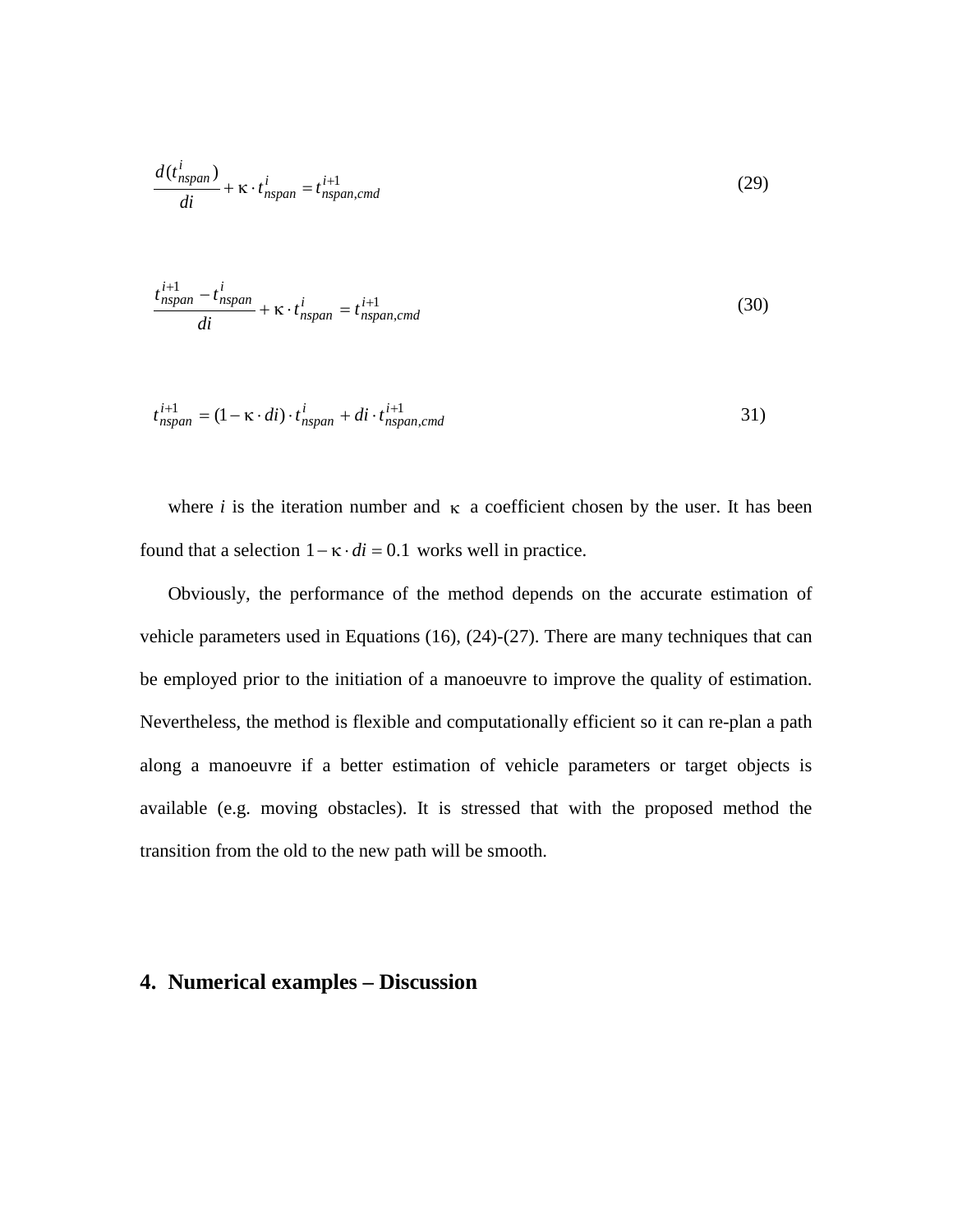$$
\frac{d(t_{nspan}^i)}{di} + \kappa \cdot t_{nspan}^i = t_{nspan,cmd}^{i+1}
$$
 (29)

$$
\frac{t^{i+1}_{nspan} - t^i_{nspan}}{di} + \kappa \cdot t^i_{nspan} = t^{i+1}_{nspan,cmd}
$$
 (30)

$$
t_{nspan}^{i+1} = (1 - \kappa \cdot di) \cdot t_{nspan}^i + di \cdot t_{nspan,cmd}^{i+1}
$$
 31)

where *i* is the iteration number and  $\kappa$  a coefficient chosen by the user. It has been found that a selection  $1 - \kappa \cdot di = 0.1$  works well in practice.

Obviously, the performance of the method depends on the accurate estimation of vehicle parameters used in Equations (16), (24)-(27). There are many techniques that can be employed prior to the initiation of a manoeuvre to improve the quality of estimation. Nevertheless, the method is flexible and computationally efficient so it can re-plan a path along a manoeuvre if a better estimation of vehicle parameters or target objects is available (e.g. moving obstacles). It is stressed that with the proposed method the transition from the old to the new path will be smooth.

#### **4. Numerical examples – Discussion**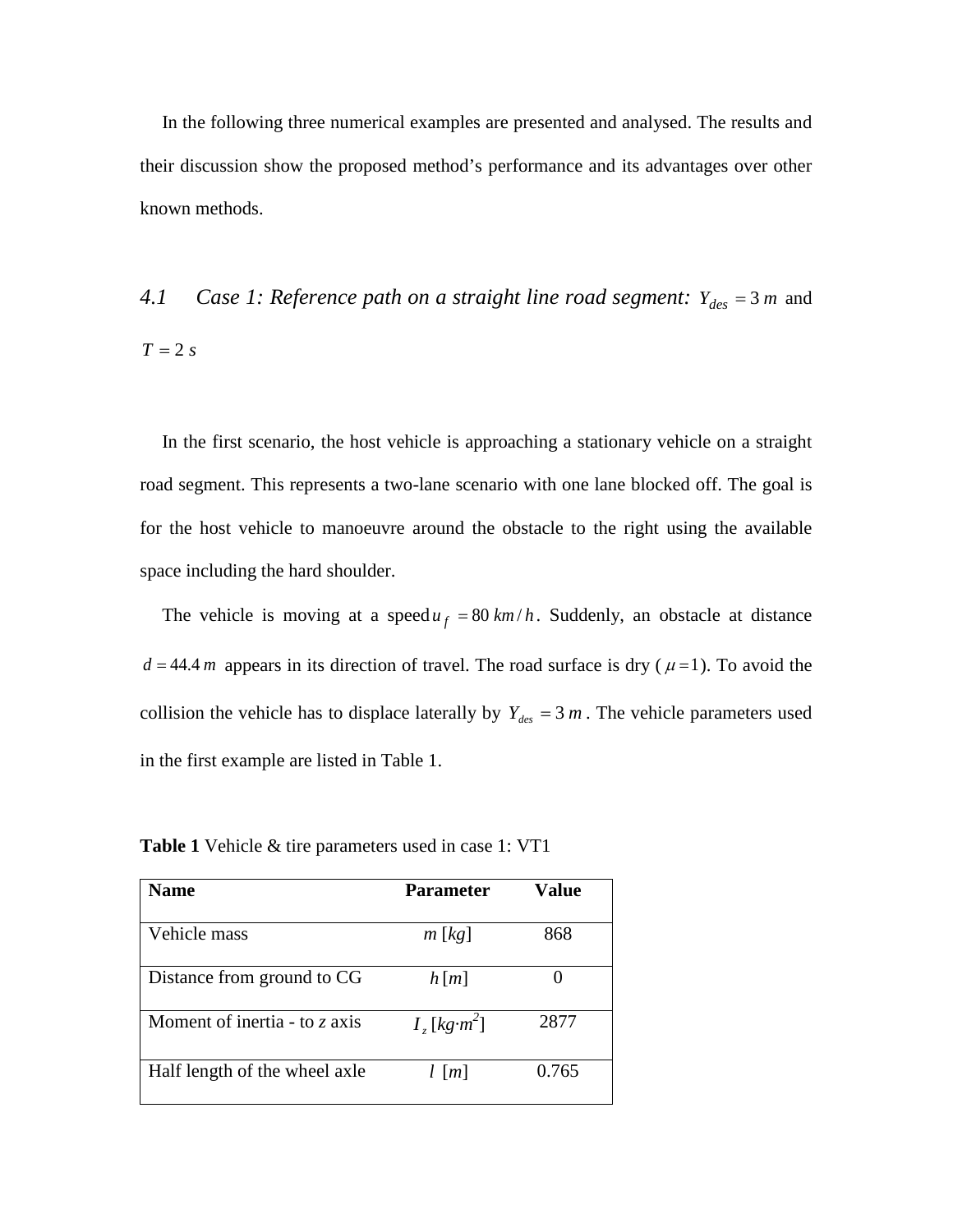In the following three numerical examples are presented and analysed. The results and their discussion show the proposed method's performance and its advantages over other known methods.

*4.1 Case 1: Reference path on a straight line road segment:*  $Y_{des} = 3 m$  and  $T = 2 s$ 

In the first scenario, the host vehicle is approaching a stationary vehicle on a straight road segment. This represents a two-lane scenario with one lane blocked off. The goal is for the host vehicle to manoeuvre around the obstacle to the right using the available space including the hard shoulder.

The vehicle is moving at a speed  $u_f = 80 \, \text{km/h}$ . Suddenly, an obstacle at distance  $d = 44.4 m$  appears in its direction of travel. The road surface is dry ( $\mu = 1$ ). To avoid the collision the vehicle has to displace laterally by  $Y_{des} = 3 m$ . The vehicle parameters used in the first example are listed in Table 1.

**Table 1** Vehicle & tire parameters used in case 1: VT1

| <b>Name</b>                   | <b>Parameter</b>             | Value |
|-------------------------------|------------------------------|-------|
| Vehicle mass                  | $m$ [kg]                     | 868   |
| Distance from ground to CG    | h[m]                         |       |
| Moment of inertia - to z axis | $I_{z}$ [kg·m <sup>2</sup> ] | 2877  |
| Half length of the wheel axle | $l \lfloor m \rfloor$        | 0.765 |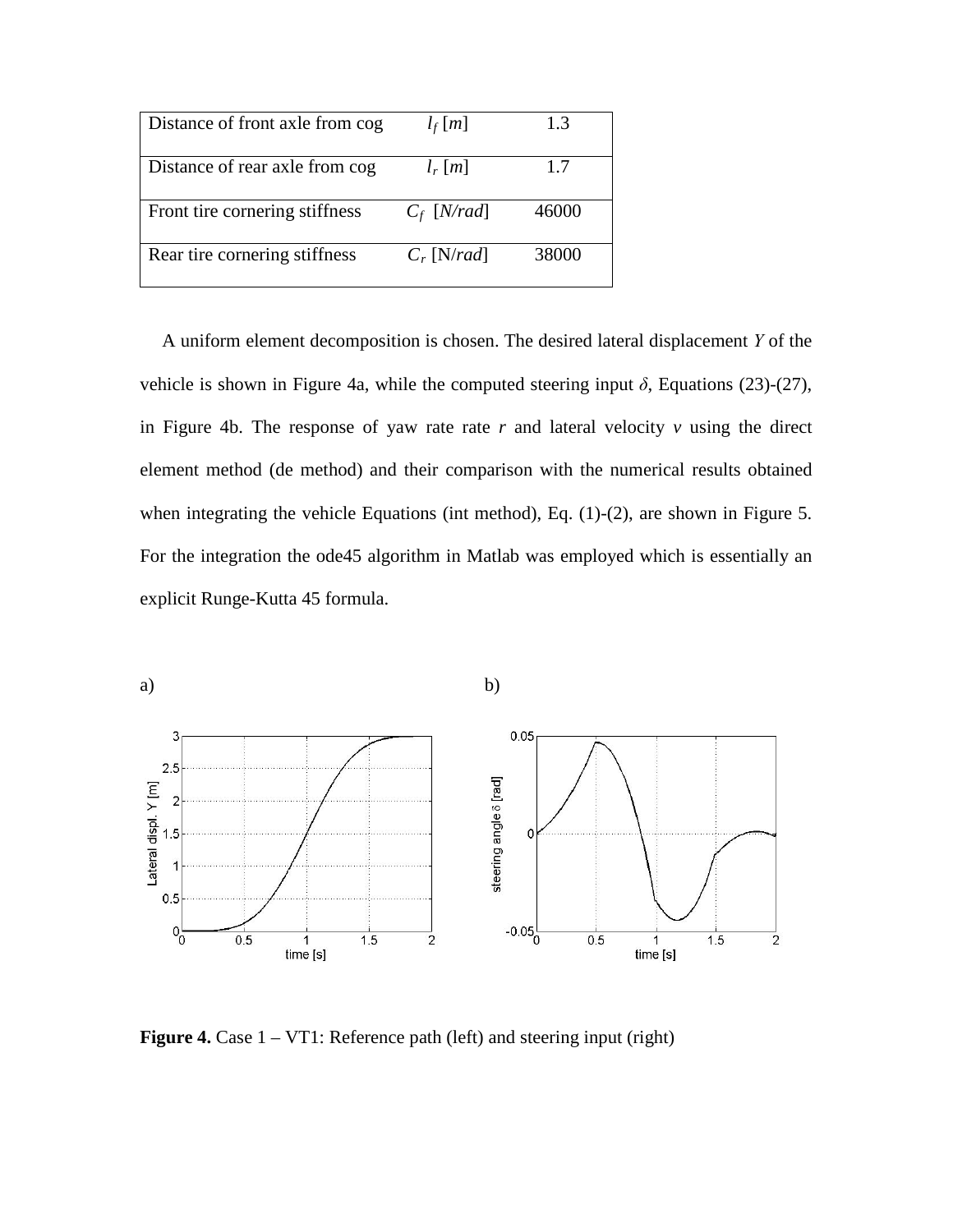| Distance of front axle from cog | $l_f[m]$      | 1.3   |
|---------------------------------|---------------|-------|
| Distance of rear axle from cog  | $l_r$ [m]     | 1.7   |
| Front tire cornering stiffness  | $C_f$ [N/rad] | 46000 |
| Rear tire cornering stiffness   | $C_r$ [N/rad] | 38000 |

A uniform element decomposition is chosen. The desired lateral displacement *Υ* of the vehicle is shown in Figure 4a, while the computed steering input  $\delta$ , Equations (23)-(27), in Figure 4b. The response of yaw rate rate  $r$  and lateral velocity  $v$  using the direct element method (de method) and their comparison with the numerical results obtained when integrating the vehicle Equations (int method), Eq. (1)-(2), are shown in Figure 5. For the integration the ode45 algorithm in Matlab was employed which is essentially an explicit Runge-Kutta 45 formula.



**Figure 4.** Case  $1 - VT1$ : Reference path (left) and steering input (right)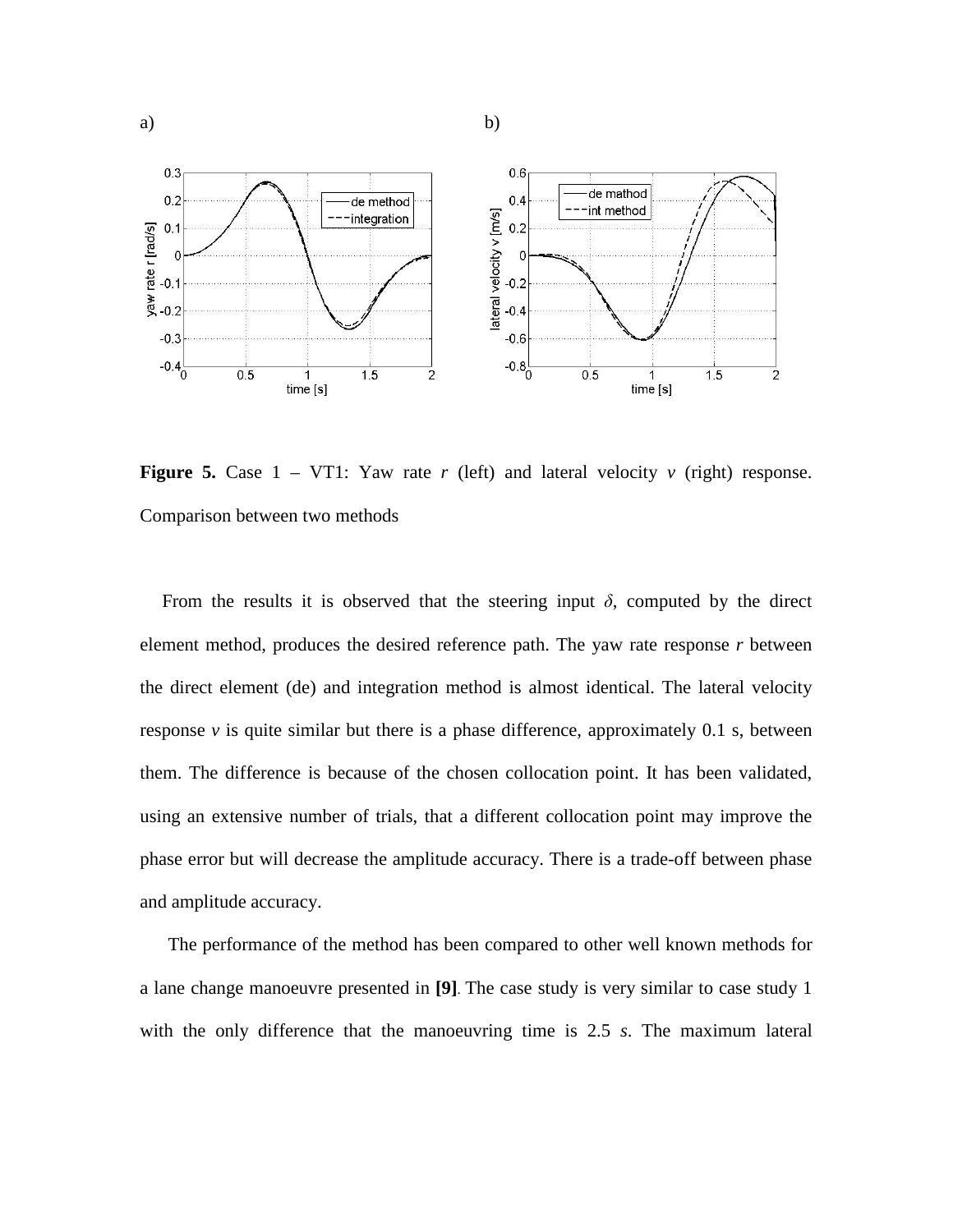

**Figure 5.** Case  $1 - VT1$ : Yaw rate *r* (left) and lateral velocity *v* (right) response. Comparison between two methods

From the results it is observed that the steering input  $\delta$ , computed by the direct element method, produces the desired reference path. The yaw rate response *r* between the direct element (de) and integration method is almost identical. The lateral velocity response  $\nu$  is quite similar but there is a phase difference, approximately 0.1 s, between them. The difference is because of the chosen collocation point. It has been validated, using an extensive number of trials, that a different collocation point may improve the phase error but will decrease the amplitude accuracy. There is a trade-off between phase and amplitude accuracy.

The performance of the method has been compared to other well known methods for a lane change manoeuvre presented in **[9]**. The case study is very similar to case study 1 with the only difference that the manoeuvring time is 2.5 *s*. The maximum lateral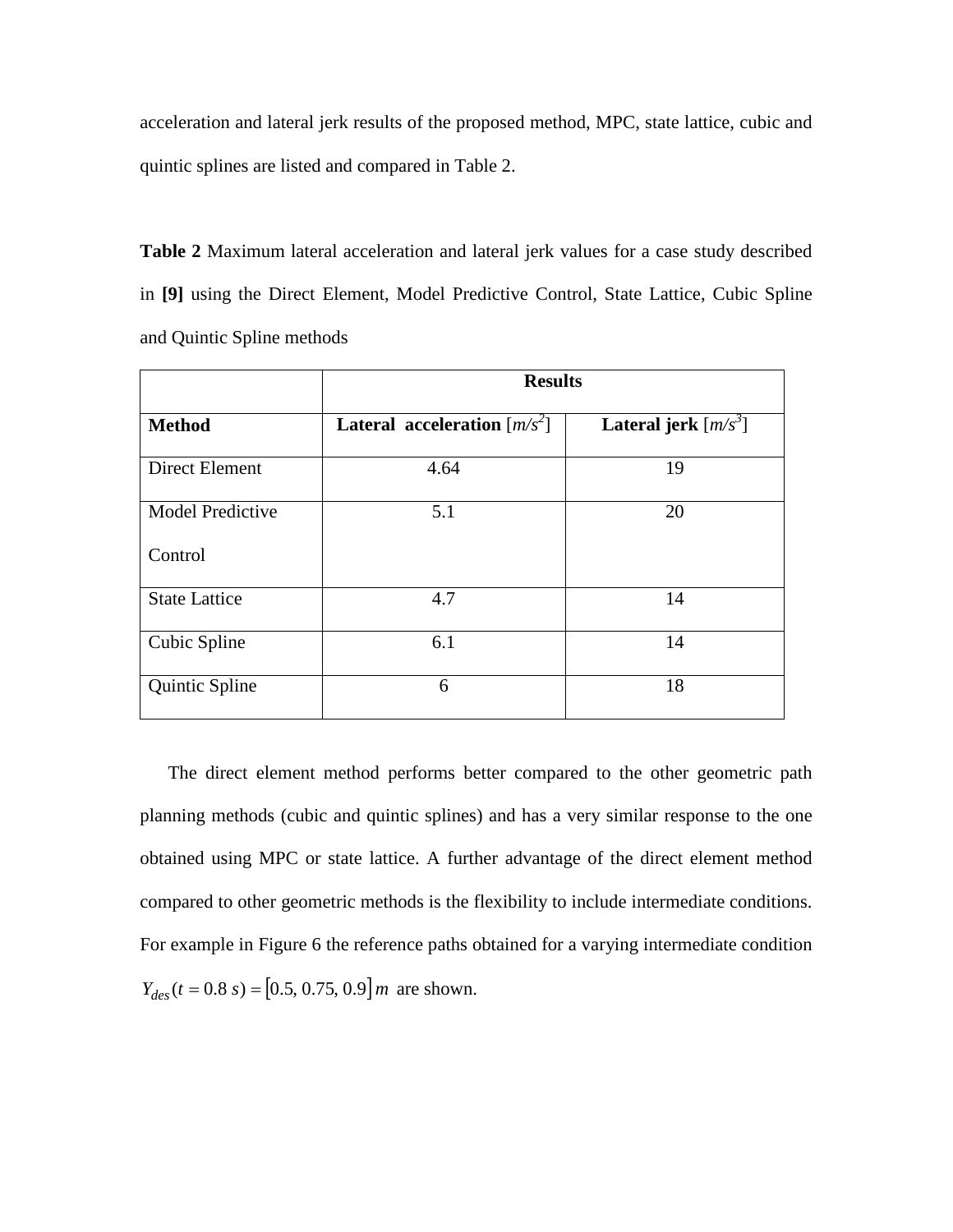acceleration and lateral jerk results of the proposed method, MPC, state lattice, cubic and quintic splines are listed and compared in Table 2.

**Table 2** Maximum lateral acceleration and lateral jerk values for a case study described in **[9]** using the Direct Element, Model Predictive Control, State Lattice, Cubic Spline and Quintic Spline methods

|                         | <b>Results</b>                        |                        |  |
|-------------------------|---------------------------------------|------------------------|--|
| <b>Method</b>           | <b>Lateral acceleration</b> $[m/s^2]$ | Lateral jerk $[m/s^3]$ |  |
| Direct Element          | 4.64                                  | 19                     |  |
| <b>Model Predictive</b> | 5.1                                   | 20                     |  |
| Control                 |                                       |                        |  |
| <b>State Lattice</b>    | 4.7                                   | 14                     |  |
| Cubic Spline            | 6.1                                   | 14                     |  |
| Quintic Spline          | 6                                     | 18                     |  |

The direct element method performs better compared to the other geometric path planning methods (cubic and quintic splines) and has a very similar response to the one obtained using MPC or state lattice. A further advantage of the direct element method compared to other geometric methods is the flexibility to include intermediate conditions. For example in Figure 6 the reference paths obtained for a varying intermediate condition  $Y_{des}(t = 0.8 \text{ s}) = [0.5, 0.75, 0.9] \text{ m}$  are shown.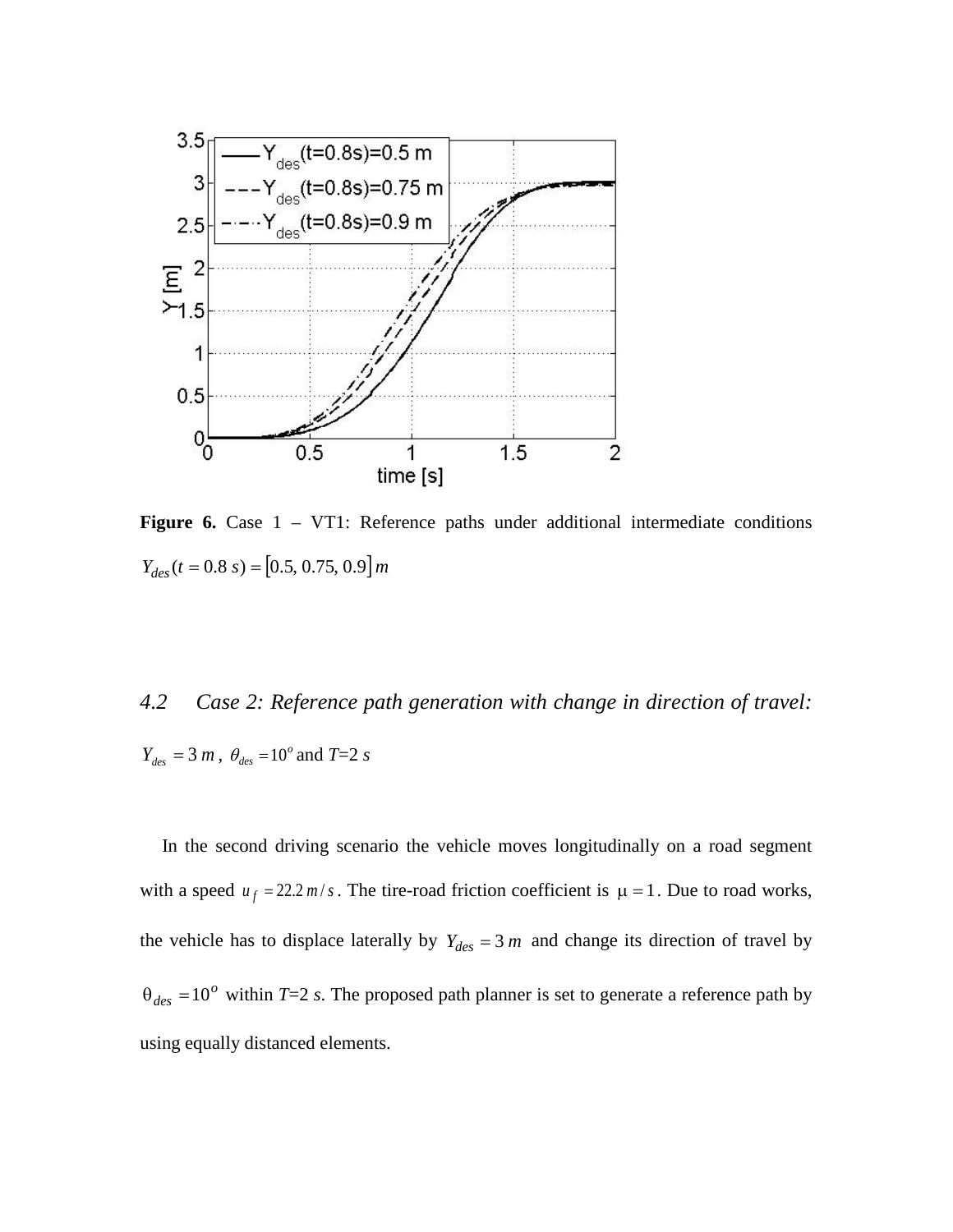

**Figure 6.** Case 1 – VT1: Reference paths under additional intermediate conditions  $Y_{des}$  (*t* = 0.8 *s*) = [0.5, 0.75, 0.9] *m* 

## *4.2 Case 2: Reference path generation with change in direction of travel:*   $Y_{des} = 3 m$ ,  $\theta_{des} = 10^{\circ}$  and *T*=2 *s*

In the second driving scenario the vehicle moves longitudinally on a road segment with a speed  $u_f = 22.2 \frac{m}{s}$ . The tire-road friction coefficient is  $\mu = 1$ . Due to road works, the vehicle has to displace laterally by  $Y_{des} = 3 m$  and change its direction of travel by  $\theta_{des} = 10^{\circ}$  within *T*=2 *s*. The proposed path planner is set to generate a reference path by using equally distanced elements.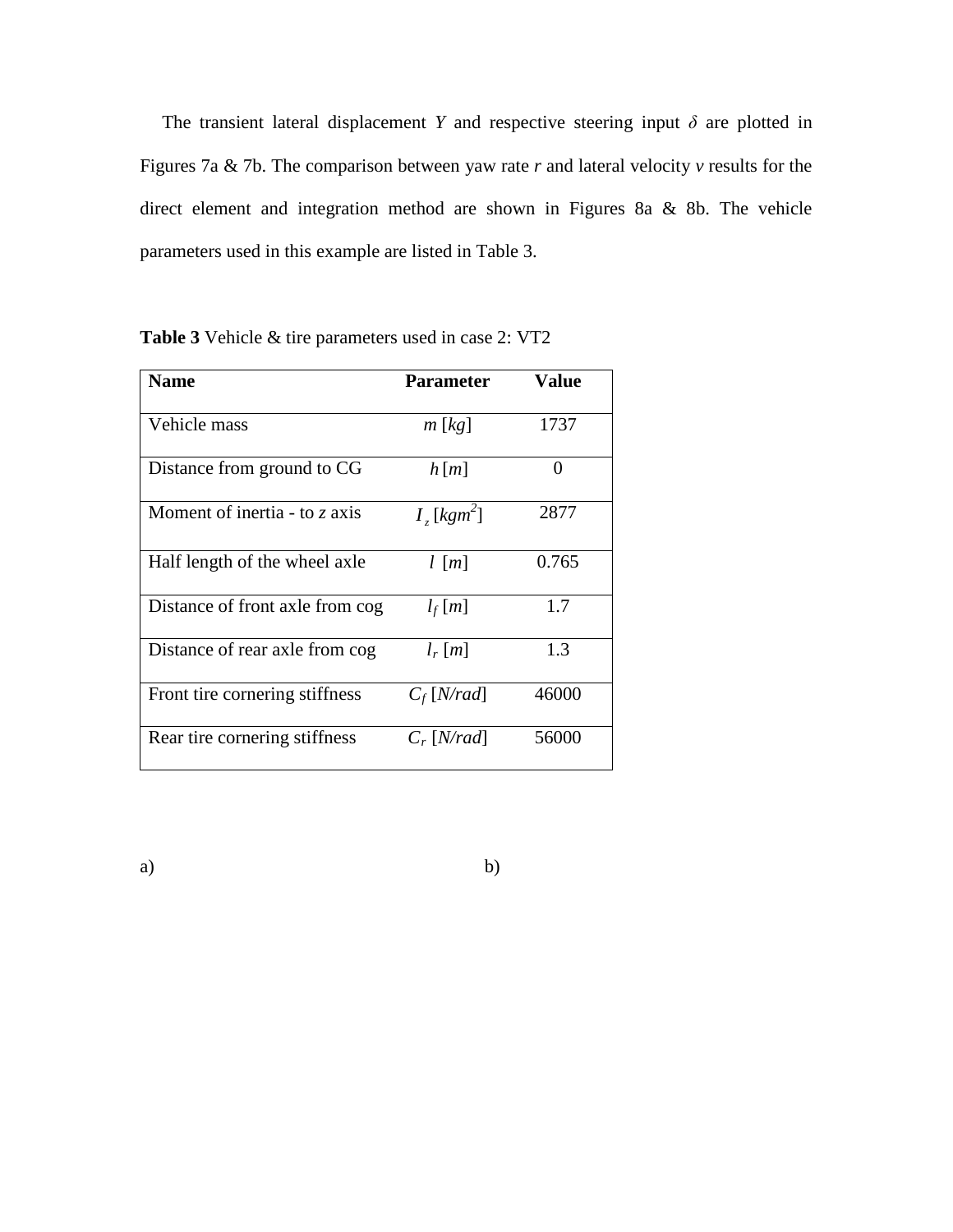The transient lateral displacement *Y* and respective steering input  $\delta$  are plotted in Figures 7a & 7b. The comparison between yaw rate *r* and lateral velocity *v* results for the direct element and integration method are shown in Figures 8a & 8b. The vehicle parameters used in this example are listed in Table 3.

| <b>Name</b>                     | <b>Parameter</b>            | <b>Value</b> |
|---------------------------------|-----------------------------|--------------|
| Vehicle mass                    | $m$ [kg]                    | 1737         |
| Distance from ground to CG      | h[m]                        | 0            |
| Moment of inertia - to z axis   | $I_{z}$ [kgm <sup>2</sup> ] | 2877         |
| Half length of the wheel axle   | $l \lfloor m \rfloor$       | 0.765        |
| Distance of front axle from cog | $l_f[m]$                    | 1.7          |
| Distance of rear axle from cog  | $l_r$ [m]                   | 1.3          |
| Front tire cornering stiffness  | $C_f$ [ <i>N</i> /rad]      | 46000        |
| Rear tire cornering stiffness   | $C_r$ [ <i>N</i> /rad]      | 56000        |

**Table 3** Vehicle & tire parameters used in case 2: VT2

a) b)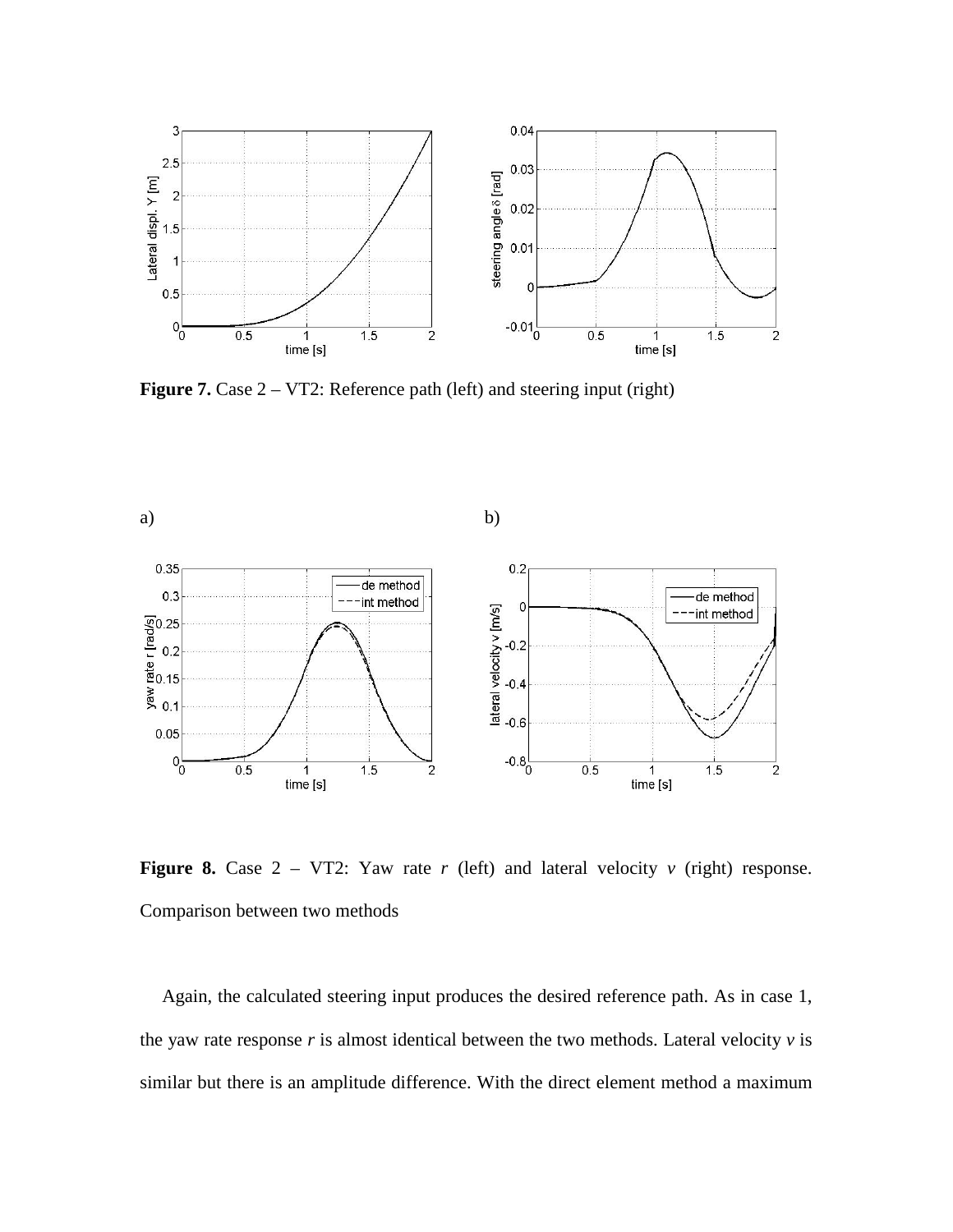

**Figure 7.** Case 2 – VT2: Reference path (left) and steering input (right)



**Figure 8.** Case  $2 - VT2$ : Yaw rate *r* (left) and lateral velocity *v* (right) response. Comparison between two methods

Again, the calculated steering input produces the desired reference path. As in case 1, the yaw rate response  $r$  is almost identical between the two methods. Lateral velocity  $v$  is similar but there is an amplitude difference. With the direct element method a maximum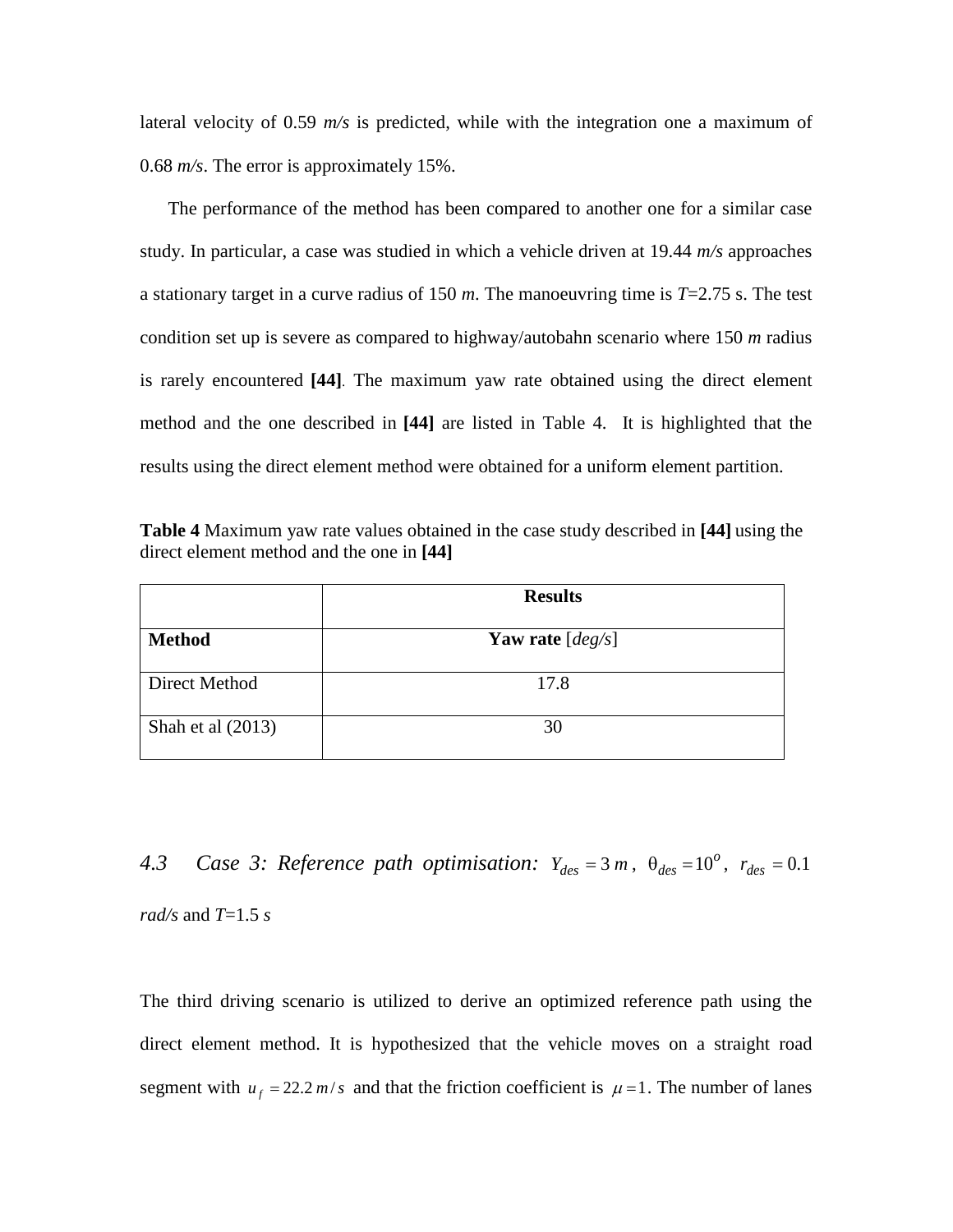lateral velocity of 0.59 *m/s* is predicted, while with the integration one a maximum of 0.68 *m/s*. The error is approximately 15%.

The performance of the method has been compared to another one for a similar case study. In particular, a case was studied in which a vehicle driven at 19.44 *m/s* approaches a stationary target in a curve radius of 150 *m*. The manoeuvring time is *T*=2.75 s. The test condition set up is severe as compared to highway/autobahn scenario where 150 *m* radius is rarely encountered **[44]**. The maximum yaw rate obtained using the direct element method and the one described in **[44]** are listed in Table 4. It is highlighted that the results using the direct element method were obtained for a uniform element partition.

**Table 4** Maximum yaw rate values obtained in the case study described in **[44]** using the direct element method and the one in **[44]**

|                     | <b>Results</b>     |  |  |
|---------------------|--------------------|--|--|
| <b>Method</b>       | Yaw rate $[deg/s]$ |  |  |
| Direct Method       | 17.8               |  |  |
| Shah et al $(2013)$ | 30                 |  |  |

*4.3 Case 3: Reference path optimisation:*  $Y_{des} = 3 m$ ,  $\theta_{des} = 10^{\circ}$ ,  $r_{des} = 0.1$ *rad/s* and *T*=1.5 *s*

The third driving scenario is utilized to derive an optimized reference path using the direct element method. It is hypothesized that the vehicle moves on a straight road segment with  $u_f = 22.2 \frac{m}{s}$  and that the friction coefficient is  $\mu = 1$ . The number of lanes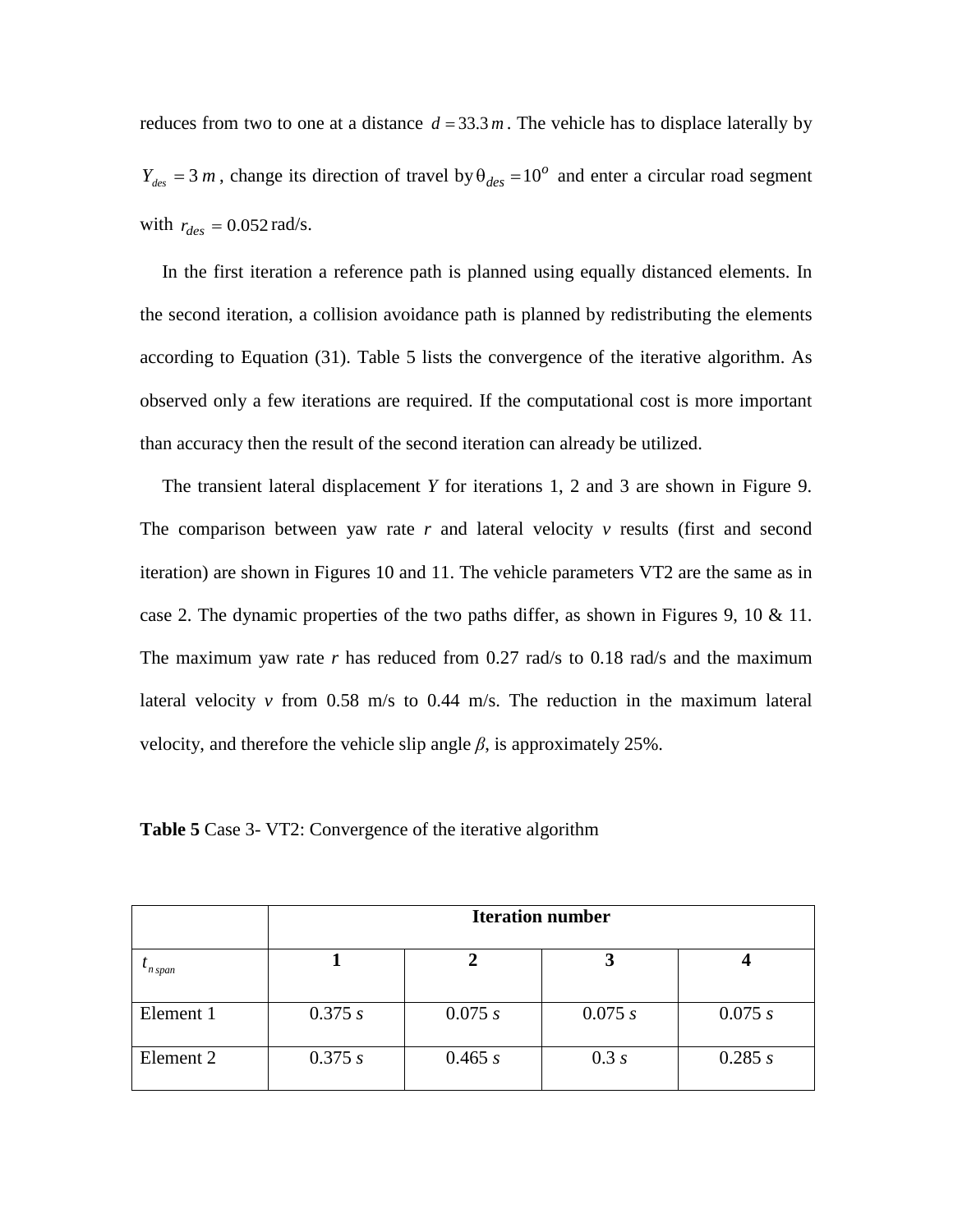reduces from two to one at a distance  $d = 33.3 m$ . The vehicle has to displace laterally by  $Y_{des} = 3 m$ , change its direction of travel by  $\theta_{des} = 10^{\circ}$  and enter a circular road segment with  $r_{des} = 0.052 \text{ rad/s}.$ 

In the first iteration a reference path is planned using equally distanced elements. In the second iteration, a collision avoidance path is planned by redistributing the elements according to Equation (31). Table 5 lists the convergence of the iterative algorithm. As observed only a few iterations are required. If the computational cost is more important than accuracy then the result of the second iteration can already be utilized.

The transient lateral displacement *Y* for iterations 1, 2 and 3 are shown in Figure 9. The comparison between yaw rate  $r$  and lateral velocity  $v$  results (first and second iteration) are shown in Figures 10 and 11. The vehicle parameters VT2 are the same as in case 2. The dynamic properties of the two paths differ, as shown in Figures 9, 10  $\&$  11. The maximum yaw rate  $r$  has reduced from  $0.27$  rad/s to  $0.18$  rad/s and the maximum lateral velocity  $v$  from 0.58 m/s to 0.44 m/s. The reduction in the maximum lateral velocity, and therefore the vehicle slip angle  $\beta$ , is approximately 25%.

| <b>Table 5</b> Case 3- VT2: Convergence of the iterative algorithm |  |  |
|--------------------------------------------------------------------|--|--|
|                                                                    |  |  |

|           | <b>Iteration number</b> |         |         |         |
|-----------|-------------------------|---------|---------|---------|
| n span    |                         |         |         |         |
| Element 1 | 0.375 s                 | 0.075 s | 0.075 s | 0.075 s |
| Element 2 | 0.375 s                 | 0.465 s | 0.3 s   | 0.285 s |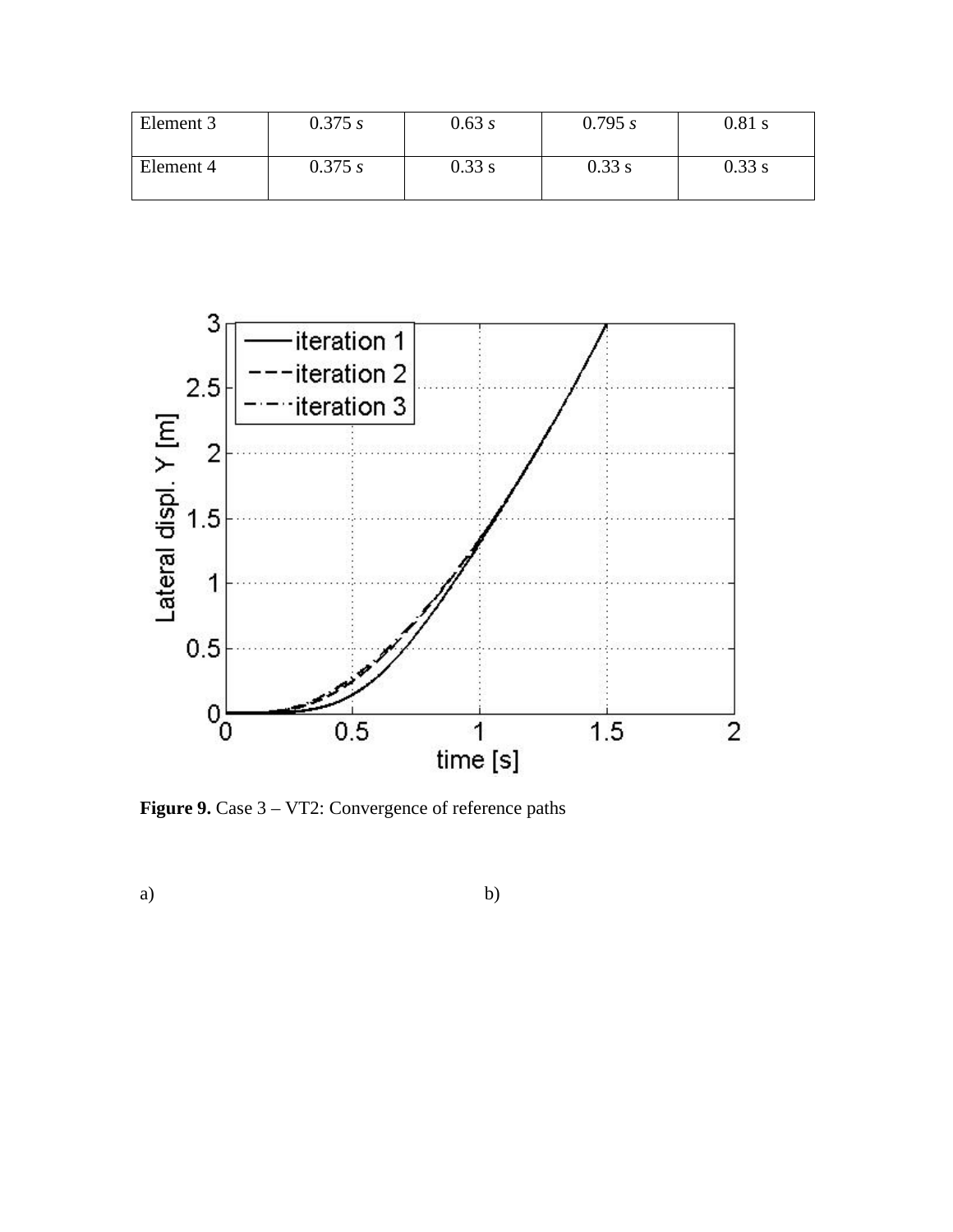| Element 3 | 0.375 s | 0.63 s   | 0.795 s | $0.81$ s |
|-----------|---------|----------|---------|----------|
| Element 4 | 0.375 s | $0.33$ s | 0.33 s  | 0.33 s   |



Figure 9. Case  $3 - VT2$ : Convergence of reference paths

a) b)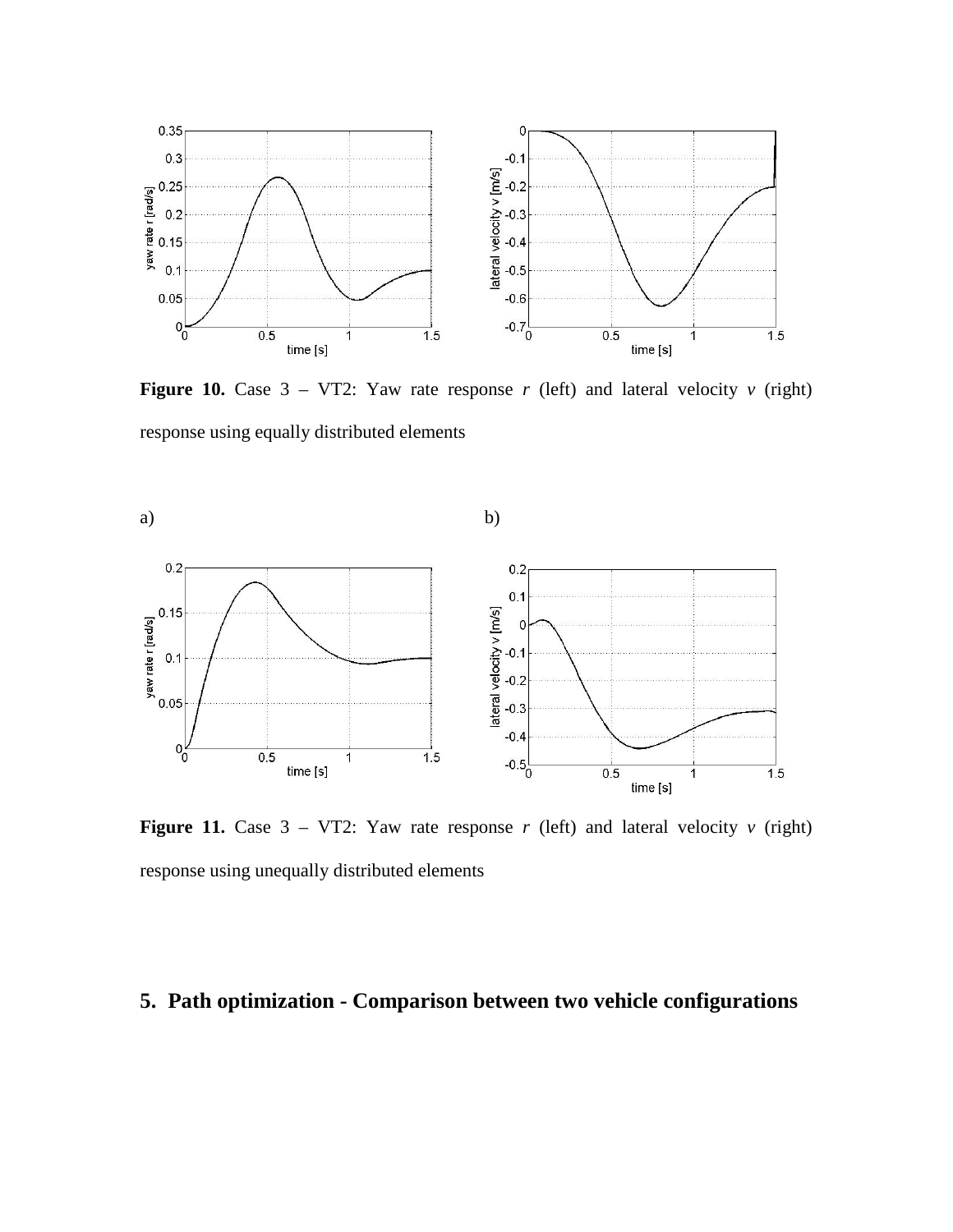

**Figure 10.** Case  $3 - VT2$ : Yaw rate response *r* (left) and lateral velocity *v* (right) response using equally distributed elements



**Figure 11.** Case  $3 - VT2$ : Yaw rate response *r* (left) and lateral velocity *v* (right) response using unequally distributed elements

#### **5. Path optimization - Comparison between two vehicle configurations**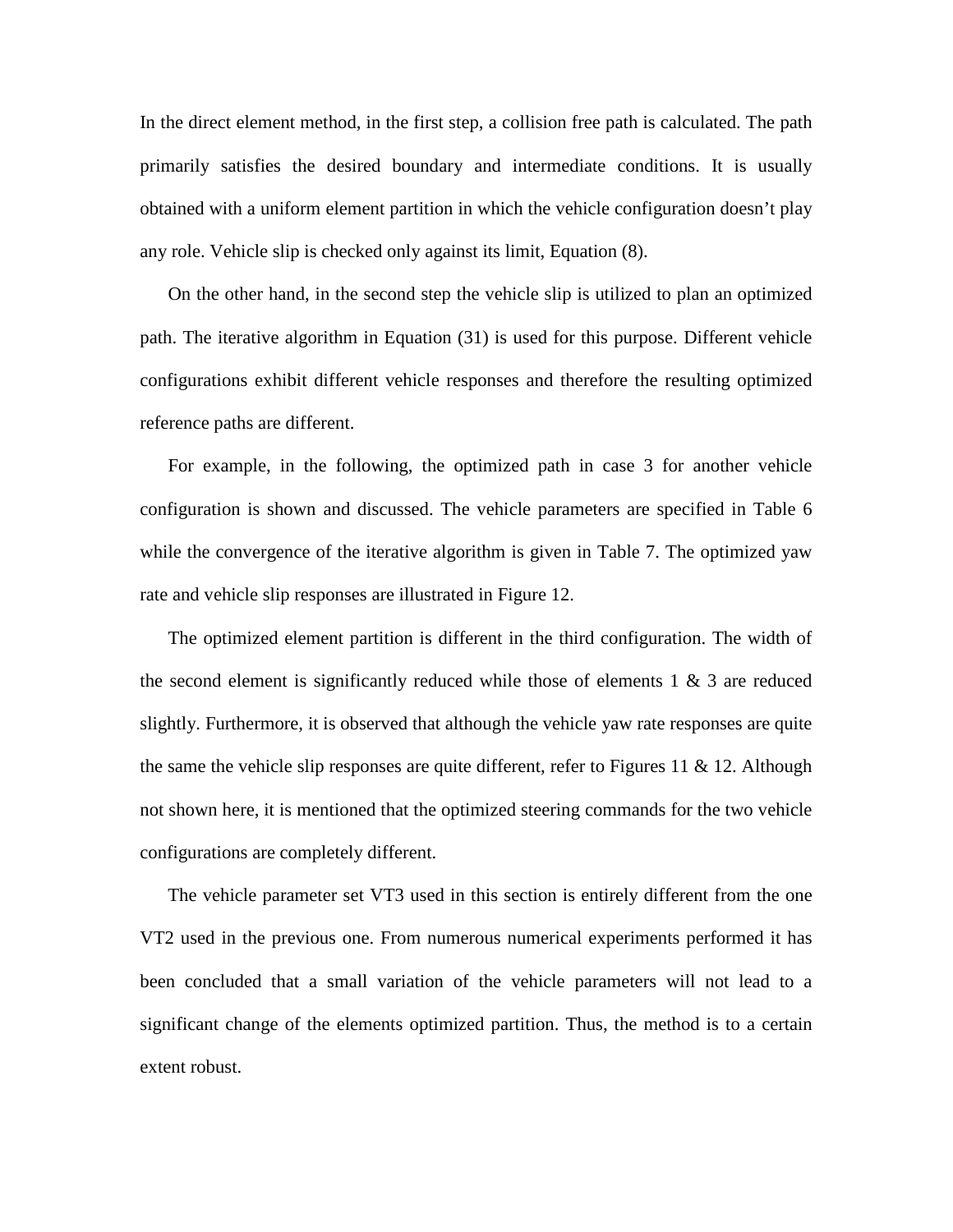In the direct element method, in the first step, a collision free path is calculated. The path primarily satisfies the desired boundary and intermediate conditions. It is usually obtained with a uniform element partition in which the vehicle configuration doesn't play any role. Vehicle slip is checked only against its limit, Equation (8).

On the other hand, in the second step the vehicle slip is utilized to plan an optimized path. The iterative algorithm in Equation (31) is used for this purpose. Different vehicle configurations exhibit different vehicle responses and therefore the resulting optimized reference paths are different.

For example, in the following, the optimized path in case 3 for another vehicle configuration is shown and discussed. The vehicle parameters are specified in Table 6 while the convergence of the iterative algorithm is given in Table 7. The optimized yaw rate and vehicle slip responses are illustrated in Figure 12.

The optimized element partition is different in the third configuration. The width of the second element is significantly reduced while those of elements 1  $\&$  3 are reduced slightly. Furthermore, it is observed that although the vehicle yaw rate responses are quite the same the vehicle slip responses are quite different, refer to Figures 11  $\&$  12. Although not shown here, it is mentioned that the optimized steering commands for the two vehicle configurations are completely different.

The vehicle parameter set VT3 used in this section is entirely different from the one VT2 used in the previous one. From numerous numerical experiments performed it has been concluded that a small variation of the vehicle parameters will not lead to a significant change of the elements optimized partition. Thus, the method is to a certain extent robust.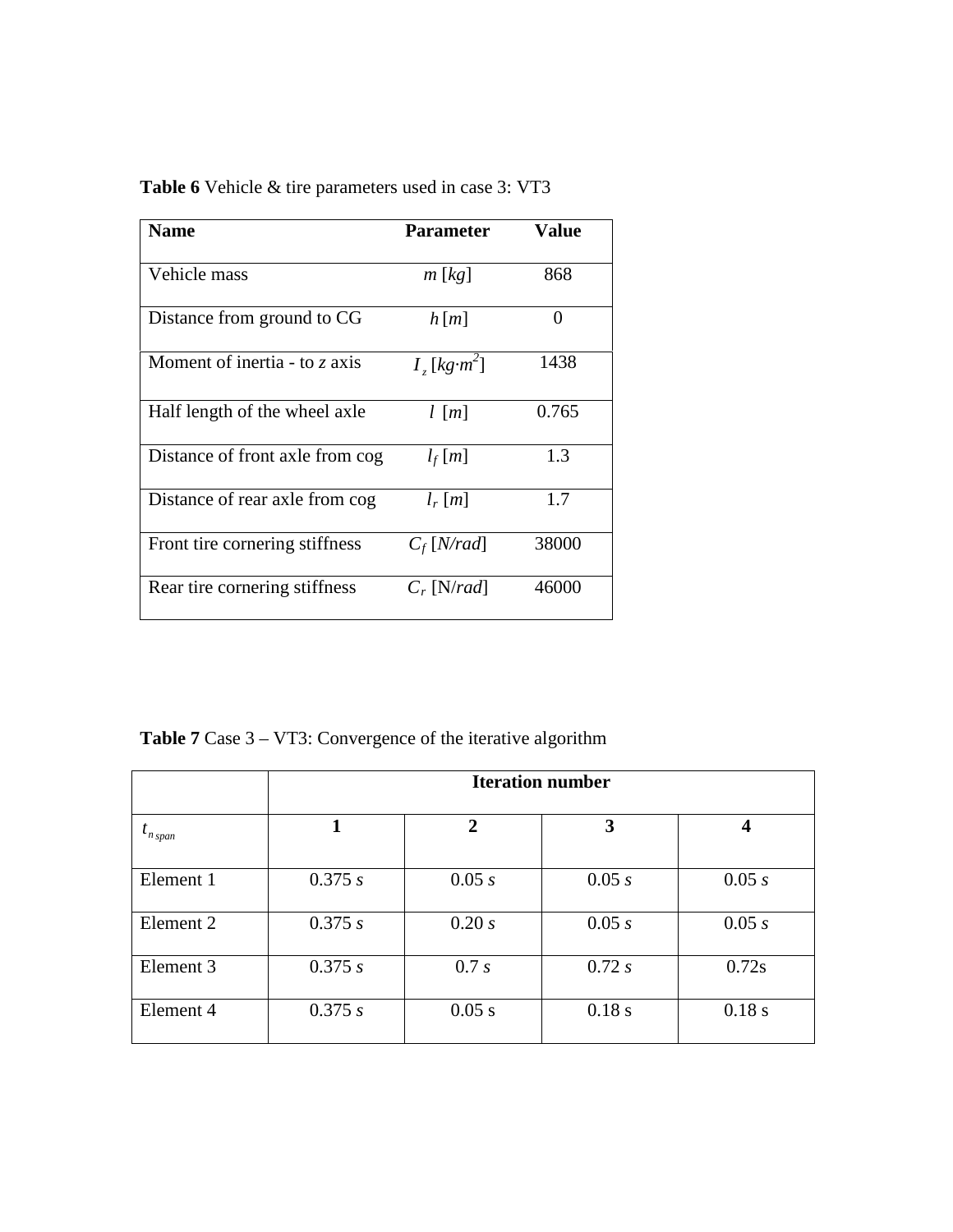| <b>Name</b>                     | <b>Parameter</b>             | <b>Value</b> |
|---------------------------------|------------------------------|--------------|
| Vehicle mass                    | $m$ [kg]                     | 868          |
| Distance from ground to CG      | h[m]                         | 0            |
| Moment of inertia - to z axis   | $I_{z}$ [kg·m <sup>2</sup> ] | 1438         |
| Half length of the wheel axle   | $l \lfloor m \rfloor$        | 0.765        |
| Distance of front axle from cog | $l_f[m]$                     | 1.3          |
| Distance of rear axle from cog  | $l_r$ [m]                    | 1.7          |
| Front tire cornering stiffness  | $C_f$ [N/rad]                | 38000        |
| Rear tire cornering stiffness   | $C_r$ [N/rad]                | 46000        |

**Table 6** Vehicle & tire parameters used in case 3: VT3

**Table 7** Case 3 – VT3: Convergence of the iterative algorithm

|           | <b>Iteration number</b> |                |        |        |
|-----------|-------------------------|----------------|--------|--------|
| n span    | 1                       | $\overline{2}$ | 3      | 4      |
| Element 1 | 0.375 s                 | 0.05 s         | 0.05 s | 0.05 s |
| Element 2 | 0.375 s                 | 0.20 s         | 0.05 s | 0.05 s |
| Element 3 | 0.375 s                 | 0.7 s          | 0.72 s | 0.72s  |
| Element 4 | 0.375 s                 | $0.05$ s       | 0.18 s | 0.18 s |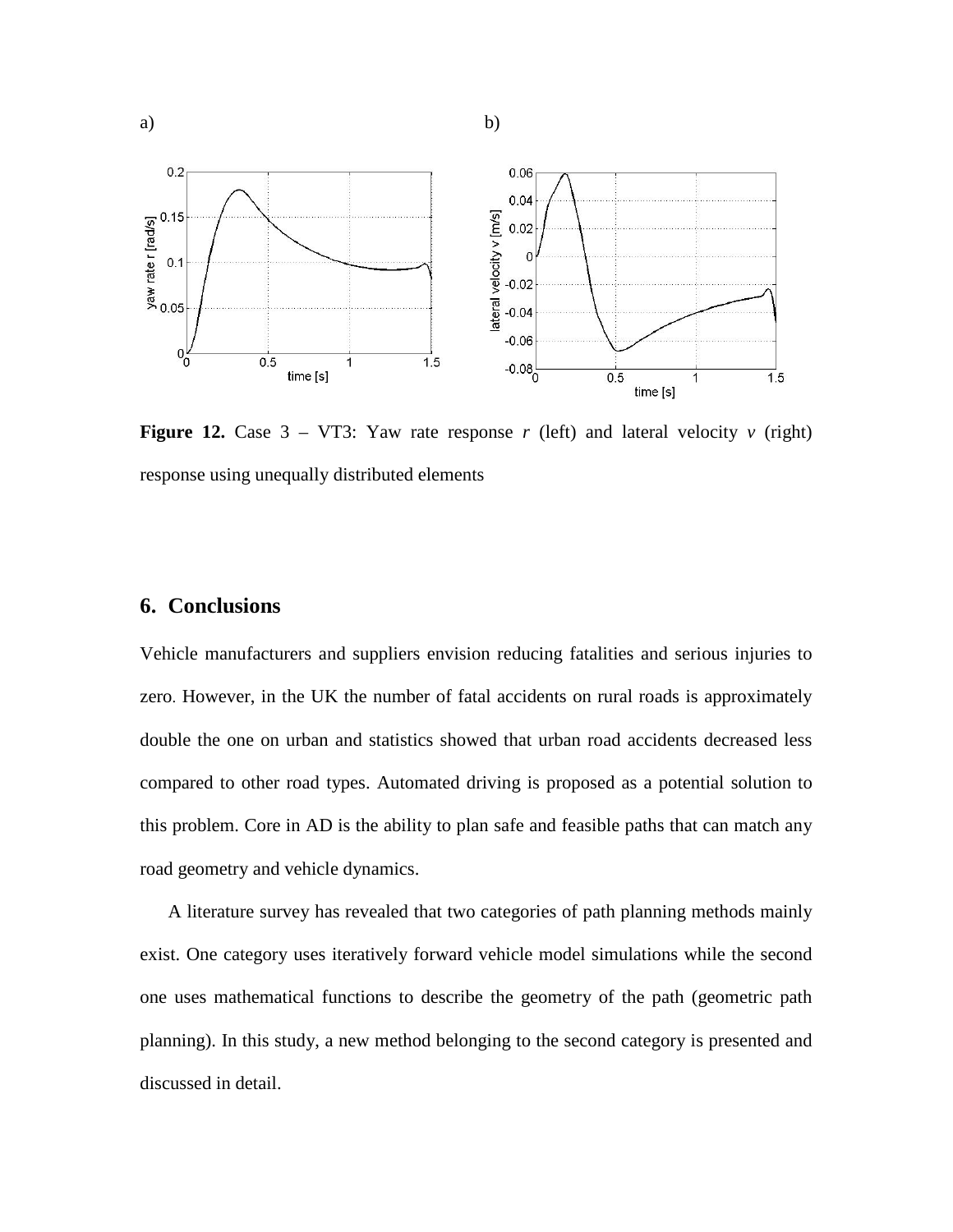

**Figure 12.** Case  $3 - VT3$ : Yaw rate response *r* (left) and lateral velocity *v* (right) response using unequally distributed elements

#### **6. Conclusions**

Vehicle manufacturers and suppliers envision reducing fatalities and serious injuries to zero. However, in the UK the number of fatal accidents on rural roads is approximately double the one on urban and statistics showed that urban road accidents decreased less compared to other road types. Automated driving is proposed as a potential solution to this problem. Core in AD is the ability to plan safe and feasible paths that can match any road geometry and vehicle dynamics.

A literature survey has revealed that two categories of path planning methods mainly exist. One category uses iteratively forward vehicle model simulations while the second one uses mathematical functions to describe the geometry of the path (geometric path planning). In this study, a new method belonging to the second category is presented and discussed in detail.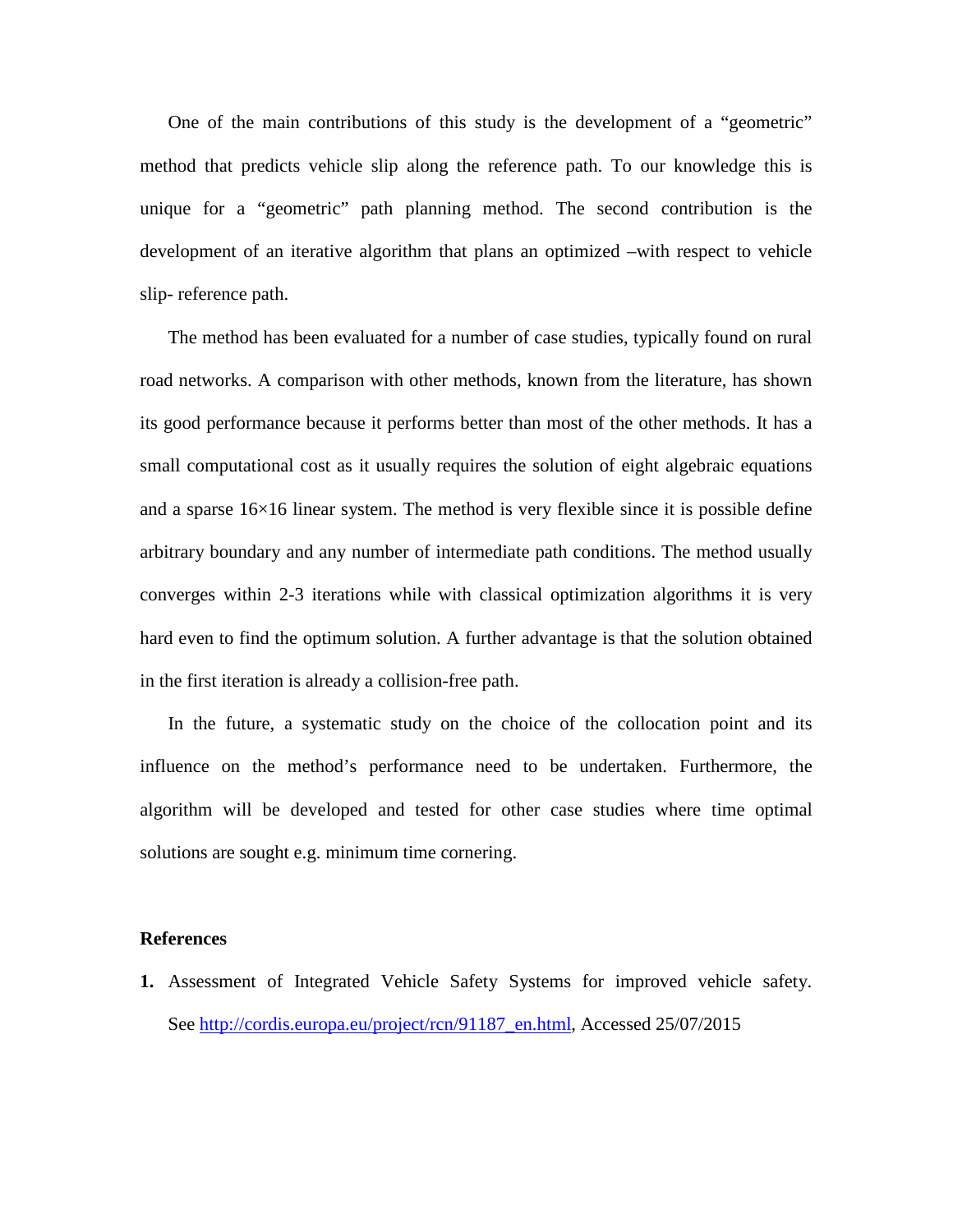One of the main contributions of this study is the development of a "geometric" method that predicts vehicle slip along the reference path. To our knowledge this is unique for a "geometric" path planning method. The second contribution is the development of an iterative algorithm that plans an optimized –with respect to vehicle slip- reference path.

The method has been evaluated for a number of case studies, typically found on rural road networks. A comparison with other methods, known from the literature, has shown its good performance because it performs better than most of the other methods. It has a small computational cost as it usually requires the solution of eight algebraic equations and a sparse  $16\times16$  linear system. The method is very flexible since it is possible define arbitrary boundary and any number of intermediate path conditions. The method usually converges within 2-3 iterations while with classical optimization algorithms it is very hard even to find the optimum solution. A further advantage is that the solution obtained in the first iteration is already a collision-free path.

In the future, a systematic study on the choice of the collocation point and its influence on the method's performance need to be undertaken. Furthermore, the algorithm will be developed and tested for other case studies where time optimal solutions are sought e.g. minimum time cornering.

#### **References**

**1.** Assessment of Integrated Vehicle Safety Systems for improved vehicle safety. See [http://cordis.europa.eu/project/rcn/91187\\_en.html,](http://cordis.europa.eu/project/rcn/91187_en.html) Accessed 25/07/2015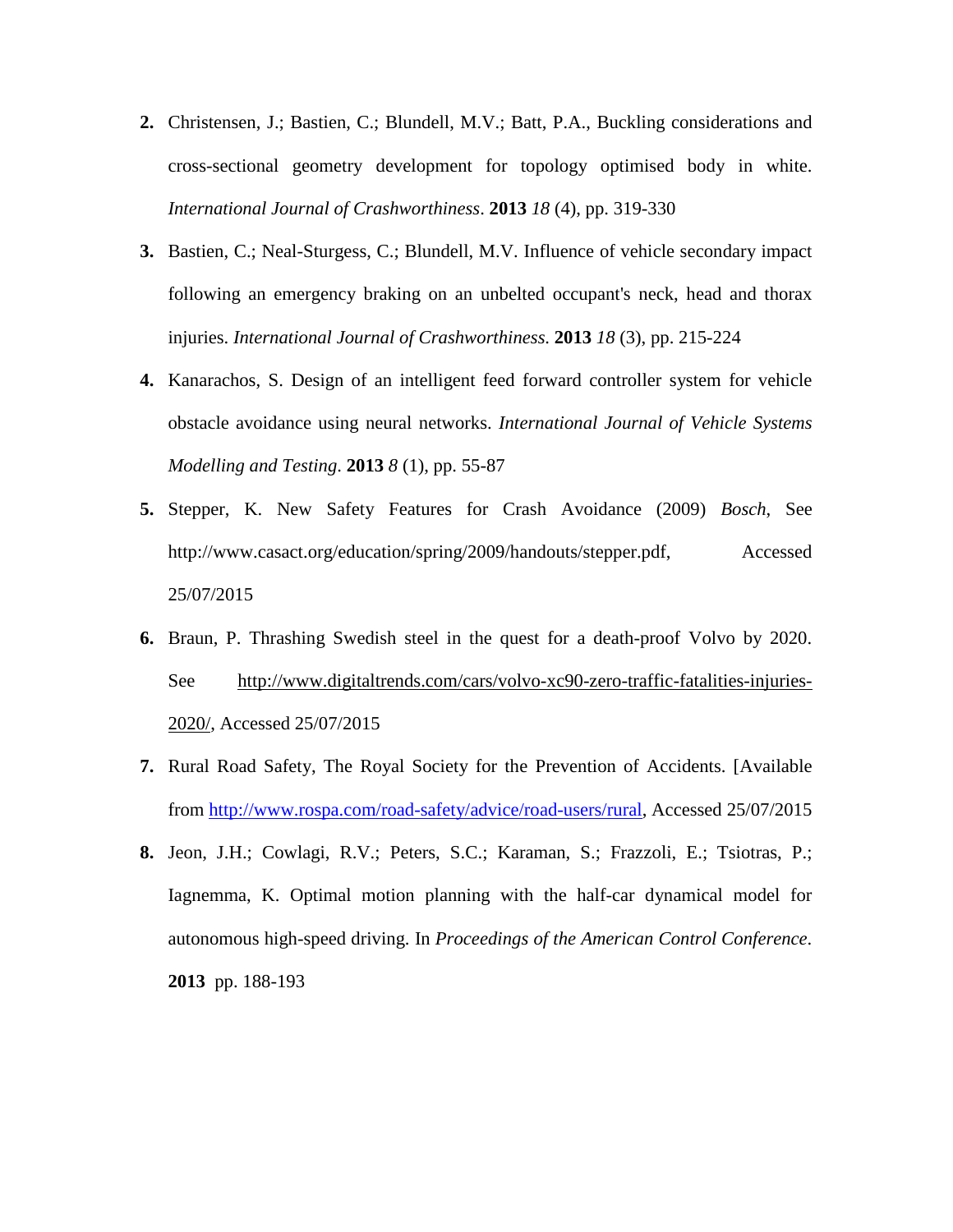- **2.** Christensen, J.; Bastien, C.; Blundell, M.V.; Batt, P.A., Buckling considerations and cross-sectional geometry development for topology optimised body in white. *International Journal of Crashworthiness*. **2013** *18* (4), pp. 319-330
- **3.** Bastien, C.; Neal-Sturgess, C.; Blundell, M.V. Influence of vehicle secondary impact following an emergency braking on an unbelted occupant's neck, head and thorax injuries. *International Journal of Crashworthiness*. **2013** *18* (3), pp. 215-224
- **4.** Kanarachos, S. Design of an intelligent feed forward controller system for vehicle obstacle avoidance using neural networks. *International Journal of Vehicle Systems Modelling and Testing*. **2013** *8* (1), pp. 55-87
- **5.** Stepper, K. New Safety Features for Crash Avoidance (2009) *Bosch*, See http://www.casact.org/education/spring/2009/handouts/stepper.pdf, Accessed 25/07/2015
- **6.** Braun, P. Thrashing Swedish steel in the quest for a death-proof Volvo by 2020. See [http://www.digitaltrends.com/cars/volvo-xc90-zero-traffic-fatalities-injuries-](http://www.digitaltrends.com/cars/volvo-xc90-zero-traffic-fatalities-injuries-2020/)[2020/,](http://www.digitaltrends.com/cars/volvo-xc90-zero-traffic-fatalities-injuries-2020/) Accessed 25/07/2015
- **7.** Rural Road Safety, The Royal Society for the Prevention of Accidents. [Available from [http://www.rospa.com/road-safety/advice/road-users/rural,](http://www.rospa.com/road-safety/advice/road-users/rural) Accessed 25/07/2015
- **8.** Jeon, J.H.; Cowlagi, R.V.; Peters, S.C.; Karaman, S.; Frazzoli, E.; Tsiotras, P.; Iagnemma, K. Optimal motion planning with the half-car dynamical model for autonomous high-speed driving. In *Proceedings of the American Control Conference*. **2013** pp. 188-193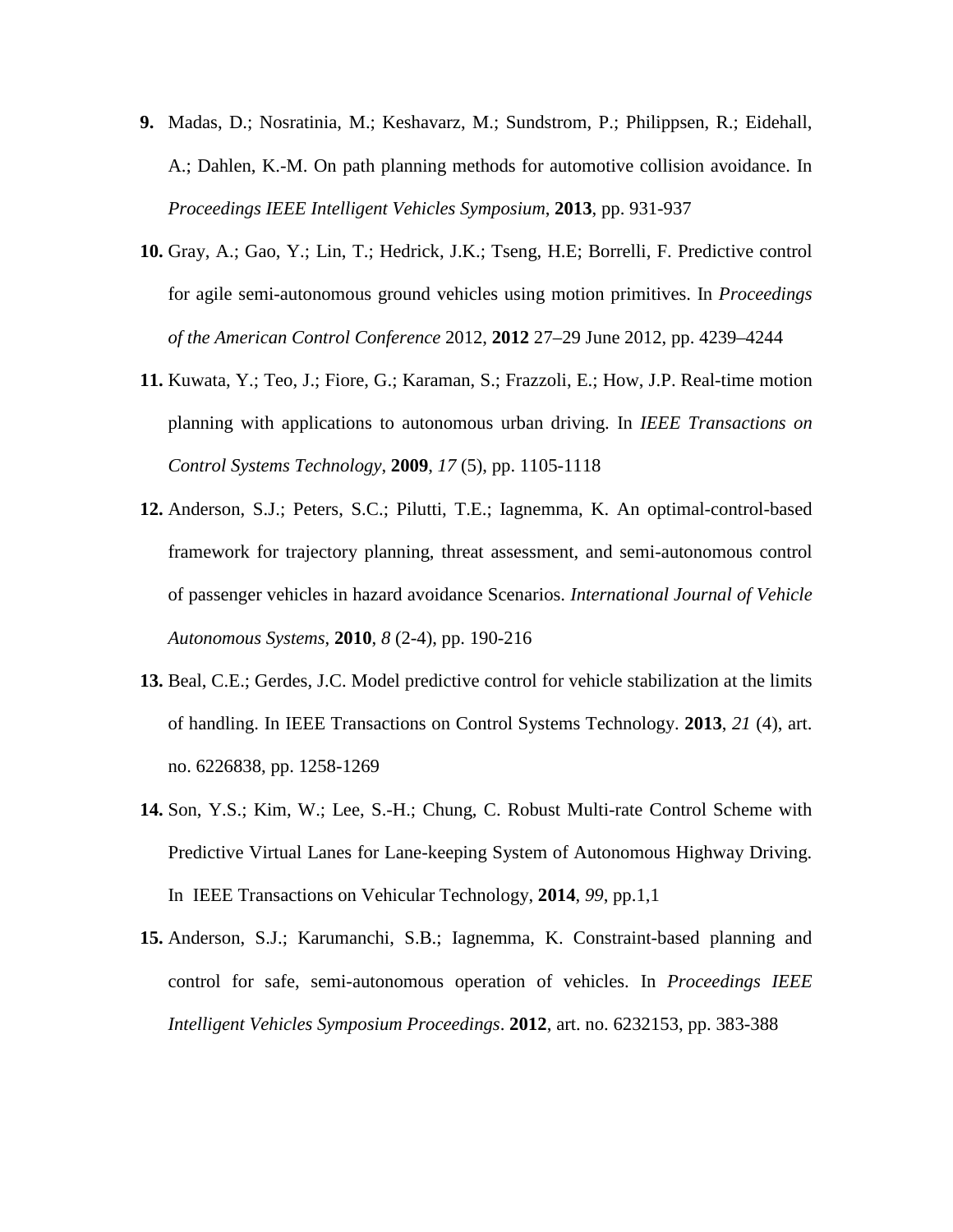- **9.** Madas, D.; Nosratinia, M.; Keshavarz, M.; Sundstrom, P.; Philippsen, R.; Eidehall, A.; Dahlen, K.-M. On path planning methods for automotive collision avoidance. In *Proceedings IEEE Intelligent Vehicles Symposium*, **2013**, pp. 931-937
- **10.** Gray, A.; Gao, Y.; Lin, T.; Hedrick, J.K.; Tseng, H.E; Borrelli, F. Predictive control for agile semi-autonomous ground vehicles using motion primitives. In *Proceedings of the American Control Conference* 2012, **2012** 27–29 June 2012, pp. 4239–4244
- **11.** Kuwata, Y.; Teo, J.; Fiore, G.; Karaman, S.; Frazzoli, E.; How, J.P. Real-time motion planning with applications to autonomous urban driving. In *IEEE Transactions on Control Systems Technology*, **2009**, *17* (5), pp. 1105-1118
- **12.** Anderson, S.J.; Peters, S.C.; Pilutti, T.E.; Iagnemma, K. An optimal-control-based framework for trajectory planning, threat assessment, and semi-autonomous control of passenger vehicles in hazard avoidance Scenarios. *International Journal of Vehicle Autonomous Systems*, **2010**, *8* (2-4), pp. 190-216
- **13.** Beal, C.E.; Gerdes, J.C. Model predictive control for vehicle stabilization at the limits of handling. In IEEE Transactions on Control Systems Technology. **2013**, *21* (4), art. no. 6226838, pp. 1258-1269
- **14.** Son, Y.S.; Kim, W.; Lee, S.-H.; Chung, C. Robust Multi-rate Control Scheme with Predictive Virtual Lanes for Lane-keeping System of Autonomous Highway Driving. In IEEE Transactions on Vehicular Technology, **2014**, *99*, pp.1,1
- **15.** Anderson, S.J.; Karumanchi, S.B.; Iagnemma, K. Constraint-based planning and control for safe, semi-autonomous operation of vehicles. In *Proceedings IEEE Intelligent Vehicles Symposium Proceedings*. **2012**, art. no. 6232153, pp. 383-388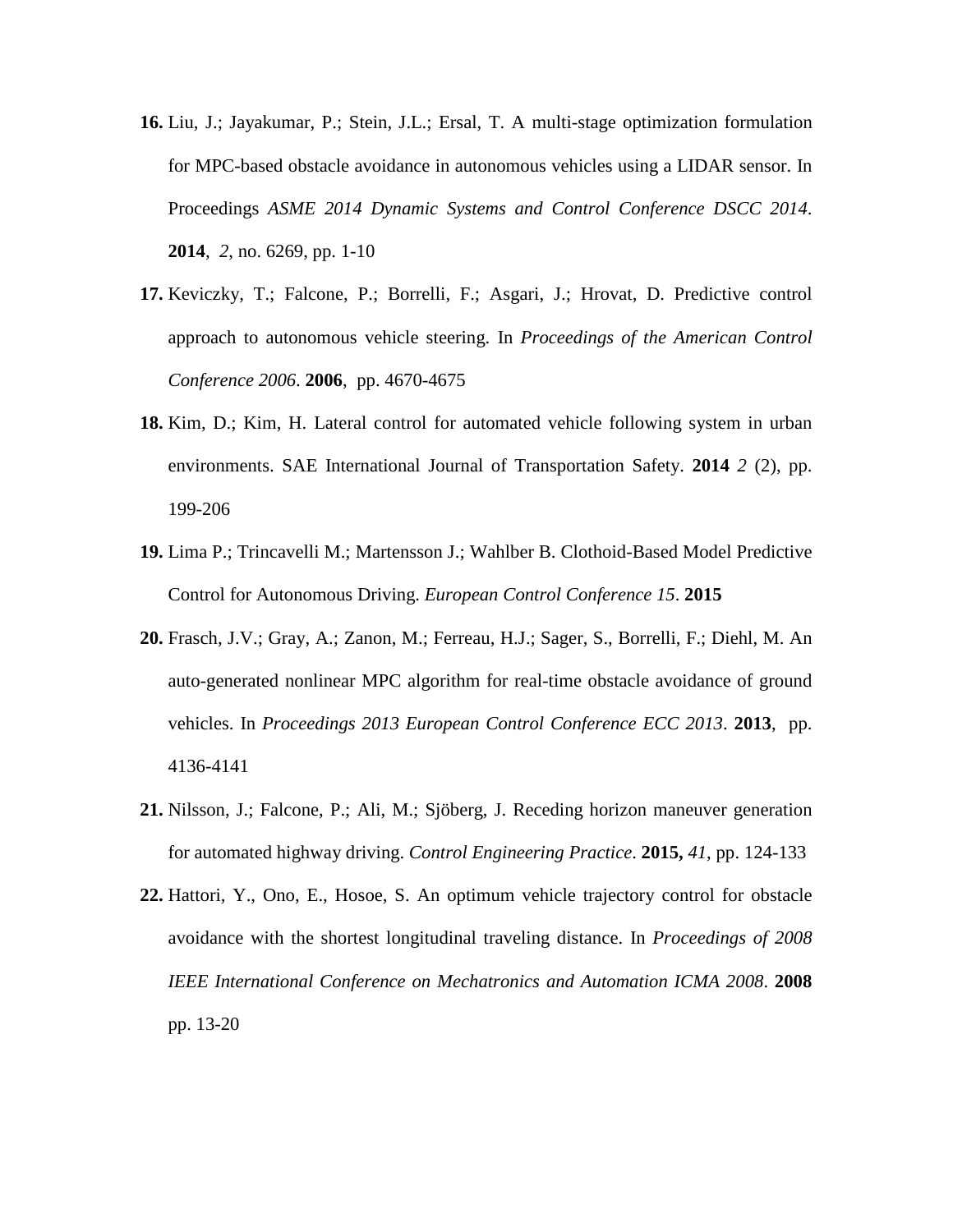- **16.** Liu, J.; Jayakumar, P.; Stein, J.L.; Ersal, T. A multi-stage optimization formulation for MPC-based obstacle avoidance in autonomous vehicles using a LIDAR sensor. In Proceedings *ASME 2014 Dynamic Systems and Control Conference DSCC 2014*. **2014**, *2*, no. 6269, pp. 1-10
- **17.** Keviczky, T.; Falcone, P.; Borrelli, F.; Asgari, J.; Hrovat, D. Predictive control approach to autonomous vehicle steering. In *Proceedings of the American Control Conference 2006*. **2006**, pp. 4670-4675
- **18.** Kim, D.; Kim, H. Lateral control for automated vehicle following system in urban environments. SAE International Journal of Transportation Safety. **2014** *2* (2), pp. 199-206
- **19.** Lima P.; Trincavelli M.; Martensson J.; Wahlber B. Clothoid-Based Model Predictive Control for Autonomous Driving. *European Control Conference 15*. **2015**
- **20.** Frasch, J.V.; Gray, A.; Zanon, M.; Ferreau, H.J.; Sager, S., Borrelli, F.; Diehl, M. An auto-generated nonlinear MPC algorithm for real-time obstacle avoidance of ground vehicles. In *Proceedings 2013 European Control Conference ECC 2013*. **2013**, pp. 4136-4141
- **21.** Nilsson, J.; Falcone, P.; Ali, M.; Sjöberg, J. Receding horizon maneuver generation for automated highway driving. *Control Engineering Practice*. **2015,** *41*, pp. 124-133
- **22.** Hattori, Y., Ono, E., Hosoe, S. An optimum vehicle trajectory control for obstacle avoidance with the shortest longitudinal traveling distance. In *Proceedings of 2008 IEEE International Conference on Mechatronics and Automation ICMA 2008*. **2008** pp. 13-20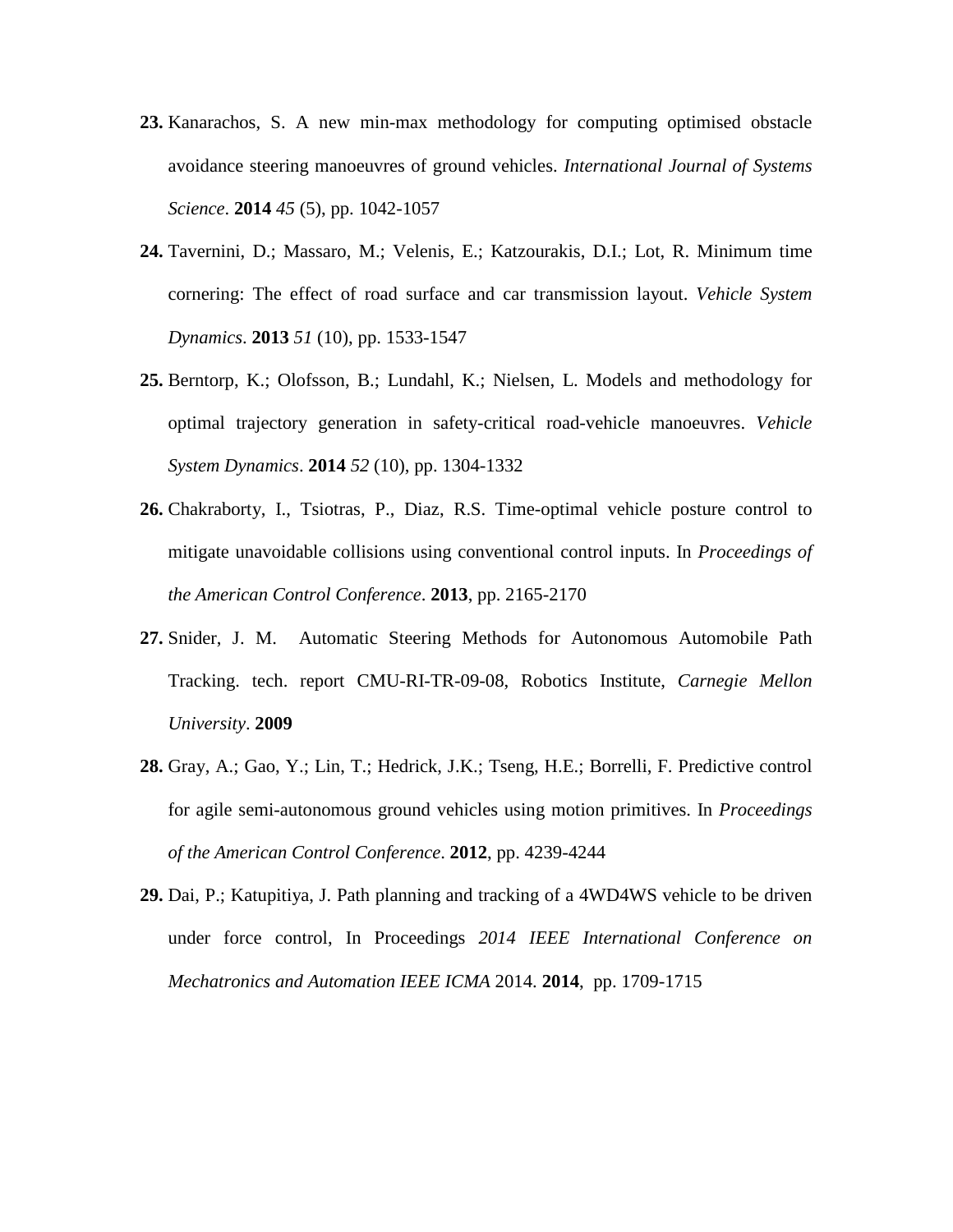- **23.** Kanarachos, S. A new min-max methodology for computing optimised obstacle avoidance steering manoeuvres of ground vehicles. *International Journal of Systems Science*. **2014** *45* (5), pp. 1042-1057
- **24.** Tavernini, D.; Massaro, M.; Velenis, E.; Katzourakis, D.I.; Lot, R. Minimum time cornering: The effect of road surface and car transmission layout. *Vehicle System Dynamics*. **2013** *51* (10), pp. 1533-1547
- **25.** Berntorp, K.; Olofsson, B.; Lundahl, K.; Nielsen, L. Models and methodology for optimal trajectory generation in safety-critical road-vehicle manoeuvres. *Vehicle System Dynamics*. **2014** *52* (10), pp. 1304-1332
- **26.** Chakraborty, I., Tsiotras, P., Diaz, R.S. Time-optimal vehicle posture control to mitigate unavoidable collisions using conventional control inputs. In *Proceedings of the American Control Conference*. **2013**, pp. 2165-2170
- **27.** Snider, J. M. Automatic Steering Methods for Autonomous Automobile Path Tracking. tech. report CMU-RI-TR-09-08, Robotics Institute, *Carnegie Mellon University*. **2009**
- **28.** Gray, A.; Gao, Y.; Lin, T.; Hedrick, J.K.; Tseng, H.E.; Borrelli, F. Predictive control for agile semi-autonomous ground vehicles using motion primitives. In *Proceedings of the American Control Conference*. **2012**, pp. 4239-4244
- **29.** Dai, P.; Katupitiya, J. Path planning and tracking of a 4WD4WS vehicle to be driven under force control, In Proceedings *2014 IEEE International Conference on Mechatronics and Automation IEEE ICMA* 2014. **2014**, pp. 1709-1715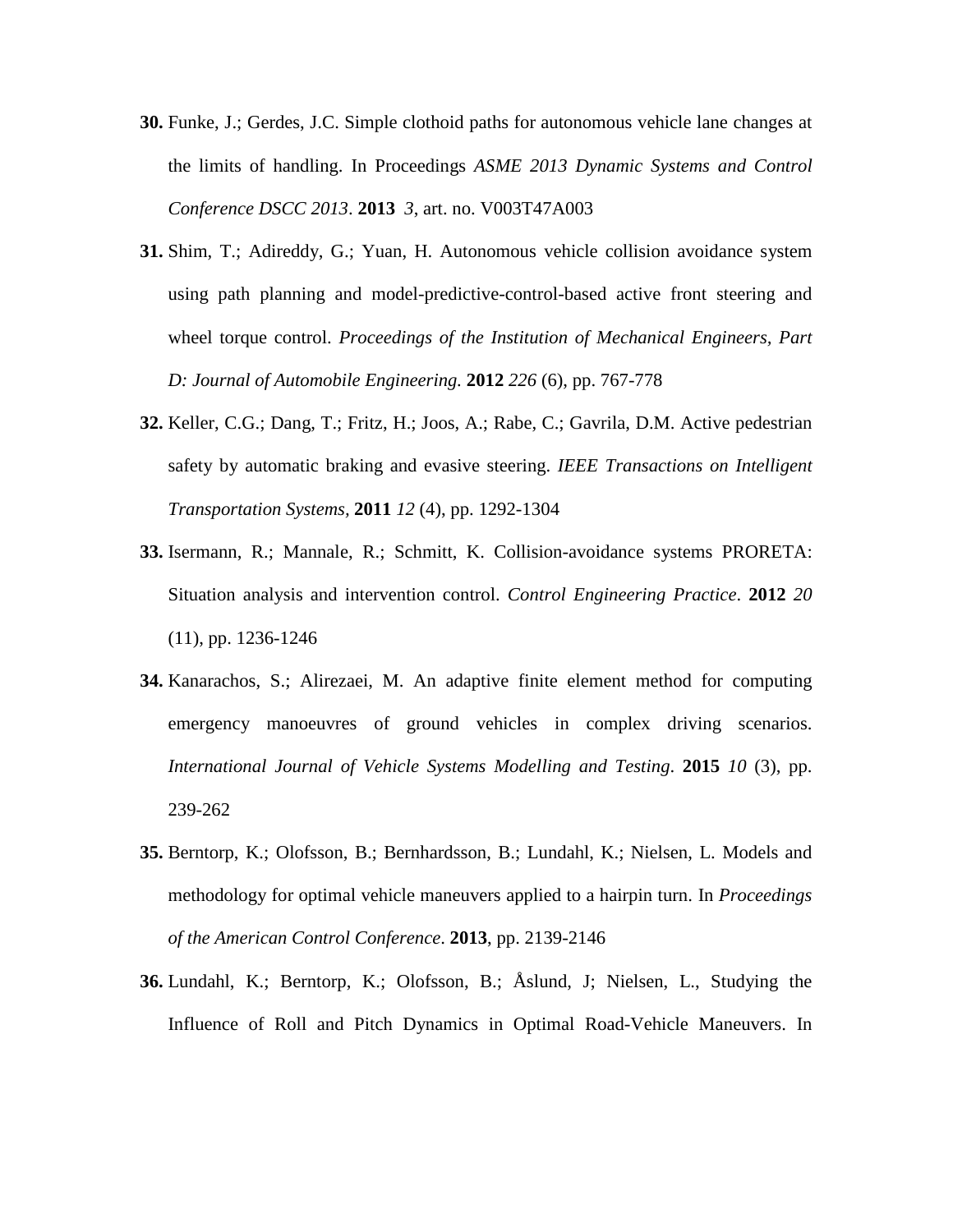- **30.** Funke, J.; Gerdes, J.C. Simple clothoid paths for autonomous vehicle lane changes at the limits of handling. In Proceedings *ASME 2013 Dynamic Systems and Control Conference DSCC 2013*. **2013** *3*, art. no. V003T47A003
- **31.** Shim, T.; Adireddy, G.; Yuan, H. Autonomous vehicle collision avoidance system using path planning and model-predictive-control-based active front steering and wheel torque control. *Proceedings of the Institution of Mechanical Engineers, Part D: Journal of Automobile Engineering.* **2012** *226* (6), pp. 767-778
- **32.** Keller, C.G.; Dang, T.; Fritz, H.; Joos, A.; Rabe, C.; Gavrila, D.M. Active pedestrian safety by automatic braking and evasive steering. *IEEE Transactions on Intelligent Transportation Systems,* **2011** *12* (4), pp. 1292-1304
- **33.** Isermann, R.; Mannale, R.; Schmitt, K. Collision-avoidance systems PRORETA: Situation analysis and intervention control. *Control Engineering Practice*. **2012** *20* (11), pp. 1236-1246
- **34.** Kanarachos, S.; Alirezaei, M. An adaptive finite element method for computing emergency manoeuvres of ground vehicles in complex driving scenarios. *International Journal of Vehicle Systems Modelling and Testing*. **2015** *10* (3), pp. 239-262
- **35.** Berntorp, K.; Olofsson, B.; Bernhardsson, B.; Lundahl, K.; Nielsen, L. Models and methodology for optimal vehicle maneuvers applied to a hairpin turn. In *Proceedings of the American Control Conference*. **2013**, pp. 2139-2146
- **36.** Lundahl, K.; Berntorp, K.; Olofsson, B.; Åslund, J; Nielsen, L., Studying the Influence of Roll and Pitch Dynamics in Optimal Road-Vehicle Maneuvers. In